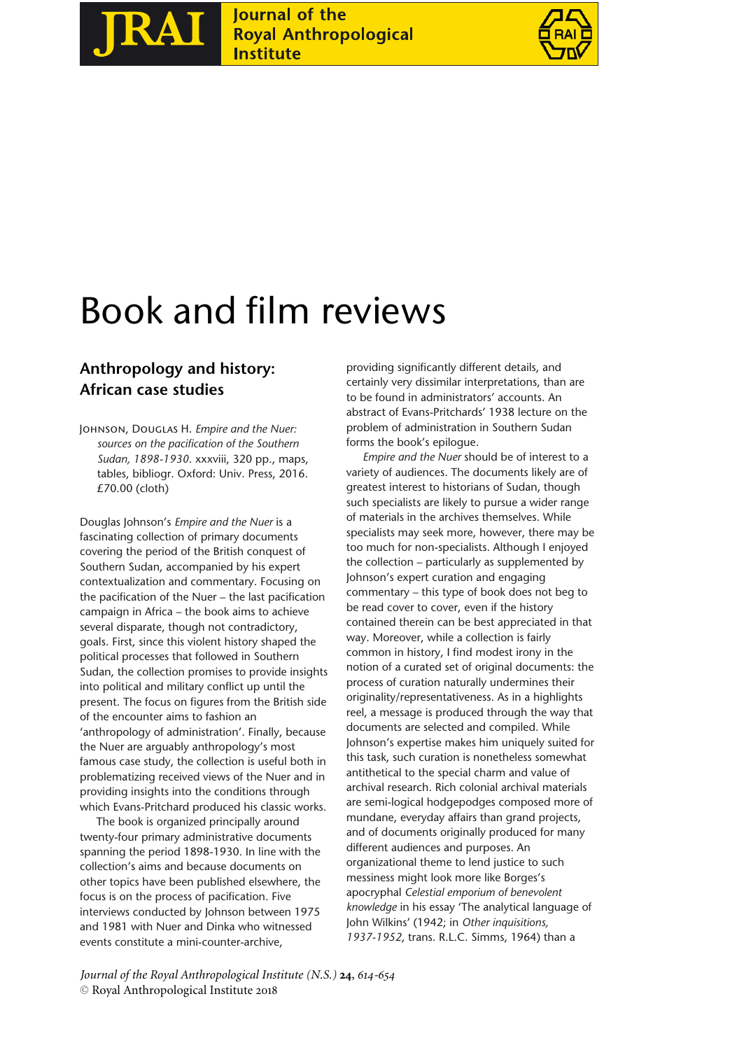

Journal of the **Royal Anthropological Institute** 



# Book and film reviews

## **Anthropology and history: African case studies**

Johnson, Douglas H. *Empire and the Nuer: sources on the pacification of the Southern Sudan, 1898-1930*. xxxviii, 320 pp., maps, tables, bibliogr. Oxford: Univ. Press, 2016. £70.00 (cloth)

Douglas Johnson's *Empire and the Nuer* is a fascinating collection of primary documents covering the period of the British conquest of Southern Sudan, accompanied by his expert contextualization and commentary. Focusing on the pacification of the Nuer – the last pacification campaign in Africa – the book aims to achieve several disparate, though not contradictory, goals. First, since this violent history shaped the political processes that followed in Southern Sudan, the collection promises to provide insights into political and military conflict up until the present. The focus on figures from the British side of the encounter aims to fashion an 'anthropology of administration'. Finally, because the Nuer are arguably anthropology's most famous case study, the collection is useful both in problematizing received views of the Nuer and in providing insights into the conditions through which Evans-Pritchard produced his classic works.

The book is organized principally around twenty-four primary administrative documents spanning the period 1898-1930. In line with the collection's aims and because documents on other topics have been published elsewhere, the focus is on the process of pacification. Five interviews conducted by Johnson between 1975 and 1981 with Nuer and Dinka who witnessed events constitute a mini-counter-archive,

providing significantly different details, and certainly very dissimilar interpretations, than are to be found in administrators' accounts. An abstract of Evans-Pritchards' 1938 lecture on the problem of administration in Southern Sudan forms the book's epilogue.

*Empire and the Nuer* should be of interest to a variety of audiences. The documents likely are of greatest interest to historians of Sudan, though such specialists are likely to pursue a wider range of materials in the archives themselves. While specialists may seek more, however, there may be too much for non-specialists. Although I enjoyed the collection – particularly as supplemented by Johnson's expert curation and engaging commentary – this type of book does not beg to be read cover to cover, even if the history contained therein can be best appreciated in that way. Moreover, while a collection is fairly common in history, I find modest irony in the notion of a curated set of original documents: the process of curation naturally undermines their originality/representativeness. As in a highlights reel, a message is produced through the way that documents are selected and compiled. While Johnson's expertise makes him uniquely suited for this task, such curation is nonetheless somewhat antithetical to the special charm and value of archival research. Rich colonial archival materials are semi-logical hodgepodges composed more of mundane, everyday affairs than grand projects, and of documents originally produced for many different audiences and purposes. An organizational theme to lend justice to such messiness might look more like Borges's apocryphal *Celestial emporium of benevolent knowledge* in his essay 'The analytical language of John Wilkins' (1942; in *Other inquisitions, 1937-1952*, trans. R.L.C. Simms, 1964) than a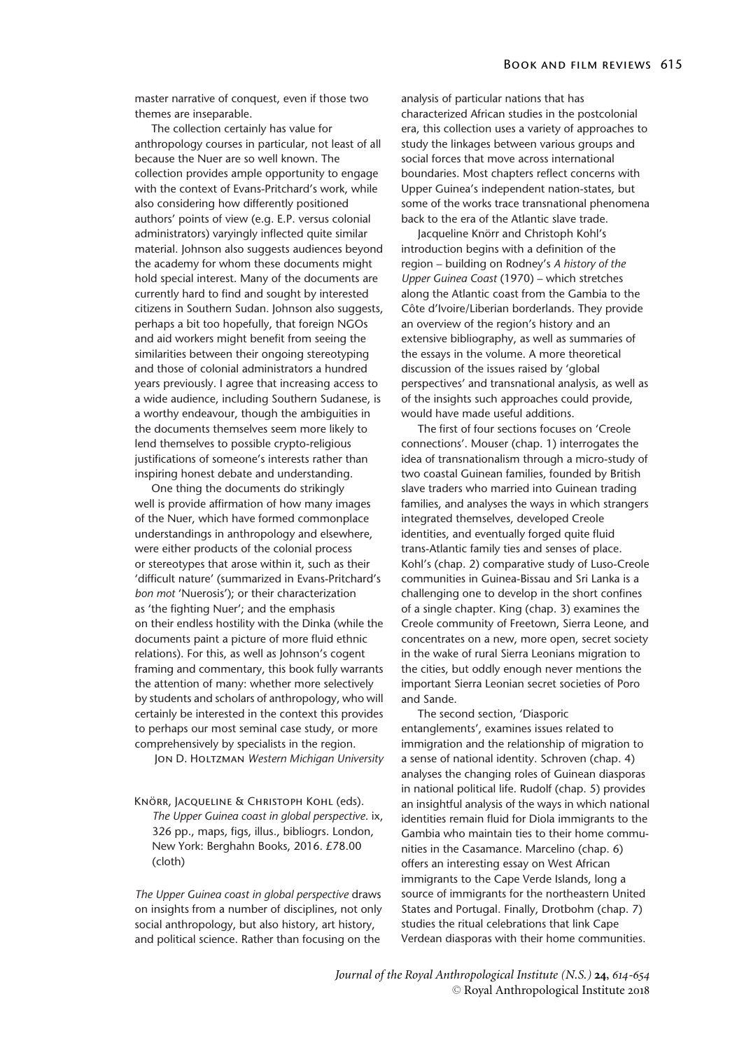master narrative of conquest, even if those two themes are inseparable.

The collection certainly has value for anthropology courses in particular, not least of all because the Nuer are so well known. The collection provides ample opportunity to engage with the context of Evans-Pritchard's work, while also considering how differently positioned authors' points of view (e.g. E.P. versus colonial administrators) varyingly inflected quite similar material. Johnson also suggests audiences beyond the academy for whom these documents might hold special interest. Many of the documents are currently hard to find and sought by interested citizens in Southern Sudan. Johnson also suggests, perhaps a bit too hopefully, that foreign NGOs and aid workers might benefit from seeing the similarities between their ongoing stereotyping and those of colonial administrators a hundred years previously. I agree that increasing access to a wide audience, including Southern Sudanese, is a worthy endeavour, though the ambiguities in the documents themselves seem more likely to lend themselves to possible crypto-religious justifications of someone's interests rather than inspiring honest debate and understanding.

One thing the documents do strikingly well is provide affirmation of how many images of the Nuer, which have formed commonplace understandings in anthropology and elsewhere, were either products of the colonial process or stereotypes that arose within it, such as their 'difficult nature' (summarized in Evans-Pritchard's *bon mot* 'Nuerosis'); or their characterization as 'the fighting Nuer'; and the emphasis on their endless hostility with the Dinka (while the documents paint a picture of more fluid ethnic relations). For this, as well as Johnson's cogent framing and commentary, this book fully warrants the attention of many: whether more selectively by students and scholars of anthropology, who will certainly be interested in the context this provides to perhaps our most seminal case study, or more comprehensively by specialists in the region.

Jon D. Holtzman *Western Michigan University*

#### KNÖRR, JACQUELINE & CHRISTOPH KOHL (eds). *The Upper Guinea coast in global perspective*. ix, 326 pp., maps, figs, illus., bibliogrs. London, New York: Berghahn Books, 2016. £78.00 (cloth)

*The Upper Guinea coast in global perspective* draws on insights from a number of disciplines, not only social anthropology, but also history, art history, and political science. Rather than focusing on the

analysis of particular nations that has characterized African studies in the postcolonial era, this collection uses a variety of approaches to study the linkages between various groups and social forces that move across international boundaries. Most chapters reflect concerns with Upper Guinea's independent nation-states, but some of the works trace transnational phenomena back to the era of the Atlantic slave trade.

Jacqueline Knörr and Christoph Kohl's introduction begins with a definition of the region – building on Rodney's *A history of the Upper Guinea Coast* (1970) – which stretches along the Atlantic coast from the Gambia to the Côte d'Ivoire/Liberian borderlands. They provide an overview of the region's history and an extensive bibliography, as well as summaries of the essays in the volume. A more theoretical discussion of the issues raised by 'global perspectives' and transnational analysis, as well as of the insights such approaches could provide, would have made useful additions.

The first of four sections focuses on 'Creole connections'. Mouser (chap. 1) interrogates the idea of transnationalism through a micro-study of two coastal Guinean families, founded by British slave traders who married into Guinean trading families, and analyses the ways in which strangers integrated themselves, developed Creole identities, and eventually forged quite fluid trans-Atlantic family ties and senses of place. Kohl's (chap. 2) comparative study of Luso-Creole communities in Guinea-Bissau and Sri Lanka is a challenging one to develop in the short confines of a single chapter. King (chap. 3) examines the Creole community of Freetown, Sierra Leone, and concentrates on a new, more open, secret society in the wake of rural Sierra Leonians migration to the cities, but oddly enough never mentions the important Sierra Leonian secret societies of Poro and Sande.

The second section, 'Diasporic entanglements', examines issues related to immigration and the relationship of migration to a sense of national identity. Schroven (chap. 4) analyses the changing roles of Guinean diasporas in national political life. Rudolf (chap. 5) provides an insightful analysis of the ways in which national identities remain fluid for Diola immigrants to the Gambia who maintain ties to their home communities in the Casamance. Marcelino (chap. 6) offers an interesting essay on West African immigrants to the Cape Verde Islands, long a source of immigrants for the northeastern United States and Portugal. Finally, Drotbohm (chap. 7) studies the ritual celebrations that link Cape Verdean diasporas with their home communities.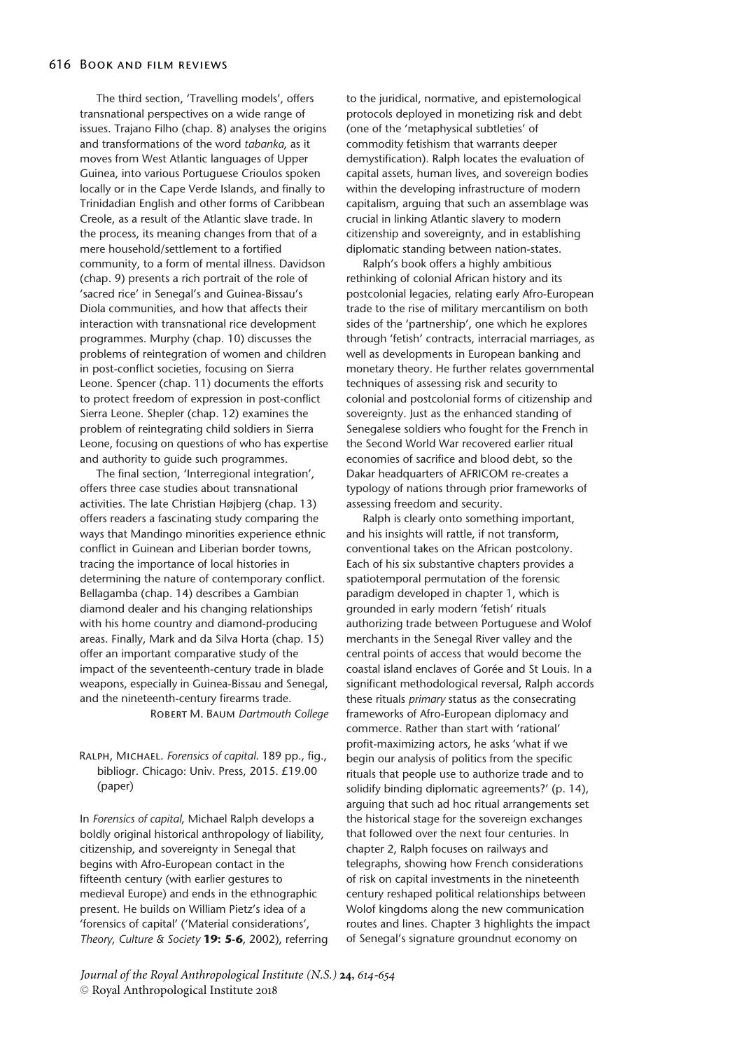The third section, 'Travelling models', offers transnational perspectives on a wide range of issues. Trajano Filho (chap. 8) analyses the origins and transformations of the word *tabanka*, as it moves from West Atlantic languages of Upper Guinea, into various Portuguese Crioulos spoken locally or in the Cape Verde Islands, and finally to Trinidadian English and other forms of Caribbean Creole, as a result of the Atlantic slave trade. In the process, its meaning changes from that of a mere household/settlement to a fortified community, to a form of mental illness. Davidson (chap. 9) presents a rich portrait of the role of 'sacred rice' in Senegal's and Guinea-Bissau's Diola communities, and how that affects their interaction with transnational rice development programmes. Murphy (chap. 10) discusses the problems of reintegration of women and children in post-conflict societies, focusing on Sierra Leone. Spencer (chap. 11) documents the efforts to protect freedom of expression in post-conflict Sierra Leone. Shepler (chap. 12) examines the problem of reintegrating child soldiers in Sierra Leone, focusing on questions of who has expertise and authority to guide such programmes.

The final section, 'Interregional integration', offers three case studies about transnational activities. The late Christian Højbjerg (chap. 13) offers readers a fascinating study comparing the ways that Mandingo minorities experience ethnic conflict in Guinean and Liberian border towns, tracing the importance of local histories in determining the nature of contemporary conflict. Bellagamba (chap. 14) describes a Gambian diamond dealer and his changing relationships with his home country and diamond-producing areas. Finally, Mark and da Silva Horta (chap. 15) offer an important comparative study of the impact of the seventeenth-century trade in blade weapons, especially in Guinea-Bissau and Senegal, and the nineteenth-century firearms trade.

Robert M. Baum *Dartmouth College*

#### Ralph, Michael. *Forensics of capital*. 189 pp., fig., bibliogr. Chicago: Univ. Press, 2015. £19.00 (paper)

In *Forensics of capital*, Michael Ralph develops a boldly original historical anthropology of liability, citizenship, and sovereignty in Senegal that begins with Afro-European contact in the fifteenth century (with earlier gestures to medieval Europe) and ends in the ethnographic present. He builds on William Pietz's idea of a 'forensics of capital' ('Material considerations', *Theory, Culture & Society* **19: 5-6**, 2002), referring to the juridical, normative, and epistemological protocols deployed in monetizing risk and debt (one of the 'metaphysical subtleties' of commodity fetishism that warrants deeper demystification). Ralph locates the evaluation of capital assets, human lives, and sovereign bodies within the developing infrastructure of modern capitalism, arguing that such an assemblage was crucial in linking Atlantic slavery to modern citizenship and sovereignty, and in establishing diplomatic standing between nation-states.

Ralph's book offers a highly ambitious rethinking of colonial African history and its postcolonial legacies, relating early Afro-European trade to the rise of military mercantilism on both sides of the 'partnership', one which he explores through 'fetish' contracts, interracial marriages, as well as developments in European banking and monetary theory. He further relates governmental techniques of assessing risk and security to colonial and postcolonial forms of citizenship and sovereignty. Just as the enhanced standing of Senegalese soldiers who fought for the French in the Second World War recovered earlier ritual economies of sacrifice and blood debt, so the Dakar headquarters of AFRICOM re-creates a typology of nations through prior frameworks of assessing freedom and security.

Ralph is clearly onto something important, and his insights will rattle, if not transform, conventional takes on the African postcolony. Each of his six substantive chapters provides a spatiotemporal permutation of the forensic paradigm developed in chapter 1, which is grounded in early modern 'fetish' rituals authorizing trade between Portuguese and Wolof merchants in the Senegal River valley and the central points of access that would become the coastal island enclaves of Gorée and St Louis. In a significant methodological reversal, Ralph accords these rituals *primary* status as the consecrating frameworks of Afro-European diplomacy and commerce. Rather than start with 'rational' profit-maximizing actors, he asks 'what if we begin our analysis of politics from the specific rituals that people use to authorize trade and to solidify binding diplomatic agreements?' (p. 14), arguing that such ad hoc ritual arrangements set the historical stage for the sovereign exchanges that followed over the next four centuries. In chapter 2, Ralph focuses on railways and telegraphs, showing how French considerations of risk on capital investments in the nineteenth century reshaped political relationships between Wolof kingdoms along the new communication routes and lines. Chapter 3 highlights the impact of Senegal's signature groundnut economy on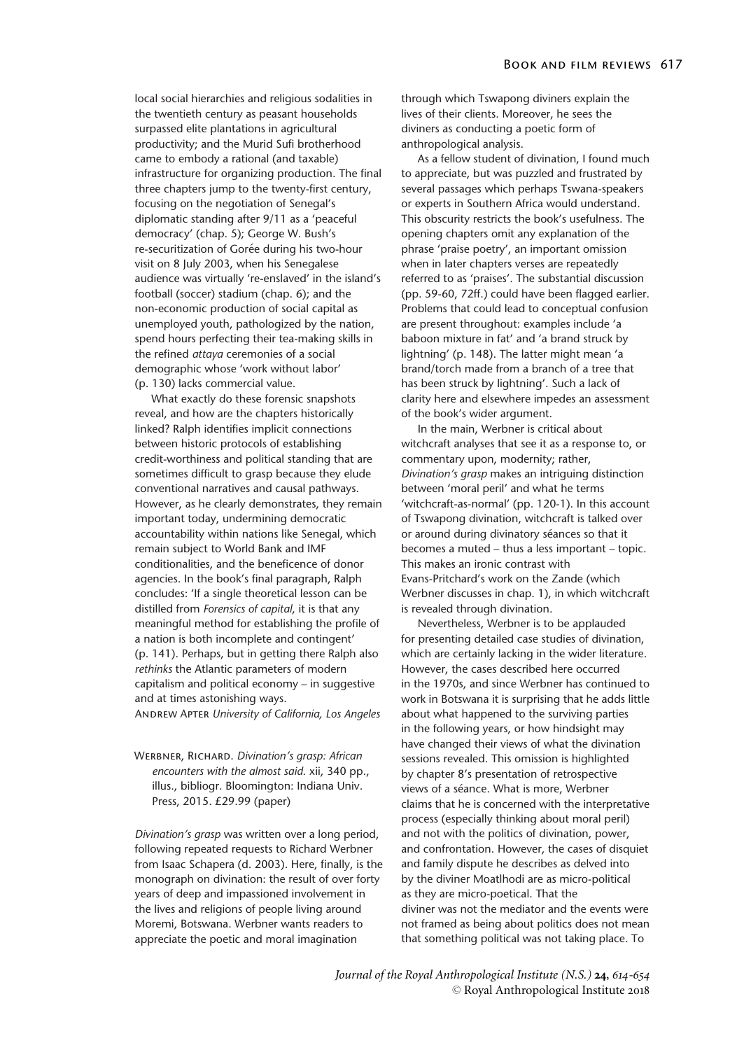local social hierarchies and religious sodalities in the twentieth century as peasant households surpassed elite plantations in agricultural productivity; and the Murid Sufi brotherhood came to embody a rational (and taxable) infrastructure for organizing production. The final three chapters jump to the twenty-first century, focusing on the negotiation of Senegal's diplomatic standing after 9/11 as a 'peaceful democracy' (chap. 5); George W. Bush's re-securitization of Gorée during his two-hour visit on 8 July 2003, when his Senegalese audience was virtually 're-enslaved' in the island's football (soccer) stadium (chap. 6); and the non-economic production of social capital as unemployed youth, pathologized by the nation, spend hours perfecting their tea-making skills in the refined *attaya* ceremonies of a social demographic whose 'work without labor' (p. 130) lacks commercial value.

What exactly do these forensic snapshots reveal, and how are the chapters historically linked? Ralph identifies implicit connections between historic protocols of establishing credit-worthiness and political standing that are sometimes difficult to grasp because they elude conventional narratives and causal pathways. However, as he clearly demonstrates, they remain important today, undermining democratic accountability within nations like Senegal, which remain subject to World Bank and IMF conditionalities, and the beneficence of donor agencies. In the book's final paragraph, Ralph concludes: 'If a single theoretical lesson can be distilled from *Forensics of capital*, it is that any meaningful method for establishing the profile of a nation is both incomplete and contingent' (p. 141). Perhaps, but in getting there Ralph also *rethinks* the Atlantic parameters of modern capitalism and political economy – in suggestive and at times astonishing ways. Andrew Apter *University of California, Los Angeles*

Werbner, Richard. *Divination's grasp: African encounters with the almost said*. xii, 340 pp., illus., bibliogr. Bloomington: Indiana Univ. Press, 2015. £29.99 (paper)

*Divination's grasp* was written over a long period, following repeated requests to Richard Werbner from Isaac Schapera (d. 2003). Here, finally, is the monograph on divination: the result of over forty years of deep and impassioned involvement in the lives and religions of people living around Moremi, Botswana. Werbner wants readers to appreciate the poetic and moral imagination

through which Tswapong diviners explain the lives of their clients. Moreover, he sees the diviners as conducting a poetic form of anthropological analysis.

As a fellow student of divination, I found much to appreciate, but was puzzled and frustrated by several passages which perhaps Tswana-speakers or experts in Southern Africa would understand. This obscurity restricts the book's usefulness. The opening chapters omit any explanation of the phrase 'praise poetry', an important omission when in later chapters verses are repeatedly referred to as 'praises'. The substantial discussion (pp. 59-60, 72ff.) could have been flagged earlier. Problems that could lead to conceptual confusion are present throughout: examples include 'a baboon mixture in fat' and 'a brand struck by lightning' (p. 148). The latter might mean 'a brand/torch made from a branch of a tree that has been struck by lightning'. Such a lack of clarity here and elsewhere impedes an assessment of the book's wider argument.

In the main, Werbner is critical about witchcraft analyses that see it as a response to, or commentary upon, modernity; rather, *Divination's grasp* makes an intriguing distinction between 'moral peril' and what he terms 'witchcraft-as-normal' (pp. 120-1). In this account of Tswapong divination, witchcraft is talked over or around during divinatory séances so that it becomes a muted – thus a less important – topic. This makes an ironic contrast with Evans-Pritchard's work on the Zande (which Werbner discusses in chap. 1), in which witchcraft is revealed through divination.

Nevertheless, Werbner is to be applauded for presenting detailed case studies of divination, which are certainly lacking in the wider literature. However, the cases described here occurred in the 1970s, and since Werbner has continued to work in Botswana it is surprising that he adds little about what happened to the surviving parties in the following years, or how hindsight may have changed their views of what the divination sessions revealed. This omission is highlighted by chapter 8's presentation of retrospective views of a séance. What is more, Werbner claims that he is concerned with the interpretative process (especially thinking about moral peril) and not with the politics of divination, power, and confrontation. However, the cases of disquiet and family dispute he describes as delved into by the diviner Moatlhodi are as micro-political as they are micro-poetical. That the diviner was not the mediator and the events were not framed as being about politics does not mean that something political was not taking place. To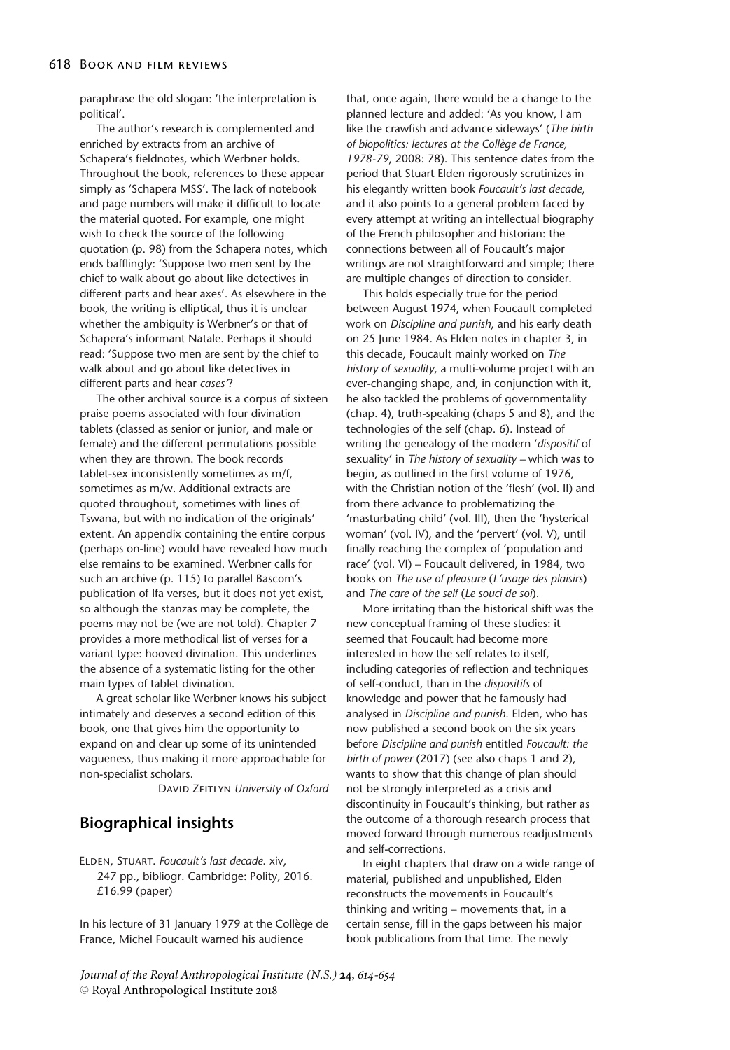paraphrase the old slogan: 'the interpretation is political'.

The author's research is complemented and enriched by extracts from an archive of Schapera's fieldnotes, which Werbner holds. Throughout the book, references to these appear simply as 'Schapera MSS'. The lack of notebook and page numbers will make it difficult to locate the material quoted. For example, one might wish to check the source of the following quotation (p. 98) from the Schapera notes, which ends bafflingly: 'Suppose two men sent by the chief to walk about go about like detectives in different parts and hear axes'. As elsewhere in the book, the writing is elliptical, thus it is unclear whether the ambiguity is Werbner's or that of Schapera's informant Natale. Perhaps it should read: 'Suppose two men are sent by the chief to walk about and go about like detectives in different parts and hear *cases'*?

The other archival source is a corpus of sixteen praise poems associated with four divination tablets (classed as senior or junior, and male or female) and the different permutations possible when they are thrown. The book records tablet-sex inconsistently sometimes as m/f, sometimes as m/w. Additional extracts are quoted throughout, sometimes with lines of Tswana, but with no indication of the originals' extent. An appendix containing the entire corpus (perhaps on-line) would have revealed how much else remains to be examined. Werbner calls for such an archive (p. 115) to parallel Bascom's publication of Ifa verses, but it does not yet exist, so although the stanzas may be complete, the poems may not be (we are not told). Chapter 7 provides a more methodical list of verses for a variant type: hooved divination. This underlines the absence of a systematic listing for the other main types of tablet divination.

A great scholar like Werbner knows his subject intimately and deserves a second edition of this book, one that gives him the opportunity to expand on and clear up some of its unintended vagueness, thus making it more approachable for non-specialist scholars.

**DAVID ZEITLYN University of Oxford** 

## **Biographical insights**

Elden, Stuart. *Foucault's last decade*. xiv, 247 pp., bibliogr. Cambridge: Polity, 2016. £16.99 (paper)

In his lecture of 31 January 1979 at the Collège de France, Michel Foucault warned his audience

that, once again, there would be a change to the planned lecture and added: 'As you know, I am like the crawfish and advance sideways' (*The birth of biopolitics: lectures at the College de France, ` 1978-79*, 2008: 78). This sentence dates from the period that Stuart Elden rigorously scrutinizes in his elegantly written book *Foucault's last decade*, and it also points to a general problem faced by every attempt at writing an intellectual biography of the French philosopher and historian: the connections between all of Foucault's major writings are not straightforward and simple; there are multiple changes of direction to consider.

This holds especially true for the period between August 1974, when Foucault completed work on *Discipline and punish*, and his early death on 25 June 1984. As Elden notes in chapter 3, in this decade, Foucault mainly worked on *The history of sexuality*, a multi-volume project with an ever-changing shape, and, in conjunction with it, he also tackled the problems of governmentality (chap. 4), truth-speaking (chaps 5 and 8), and the technologies of the self (chap. 6). Instead of writing the genealogy of the modern '*dispositif* of sexuality' in *The history of sexuality –* which was to begin, as outlined in the first volume of 1976, with the Christian notion of the 'flesh' (vol. II) and from there advance to problematizing the 'masturbating child' (vol. III), then the 'hysterical woman' (vol. IV), and the 'pervert' (vol. V), until finally reaching the complex of 'population and race' (vol. VI) – Foucault delivered, in 1984, two books on *The use of pleasure* (*L'usage des plaisirs*) and *The care of the self* (*Le souci de soi*).

More irritating than the historical shift was the new conceptual framing of these studies: it seemed that Foucault had become more interested in how the self relates to itself, including categories of reflection and techniques of self-conduct, than in the *dispositifs* of knowledge and power that he famously had analysed in *Discipline and punish*. Elden, who has now published a second book on the six years before *Discipline and punish* entitled *Foucault: the birth of power* (2017) (see also chaps 1 and 2), wants to show that this change of plan should not be strongly interpreted as a crisis and discontinuity in Foucault's thinking, but rather as the outcome of a thorough research process that moved forward through numerous readjustments and self-corrections.

In eight chapters that draw on a wide range of material, published and unpublished, Elden reconstructs the movements in Foucault's thinking and writing – movements that, in a certain sense, fill in the gaps between his major book publications from that time. The newly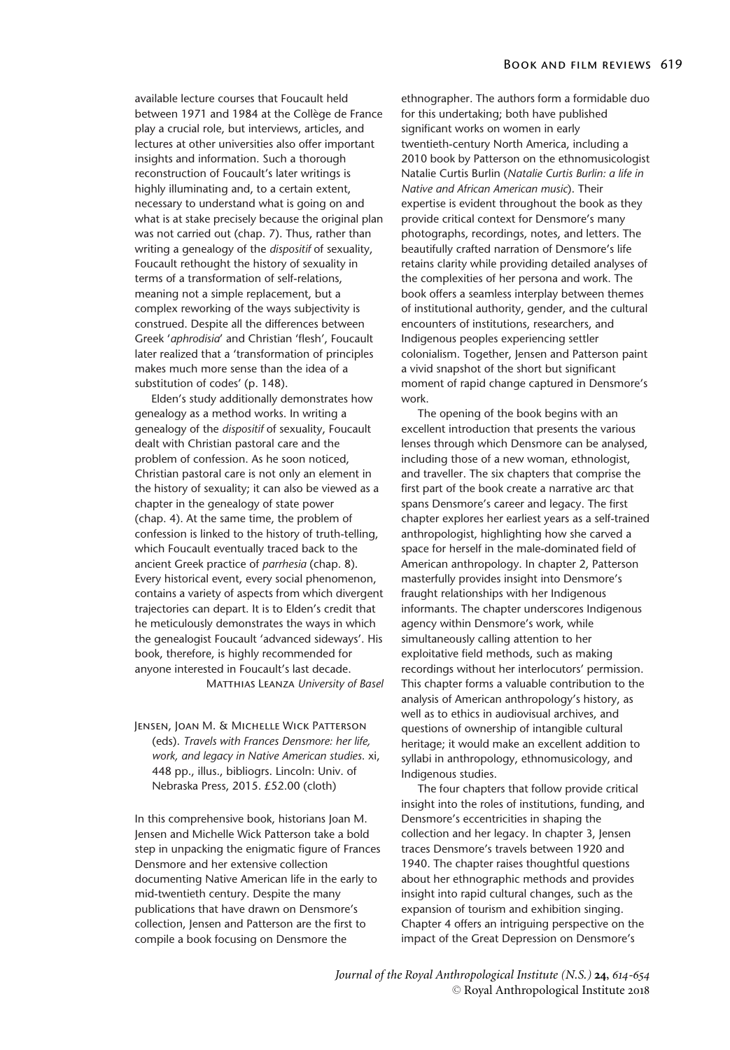available lecture courses that Foucault held between 1971 and 1984 at the Collège de France play a crucial role, but interviews, articles, and lectures at other universities also offer important insights and information. Such a thorough reconstruction of Foucault's later writings is highly illuminating and, to a certain extent, necessary to understand what is going on and what is at stake precisely because the original plan was not carried out (chap. 7). Thus, rather than writing a genealogy of the *dispositif* of sexuality, Foucault rethought the history of sexuality in terms of a transformation of self-relations, meaning not a simple replacement, but a complex reworking of the ways subjectivity is construed. Despite all the differences between Greek '*aphrodisia*' and Christian 'flesh', Foucault later realized that a 'transformation of principles makes much more sense than the idea of a substitution of codes' (p. 148).

Elden's study additionally demonstrates how genealogy as a method works. In writing a genealogy of the *dispositif* of sexuality, Foucault dealt with Christian pastoral care and the problem of confession. As he soon noticed, Christian pastoral care is not only an element in the history of sexuality; it can also be viewed as a chapter in the genealogy of state power (chap. 4). At the same time, the problem of confession is linked to the history of truth-telling, which Foucault eventually traced back to the ancient Greek practice of *parrhesia* (chap. 8). Every historical event, every social phenomenon, contains a variety of aspects from which divergent trajectories can depart. It is to Elden's credit that he meticulously demonstrates the ways in which the genealogist Foucault 'advanced sideways'. His book, therefore, is highly recommended for anyone interested in Foucault's last decade. Matthias Leanza *University of Basel*

Jensen, Joan M. & Michelle Wick Patterson (eds). *Travels with Frances Densmore: her life, work, and legacy in Native American studies*. xi, 448 pp., illus., bibliogrs. Lincoln: Univ. of Nebraska Press, 2015. £52.00 (cloth)

In this comprehensive book, historians Joan M. Jensen and Michelle Wick Patterson take a bold step in unpacking the enigmatic figure of Frances Densmore and her extensive collection documenting Native American life in the early to mid-twentieth century. Despite the many publications that have drawn on Densmore's collection, Jensen and Patterson are the first to compile a book focusing on Densmore the

ethnographer. The authors form a formidable duo for this undertaking; both have published significant works on women in early twentieth-century North America, including a 2010 book by Patterson on the ethnomusicologist Natalie Curtis Burlin (*Natalie Curtis Burlin: a life in Native and African American music*). Their expertise is evident throughout the book as they provide critical context for Densmore's many photographs, recordings, notes, and letters. The beautifully crafted narration of Densmore's life retains clarity while providing detailed analyses of the complexities of her persona and work. The book offers a seamless interplay between themes of institutional authority, gender, and the cultural encounters of institutions, researchers, and Indigenous peoples experiencing settler colonialism. Together, Jensen and Patterson paint a vivid snapshot of the short but significant moment of rapid change captured in Densmore's work.

The opening of the book begins with an excellent introduction that presents the various lenses through which Densmore can be analysed, including those of a new woman, ethnologist, and traveller. The six chapters that comprise the first part of the book create a narrative arc that spans Densmore's career and legacy. The first chapter explores her earliest years as a self-trained anthropologist, highlighting how she carved a space for herself in the male-dominated field of American anthropology. In chapter 2, Patterson masterfully provides insight into Densmore's fraught relationships with her Indigenous informants. The chapter underscores Indigenous agency within Densmore's work, while simultaneously calling attention to her exploitative field methods, such as making recordings without her interlocutors' permission. This chapter forms a valuable contribution to the analysis of American anthropology's history, as well as to ethics in audiovisual archives, and questions of ownership of intangible cultural heritage; it would make an excellent addition to syllabi in anthropology, ethnomusicology, and Indigenous studies.

The four chapters that follow provide critical insight into the roles of institutions, funding, and Densmore's eccentricities in shaping the collection and her legacy. In chapter 3, Jensen traces Densmore's travels between 1920 and 1940. The chapter raises thoughtful questions about her ethnographic methods and provides insight into rapid cultural changes, such as the expansion of tourism and exhibition singing. Chapter 4 offers an intriguing perspective on the impact of the Great Depression on Densmore's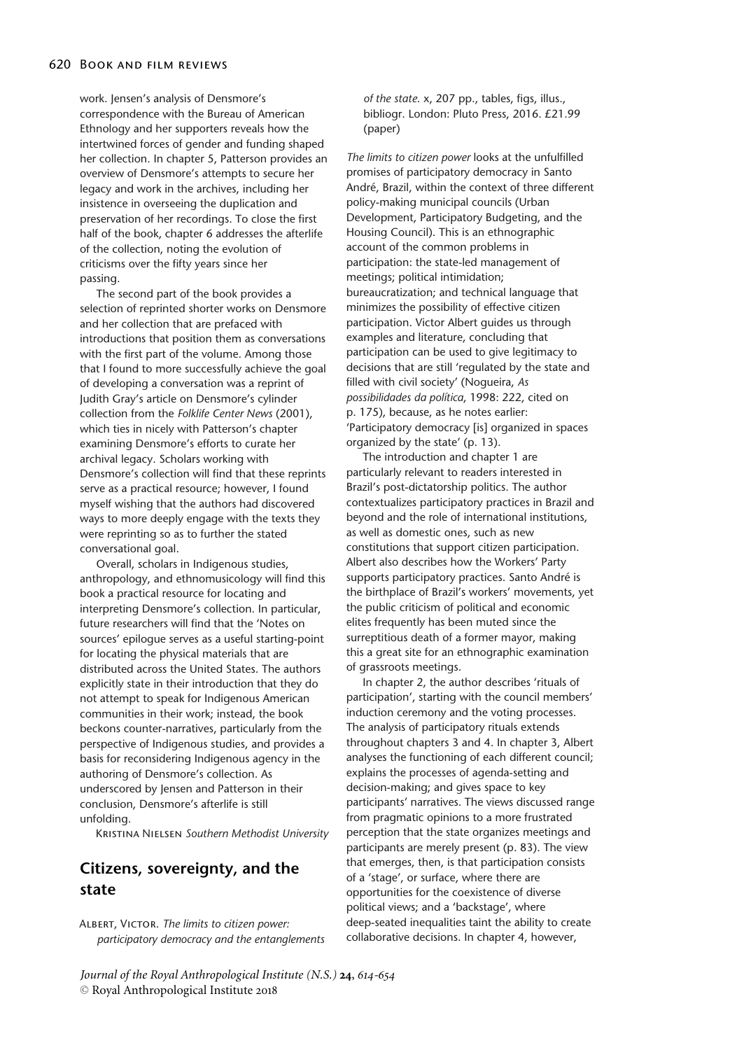work. Jensen's analysis of Densmore's correspondence with the Bureau of American Ethnology and her supporters reveals how the intertwined forces of gender and funding shaped her collection. In chapter 5, Patterson provides an overview of Densmore's attempts to secure her legacy and work in the archives, including her insistence in overseeing the duplication and preservation of her recordings. To close the first half of the book, chapter 6 addresses the afterlife of the collection, noting the evolution of criticisms over the fifty years since her passing.

The second part of the book provides a selection of reprinted shorter works on Densmore and her collection that are prefaced with introductions that position them as conversations with the first part of the volume. Among those that I found to more successfully achieve the goal of developing a conversation was a reprint of Judith Gray's article on Densmore's cylinder collection from the *Folklife Center News* (2001), which ties in nicely with Patterson's chapter examining Densmore's efforts to curate her archival legacy. Scholars working with Densmore's collection will find that these reprints serve as a practical resource; however, I found myself wishing that the authors had discovered ways to more deeply engage with the texts they were reprinting so as to further the stated conversational goal.

Overall, scholars in Indigenous studies, anthropology, and ethnomusicology will find this book a practical resource for locating and interpreting Densmore's collection. In particular, future researchers will find that the 'Notes on sources' epilogue serves as a useful starting-point for locating the physical materials that are distributed across the United States. The authors explicitly state in their introduction that they do not attempt to speak for Indigenous American communities in their work; instead, the book beckons counter-narratives, particularly from the perspective of Indigenous studies, and provides a basis for reconsidering Indigenous agency in the authoring of Densmore's collection. As underscored by Jensen and Patterson in their conclusion, Densmore's afterlife is still unfolding.

Kristina Nielsen *Southern Methodist University*

## **Citizens, sovereignty, and the state**

Albert, Victor. *The limits to citizen power: participatory democracy and the entanglements* *of the state*. x, 207 pp., tables, figs, illus., bibliogr. London: Pluto Press, 2016. £21.99 (paper)

*The limits to citizen power* looks at the unfulfilled promises of participatory democracy in Santo André, Brazil, within the context of three different policy-making municipal councils (Urban Development, Participatory Budgeting, and the Housing Council). This is an ethnographic account of the common problems in participation: the state-led management of meetings; political intimidation; bureaucratization; and technical language that minimizes the possibility of effective citizen participation. Victor Albert guides us through examples and literature, concluding that participation can be used to give legitimacy to decisions that are still 'regulated by the state and filled with civil society' (Nogueira, *As possibilidades da pol´ıtica*, 1998: 222, cited on p. 175), because, as he notes earlier: 'Participatory democracy [is] organized in spaces organized by the state' (p. 13).

The introduction and chapter 1 are particularly relevant to readers interested in Brazil's post-dictatorship politics. The author contextualizes participatory practices in Brazil and beyond and the role of international institutions, as well as domestic ones, such as new constitutions that support citizen participation. Albert also describes how the Workers' Party supports participatory practices. Santo André is the birthplace of Brazil's workers' movements, yet the public criticism of political and economic elites frequently has been muted since the surreptitious death of a former mayor, making this a great site for an ethnographic examination of grassroots meetings.

In chapter 2, the author describes 'rituals of participation', starting with the council members' induction ceremony and the voting processes. The analysis of participatory rituals extends throughout chapters 3 and 4. In chapter 3, Albert analyses the functioning of each different council; explains the processes of agenda-setting and decision-making; and gives space to key participants' narratives. The views discussed range from pragmatic opinions to a more frustrated perception that the state organizes meetings and participants are merely present (p. 83). The view that emerges, then, is that participation consists of a 'stage', or surface, where there are opportunities for the coexistence of diverse political views; and a 'backstage', where deep-seated inequalities taint the ability to create collaborative decisions. In chapter 4, however,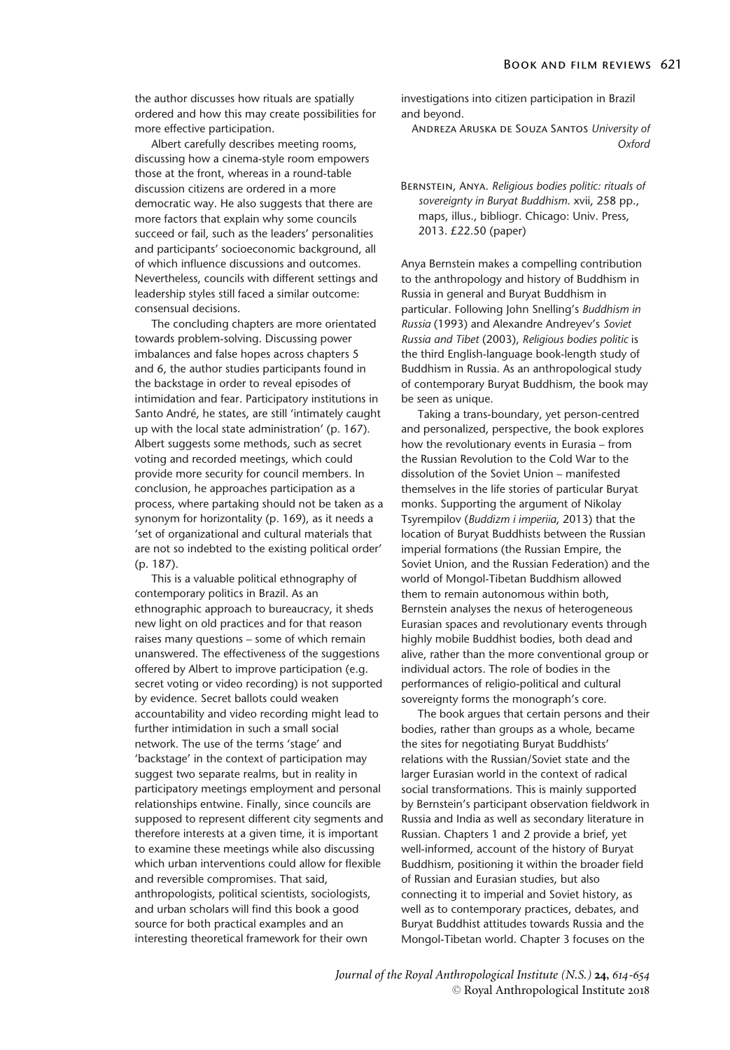the author discusses how rituals are spatially ordered and how this may create possibilities for more effective participation.

Albert carefully describes meeting rooms, discussing how a cinema-style room empowers those at the front, whereas in a round-table discussion citizens are ordered in a more democratic way. He also suggests that there are more factors that explain why some councils succeed or fail, such as the leaders' personalities and participants' socioeconomic background, all of which influence discussions and outcomes. Nevertheless, councils with different settings and leadership styles still faced a similar outcome: consensual decisions.

The concluding chapters are more orientated towards problem-solving. Discussing power imbalances and false hopes across chapters 5 and 6, the author studies participants found in the backstage in order to reveal episodes of intimidation and fear. Participatory institutions in Santo André, he states, are still 'intimately caught up with the local state administration' (p. 167). Albert suggests some methods, such as secret voting and recorded meetings, which could provide more security for council members. In conclusion, he approaches participation as a process, where partaking should not be taken as a synonym for horizontality (p. 169), as it needs a 'set of organizational and cultural materials that are not so indebted to the existing political order' (p. 187).

This is a valuable political ethnography of contemporary politics in Brazil. As an ethnographic approach to bureaucracy, it sheds new light on old practices and for that reason raises many questions – some of which remain unanswered. The effectiveness of the suggestions offered by Albert to improve participation (e.g. secret voting or video recording) is not supported by evidence. Secret ballots could weaken accountability and video recording might lead to further intimidation in such a small social network. The use of the terms 'stage' and 'backstage' in the context of participation may suggest two separate realms, but in reality in participatory meetings employment and personal relationships entwine. Finally, since councils are supposed to represent different city segments and therefore interests at a given time, it is important to examine these meetings while also discussing which urban interventions could allow for flexible and reversible compromises. That said, anthropologists, political scientists, sociologists, and urban scholars will find this book a good source for both practical examples and an interesting theoretical framework for their own

investigations into citizen participation in Brazil and beyond.

Andreza Aruska de Souza Santos *University of Oxford*

Bernstein, Anya. *Religious bodies politic: rituals of sovereignty in Buryat Buddhism*. xvii, 258 pp., maps, illus., bibliogr. Chicago: Univ. Press, 2013. £22.50 (paper)

Anya Bernstein makes a compelling contribution to the anthropology and history of Buddhism in Russia in general and Buryat Buddhism in particular. Following John Snelling's *Buddhism in Russia* (1993) and Alexandre Andreyev's *Soviet Russia and Tibet* (2003), *Religious bodies politic* is the third English-language book-length study of Buddhism in Russia. As an anthropological study of contemporary Buryat Buddhism, the book may be seen as unique.

Taking a trans-boundary, yet person-centred and personalized, perspective, the book explores how the revolutionary events in Eurasia – from the Russian Revolution to the Cold War to the dissolution of the Soviet Union – manifested themselves in the life stories of particular Buryat monks. Supporting the argument of Nikolay Tsyrempilov (*Buddizm i imperiia*, 2013) that the location of Buryat Buddhists between the Russian imperial formations (the Russian Empire, the Soviet Union, and the Russian Federation) and the world of Mongol-Tibetan Buddhism allowed them to remain autonomous within both, Bernstein analyses the nexus of heterogeneous Eurasian spaces and revolutionary events through highly mobile Buddhist bodies, both dead and alive, rather than the more conventional group or individual actors. The role of bodies in the performances of religio-political and cultural sovereignty forms the monograph's core.

The book argues that certain persons and their bodies, rather than groups as a whole, became the sites for negotiating Buryat Buddhists' relations with the Russian/Soviet state and the larger Eurasian world in the context of radical social transformations. This is mainly supported by Bernstein's participant observation fieldwork in Russia and India as well as secondary literature in Russian. Chapters 1 and 2 provide a brief, yet well-informed, account of the history of Buryat Buddhism, positioning it within the broader field of Russian and Eurasian studies, but also connecting it to imperial and Soviet history, as well as to contemporary practices, debates, and Buryat Buddhist attitudes towards Russia and the Mongol-Tibetan world. Chapter 3 focuses on the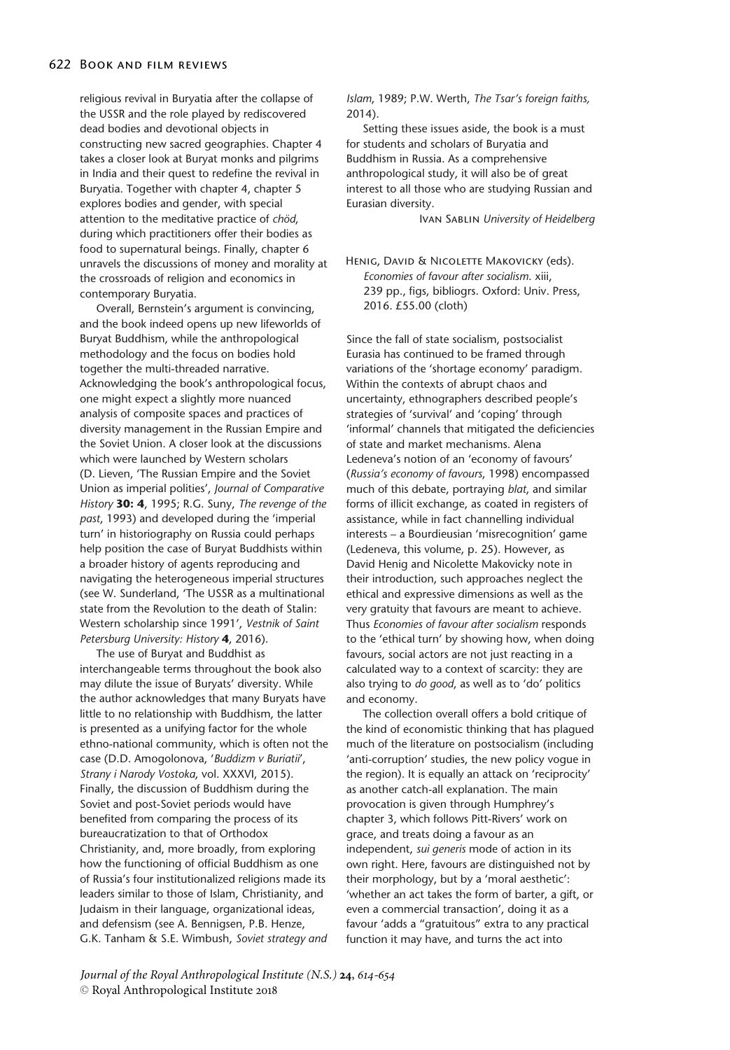religious revival in Buryatia after the collapse of the USSR and the role played by rediscovered dead bodies and devotional objects in constructing new sacred geographies. Chapter 4 takes a closer look at Buryat monks and pilgrims in India and their quest to redefine the revival in Buryatia. Together with chapter 4, chapter 5 explores bodies and gender, with special attention to the meditative practice of *chod*, during which practitioners offer their bodies as food to supernatural beings. Finally, chapter 6 unravels the discussions of money and morality at the crossroads of religion and economics in contemporary Buryatia.

Overall, Bernstein's argument is convincing, and the book indeed opens up new lifeworlds of Buryat Buddhism, while the anthropological methodology and the focus on bodies hold together the multi-threaded narrative. Acknowledging the book's anthropological focus, one might expect a slightly more nuanced analysis of composite spaces and practices of diversity management in the Russian Empire and the Soviet Union. A closer look at the discussions which were launched by Western scholars (D. Lieven, 'The Russian Empire and the Soviet Union as imperial polities', *Journal of Comparative History* **30: 4**, 1995; R.G. Suny, *The revenge of the past*, 1993) and developed during the 'imperial turn' in historiography on Russia could perhaps help position the case of Buryat Buddhists within a broader history of agents reproducing and navigating the heterogeneous imperial structures (see W. Sunderland, 'The USSR as a multinational state from the Revolution to the death of Stalin: Western scholarship since 1991', *Vestnik of Saint Petersburg University: History* **4**, 2016).

The use of Buryat and Buddhist as interchangeable terms throughout the book also may dilute the issue of Buryats' diversity. While the author acknowledges that many Buryats have little to no relationship with Buddhism, the latter is presented as a unifying factor for the whole ethno-national community, which is often not the case (D.D. Amogolonova, '*Buddizm v Buriatii*', *Strany i Narody Vostoka*, vol. XXXVI, 2015). Finally, the discussion of Buddhism during the Soviet and post-Soviet periods would have benefited from comparing the process of its bureaucratization to that of Orthodox Christianity, and, more broadly, from exploring how the functioning of official Buddhism as one of Russia's four institutionalized religions made its leaders similar to those of Islam, Christianity, and Judaism in their language, organizational ideas, and defensism (see A. Bennigsen, P.B. Henze, G.K. Tanham & S.E. Wimbush, *Soviet strategy and* *Islam*, 1989; P.W. Werth, *The Tsar's foreign faiths,* 2014).

Setting these issues aside, the book is a must for students and scholars of Buryatia and Buddhism in Russia. As a comprehensive anthropological study, it will also be of great interest to all those who are studying Russian and Eurasian diversity.

Ivan Sablin *University of Heidelberg*

HENIG, DAVID & NICOLETTE MAKOVICKY (eds). *Economies of favour after socialism*. xiii, 239 pp., figs, bibliogrs. Oxford: Univ. Press, 2016. £55.00 (cloth)

Since the fall of state socialism, postsocialist Eurasia has continued to be framed through variations of the 'shortage economy' paradigm. Within the contexts of abrupt chaos and uncertainty, ethnographers described people's strategies of 'survival' and 'coping' through 'informal' channels that mitigated the deficiencies of state and market mechanisms. Alena Ledeneva's notion of an 'economy of favours' (*Russia's economy of favours*, 1998) encompassed much of this debate, portraying *blat*, and similar forms of illicit exchange, as coated in registers of assistance, while in fact channelling individual interests – a Bourdieusian 'misrecognition' game (Ledeneva, this volume, p. 25). However, as David Henig and Nicolette Makovicky note in their introduction, such approaches neglect the ethical and expressive dimensions as well as the very gratuity that favours are meant to achieve. Thus *Economies of favour after socialism* responds to the 'ethical turn' by showing how, when doing favours, social actors are not just reacting in a calculated way to a context of scarcity: they are also trying to *do good*, as well as to 'do' politics and economy.

The collection overall offers a bold critique of the kind of economistic thinking that has plagued much of the literature on postsocialism (including 'anti-corruption' studies, the new policy vogue in the region). It is equally an attack on 'reciprocity' as another catch-all explanation. The main provocation is given through Humphrey's chapter 3, which follows Pitt-Rivers' work on grace, and treats doing a favour as an independent, *sui generis* mode of action in its own right. Here, favours are distinguished not by their morphology, but by a 'moral aesthetic': 'whether an act takes the form of barter, a gift, or even a commercial transaction', doing it as a favour 'adds a "gratuitous" extra to any practical function it may have, and turns the act into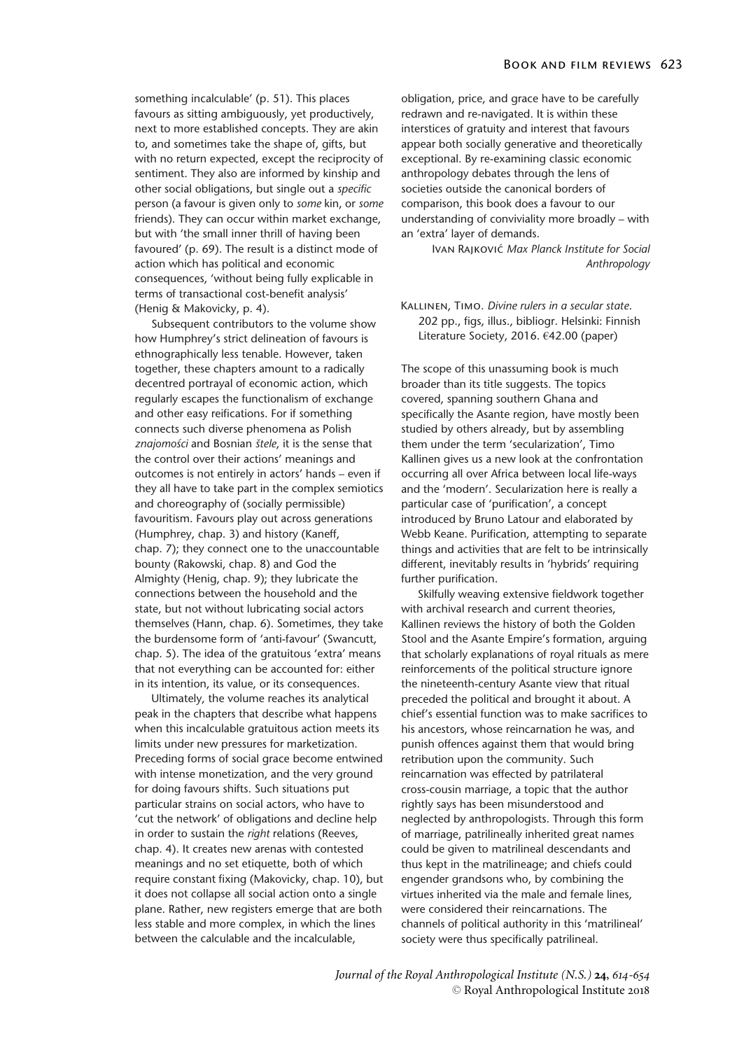something incalculable' (p. 51). This places favours as sitting ambiguously, yet productively, next to more established concepts. They are akin to, and sometimes take the shape of, gifts, but with no return expected, except the reciprocity of sentiment. They also are informed by kinship and other social obligations, but single out a *specific* person (a favour is given only to *some* kin, or *some* friends). They can occur within market exchange, but with 'the small inner thrill of having been favoured' (p. 69). The result is a distinct mode of action which has political and economic consequences, 'without being fully explicable in terms of transactional cost-benefit analysis' (Henig & Makovicky, p. 4).

Subsequent contributors to the volume show how Humphrey's strict delineation of favours is ethnographically less tenable. However, taken together, these chapters amount to a radically decentred portrayal of economic action, which regularly escapes the functionalism of exchange and other easy reifications. For if something connects such diverse phenomena as Polish *znajomosci ´* and Bosnian *ˇstele*, it is the sense that the control over their actions' meanings and outcomes is not entirely in actors' hands – even if they all have to take part in the complex semiotics and choreography of (socially permissible) favouritism. Favours play out across generations (Humphrey, chap. 3) and history (Kaneff, chap. 7); they connect one to the unaccountable bounty (Rakowski, chap. 8) and God the Almighty (Henig, chap. 9); they lubricate the connections between the household and the state, but not without lubricating social actors themselves (Hann, chap. 6). Sometimes, they take the burdensome form of 'anti-favour' (Swancutt, chap. 5). The idea of the gratuitous 'extra' means that not everything can be accounted for: either in its intention, its value, or its consequences.

Ultimately, the volume reaches its analytical peak in the chapters that describe what happens when this incalculable gratuitous action meets its limits under new pressures for marketization. Preceding forms of social grace become entwined with intense monetization, and the very ground for doing favours shifts. Such situations put particular strains on social actors, who have to 'cut the network' of obligations and decline help in order to sustain the *right* relations (Reeves, chap. 4). It creates new arenas with contested meanings and no set etiquette, both of which require constant fixing (Makovicky, chap. 10), but it does not collapse all social action onto a single plane. Rather, new registers emerge that are both less stable and more complex, in which the lines between the calculable and the incalculable,

obligation, price, and grace have to be carefully redrawn and re-navigated. It is within these interstices of gratuity and interest that favours appear both socially generative and theoretically exceptional. By re-examining classic economic anthropology debates through the lens of societies outside the canonical borders of comparison, this book does a favour to our understanding of conviviality more broadly – with an 'extra' layer of demands.

Ivan Rajkovic´ *Max Planck Institute for Social Anthropology*

Kallinen, Timo. *Divine rulers in a secular state*. 202 pp., figs, illus., bibliogr. Helsinki: Finnish Literature Society, 2016. €42.00 (paper)

The scope of this unassuming book is much broader than its title suggests. The topics covered, spanning southern Ghana and specifically the Asante region, have mostly been studied by others already, but by assembling them under the term 'secularization', Timo Kallinen gives us a new look at the confrontation occurring all over Africa between local life-ways and the 'modern'. Secularization here is really a particular case of 'purification', a concept introduced by Bruno Latour and elaborated by Webb Keane. Purification, attempting to separate things and activities that are felt to be intrinsically different, inevitably results in 'hybrids' requiring further purification.

Skilfully weaving extensive fieldwork together with archival research and current theories, Kallinen reviews the history of both the Golden Stool and the Asante Empire's formation, arguing that scholarly explanations of royal rituals as mere reinforcements of the political structure ignore the nineteenth-century Asante view that ritual preceded the political and brought it about. A chief's essential function was to make sacrifices to his ancestors, whose reincarnation he was, and punish offences against them that would bring retribution upon the community. Such reincarnation was effected by patrilateral cross-cousin marriage, a topic that the author rightly says has been misunderstood and neglected by anthropologists. Through this form of marriage, patrilineally inherited great names could be given to matrilineal descendants and thus kept in the matrilineage; and chiefs could engender grandsons who, by combining the virtues inherited via the male and female lines, were considered their reincarnations. The channels of political authority in this 'matrilineal' society were thus specifically patrilineal.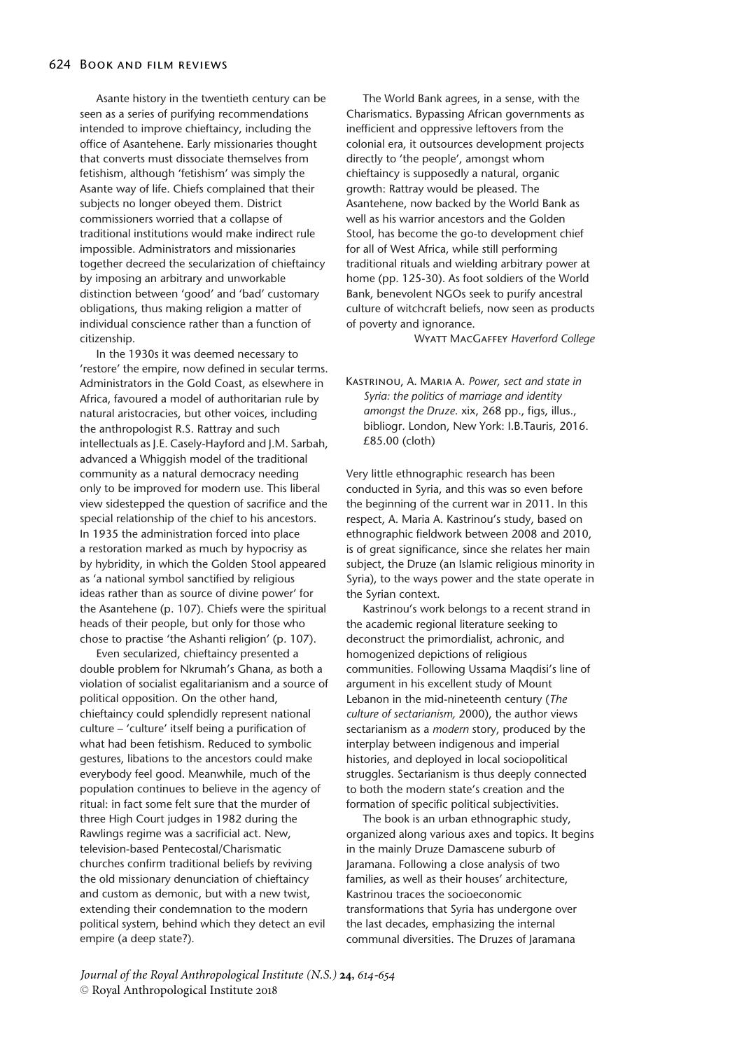Asante history in the twentieth century can be seen as a series of purifying recommendations intended to improve chieftaincy, including the office of Asantehene. Early missionaries thought that converts must dissociate themselves from fetishism, although 'fetishism' was simply the Asante way of life. Chiefs complained that their subjects no longer obeyed them. District commissioners worried that a collapse of traditional institutions would make indirect rule impossible. Administrators and missionaries together decreed the secularization of chieftaincy by imposing an arbitrary and unworkable distinction between 'good' and 'bad' customary obligations, thus making religion a matter of individual conscience rather than a function of citizenship.

In the 1930s it was deemed necessary to 'restore' the empire, now defined in secular terms. Administrators in the Gold Coast, as elsewhere in Africa, favoured a model of authoritarian rule by natural aristocracies, but other voices, including the anthropologist R.S. Rattray and such intellectuals as J.E. Casely-Hayford and J.M. Sarbah, advanced a Whiggish model of the traditional community as a natural democracy needing only to be improved for modern use. This liberal view sidestepped the question of sacrifice and the special relationship of the chief to his ancestors. In 1935 the administration forced into place a restoration marked as much by hypocrisy as by hybridity, in which the Golden Stool appeared as 'a national symbol sanctified by religious ideas rather than as source of divine power' for the Asantehene (p. 107). Chiefs were the spiritual heads of their people, but only for those who chose to practise 'the Ashanti religion' (p. 107).

Even secularized, chieftaincy presented a double problem for Nkrumah's Ghana, as both a violation of socialist egalitarianism and a source of political opposition. On the other hand, chieftaincy could splendidly represent national culture – 'culture' itself being a purification of what had been fetishism. Reduced to symbolic gestures, libations to the ancestors could make everybody feel good. Meanwhile, much of the population continues to believe in the agency of ritual: in fact some felt sure that the murder of three High Court judges in 1982 during the Rawlings regime was a sacrificial act. New, television-based Pentecostal/Charismatic churches confirm traditional beliefs by reviving the old missionary denunciation of chieftaincy and custom as demonic, but with a new twist, extending their condemnation to the modern political system, behind which they detect an evil empire (a deep state?).

The World Bank agrees, in a sense, with the Charismatics. Bypassing African governments as inefficient and oppressive leftovers from the colonial era, it outsources development projects directly to 'the people', amongst whom chieftaincy is supposedly a natural, organic growth: Rattray would be pleased. The Asantehene, now backed by the World Bank as well as his warrior ancestors and the Golden Stool, has become the go-to development chief for all of West Africa, while still performing traditional rituals and wielding arbitrary power at home (pp. 125-30). As foot soldiers of the World Bank, benevolent NGOs seek to purify ancestral culture of witchcraft beliefs, now seen as products of poverty and ignorance.

Wyatt MacGaffey *Haverford College*

Kastrinou, A. Maria A. *Power, sect and state in Syria: the politics of marriage and identity amongst the Druze*. xix, 268 pp., figs, illus., bibliogr. London, New York: I.B.Tauris, 2016. £85.00 (cloth)

Very little ethnographic research has been conducted in Syria, and this was so even before the beginning of the current war in 2011. In this respect, A. Maria A. Kastrinou's study, based on ethnographic fieldwork between 2008 and 2010, is of great significance, since she relates her main subject, the Druze (an Islamic religious minority in Syria), to the ways power and the state operate in the Syrian context.

Kastrinou's work belongs to a recent strand in the academic regional literature seeking to deconstruct the primordialist, achronic, and homogenized depictions of religious communities. Following Ussama Maqdisi's line of argument in his excellent study of Mount Lebanon in the mid-nineteenth century (*The culture of sectarianism,* 2000), the author views sectarianism as a *modern* story, produced by the interplay between indigenous and imperial histories, and deployed in local sociopolitical struggles. Sectarianism is thus deeply connected to both the modern state's creation and the formation of specific political subjectivities.

The book is an urban ethnographic study, organized along various axes and topics. It begins in the mainly Druze Damascene suburb of Jaramana. Following a close analysis of two families, as well as their houses' architecture, Kastrinou traces the socioeconomic transformations that Syria has undergone over the last decades, emphasizing the internal communal diversities. The Druzes of Jaramana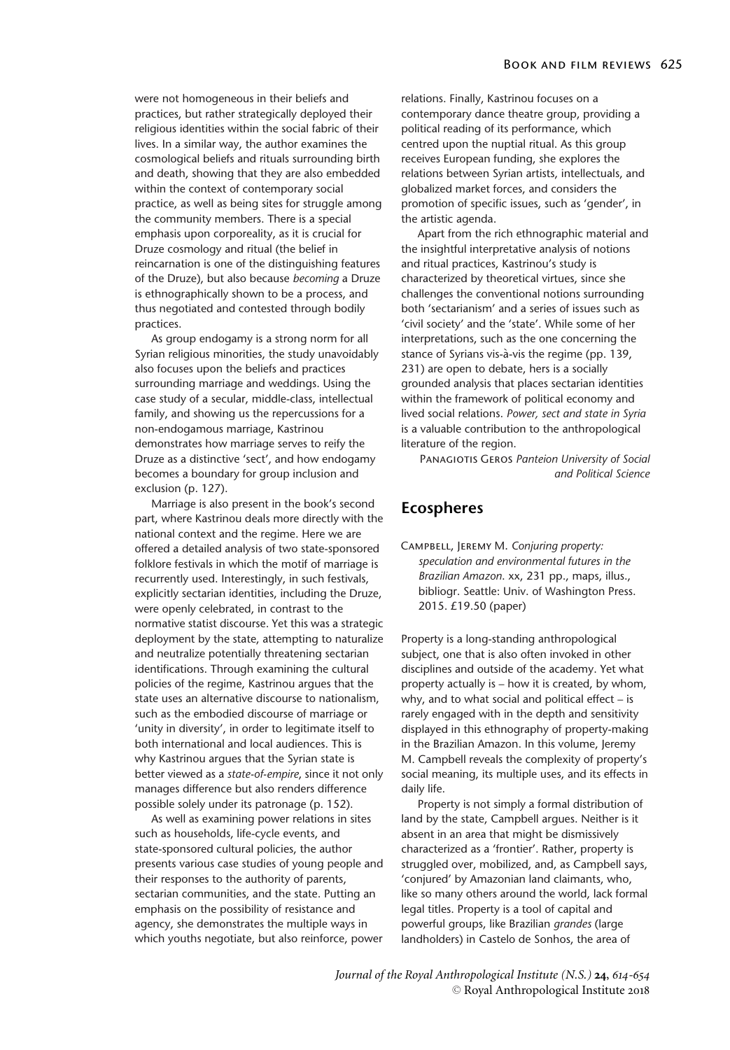were not homogeneous in their beliefs and practices, but rather strategically deployed their religious identities within the social fabric of their lives. In a similar way, the author examines the cosmological beliefs and rituals surrounding birth and death, showing that they are also embedded within the context of contemporary social practice, as well as being sites for struggle among the community members. There is a special emphasis upon corporeality, as it is crucial for Druze cosmology and ritual (the belief in reincarnation is one of the distinguishing features of the Druze), but also because *becoming* a Druze is ethnographically shown to be a process, and thus negotiated and contested through bodily practices.

As group endogamy is a strong norm for all Syrian religious minorities, the study unavoidably also focuses upon the beliefs and practices surrounding marriage and weddings. Using the case study of a secular, middle-class, intellectual family, and showing us the repercussions for a non-endogamous marriage, Kastrinou demonstrates how marriage serves to reify the Druze as a distinctive 'sect', and how endogamy becomes a boundary for group inclusion and exclusion (p. 127).

Marriage is also present in the book's second part, where Kastrinou deals more directly with the national context and the regime. Here we are offered a detailed analysis of two state-sponsored folklore festivals in which the motif of marriage is recurrently used. Interestingly, in such festivals, explicitly sectarian identities, including the Druze, were openly celebrated, in contrast to the normative statist discourse. Yet this was a strategic deployment by the state, attempting to naturalize and neutralize potentially threatening sectarian identifications. Through examining the cultural policies of the regime, Kastrinou argues that the state uses an alternative discourse to nationalism, such as the embodied discourse of marriage or 'unity in diversity', in order to legitimate itself to both international and local audiences. This is why Kastrinou argues that the Syrian state is better viewed as a *state-of-empire*, since it not only manages difference but also renders difference possible solely under its patronage (p. 152).

As well as examining power relations in sites such as households, life-cycle events, and state-sponsored cultural policies, the author presents various case studies of young people and their responses to the authority of parents, sectarian communities, and the state. Putting an emphasis on the possibility of resistance and agency, she demonstrates the multiple ways in which youths negotiate, but also reinforce, power

relations. Finally, Kastrinou focuses on a contemporary dance theatre group, providing a political reading of its performance, which centred upon the nuptial ritual. As this group receives European funding, she explores the relations between Syrian artists, intellectuals, and globalized market forces, and considers the promotion of specific issues, such as 'gender', in the artistic agenda.

Apart from the rich ethnographic material and the insightful interpretative analysis of notions and ritual practices, Kastrinou's study is characterized by theoretical virtues, since she challenges the conventional notions surrounding both 'sectarianism' and a series of issues such as 'civil society' and the 'state'. While some of her interpretations, such as the one concerning the stance of Syrians vis-à-vis the regime (pp. 139, 231) are open to debate, hers is a socially grounded analysis that places sectarian identities within the framework of political economy and lived social relations. *Power, sect and state in Syria* is a valuable contribution to the anthropological literature of the region.

Panagiotis Geros *Panteion University of Social and Political Science*

## **Ecospheres**

Campbell, Jeremy M. *Conjuring property: speculation and environmental futures in the Brazilian Amazon*. xx, 231 pp., maps, illus., bibliogr. Seattle: Univ. of Washington Press. 2015. £19.50 (paper)

Property is a long-standing anthropological subject, one that is also often invoked in other disciplines and outside of the academy. Yet what property actually is – how it is created, by whom, why, and to what social and political effect – is rarely engaged with in the depth and sensitivity displayed in this ethnography of property-making in the Brazilian Amazon. In this volume, Jeremy M. Campbell reveals the complexity of property's social meaning, its multiple uses, and its effects in daily life.

Property is not simply a formal distribution of land by the state, Campbell argues. Neither is it absent in an area that might be dismissively characterized as a 'frontier'. Rather, property is struggled over, mobilized, and, as Campbell says, 'conjured' by Amazonian land claimants, who, like so many others around the world, lack formal legal titles. Property is a tool of capital and powerful groups, like Brazilian *grandes* (large landholders) in Castelo de Sonhos, the area of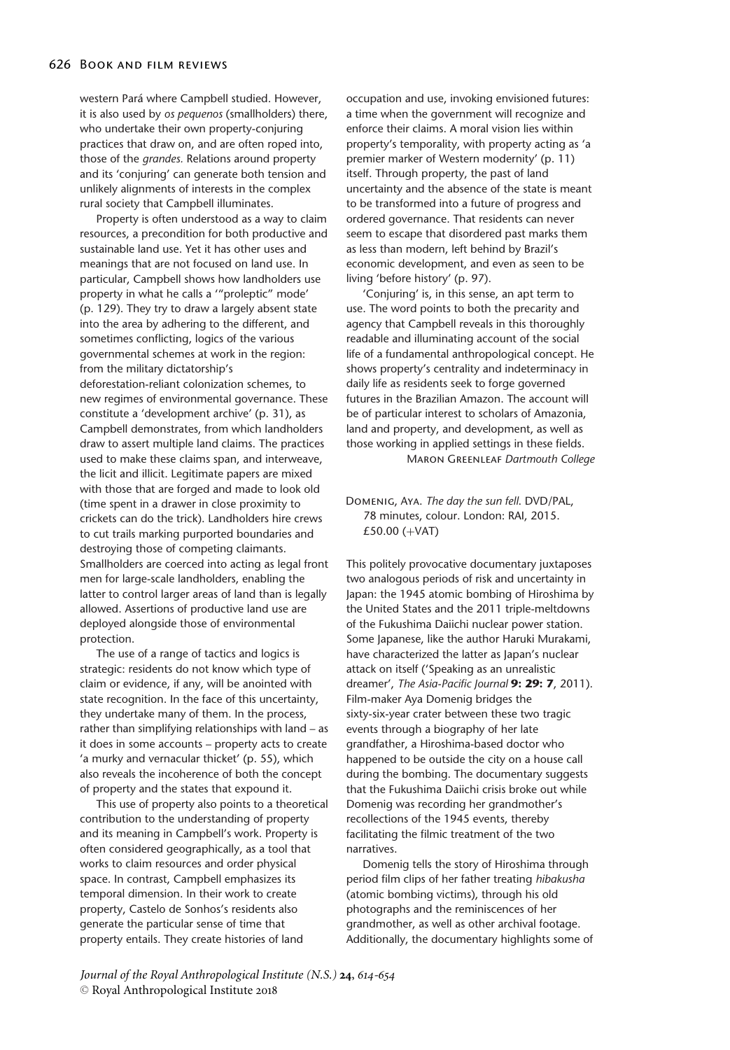western Pará where Campbell studied. However, it is also used by *os pequenos* (smallholders) there, who undertake their own property-conjuring practices that draw on, and are often roped into, those of the *grandes.* Relations around property and its 'conjuring' can generate both tension and unlikely alignments of interests in the complex rural society that Campbell illuminates.

Property is often understood as a way to claim resources, a precondition for both productive and sustainable land use. Yet it has other uses and meanings that are not focused on land use. In particular, Campbell shows how landholders use property in what he calls a '"proleptic" mode' (p. 129). They try to draw a largely absent state into the area by adhering to the different, and sometimes conflicting, logics of the various governmental schemes at work in the region: from the military dictatorship's deforestation-reliant colonization schemes, to new regimes of environmental governance. These constitute a 'development archive' (p. 31), as Campbell demonstrates, from which landholders draw to assert multiple land claims. The practices used to make these claims span, and interweave, the licit and illicit. Legitimate papers are mixed with those that are forged and made to look old (time spent in a drawer in close proximity to crickets can do the trick). Landholders hire crews to cut trails marking purported boundaries and destroying those of competing claimants. Smallholders are coerced into acting as legal front men for large-scale landholders, enabling the latter to control larger areas of land than is legally allowed. Assertions of productive land use are deployed alongside those of environmental protection.

The use of a range of tactics and logics is strategic: residents do not know which type of claim or evidence, if any, will be anointed with state recognition. In the face of this uncertainty, they undertake many of them. In the process, rather than simplifying relationships with land – as it does in some accounts – property acts to create 'a murky and vernacular thicket' (p. 55), which also reveals the incoherence of both the concept of property and the states that expound it.

This use of property also points to a theoretical contribution to the understanding of property and its meaning in Campbell's work. Property is often considered geographically, as a tool that works to claim resources and order physical space. In contrast, Campbell emphasizes its temporal dimension. In their work to create property, Castelo de Sonhos's residents also generate the particular sense of time that property entails. They create histories of land

occupation and use, invoking envisioned futures: a time when the government will recognize and enforce their claims. A moral vision lies within property's temporality, with property acting as 'a premier marker of Western modernity' (p. 11) itself. Through property, the past of land uncertainty and the absence of the state is meant to be transformed into a future of progress and ordered governance. That residents can never seem to escape that disordered past marks them as less than modern, left behind by Brazil's economic development, and even as seen to be living 'before history' (p. 97).

'Conjuring' is, in this sense, an apt term to use. The word points to both the precarity and agency that Campbell reveals in this thoroughly readable and illuminating account of the social life of a fundamental anthropological concept. He shows property's centrality and indeterminacy in daily life as residents seek to forge governed futures in the Brazilian Amazon. The account will be of particular interest to scholars of Amazonia, land and property, and development, as well as those working in applied settings in these fields. Maron Greenleaf *Dartmouth College*

#### Domenig, Aya. *The day the sun fell*. DVD/PAL, 78 minutes, colour. London: RAI, 2015. £50.00 (+VAT)

This politely provocative documentary juxtaposes two analogous periods of risk and uncertainty in Japan: the 1945 atomic bombing of Hiroshima by the United States and the 2011 triple-meltdowns of the Fukushima Daiichi nuclear power station. Some Japanese, like the author Haruki Murakami, have characterized the latter as Japan's nuclear attack on itself ('Speaking as an unrealistic dreamer', *The Asia-Pacific Journal* **9: 29: 7**, 2011). Film-maker Aya Domenig bridges the sixty-six-year crater between these two tragic events through a biography of her late grandfather, a Hiroshima-based doctor who happened to be outside the city on a house call during the bombing. The documentary suggests that the Fukushima Daiichi crisis broke out while Domenig was recording her grandmother's recollections of the 1945 events, thereby facilitating the filmic treatment of the two narratives.

Domenig tells the story of Hiroshima through period film clips of her father treating *hibakusha* (atomic bombing victims), through his old photographs and the reminiscences of her grandmother, as well as other archival footage. Additionally, the documentary highlights some of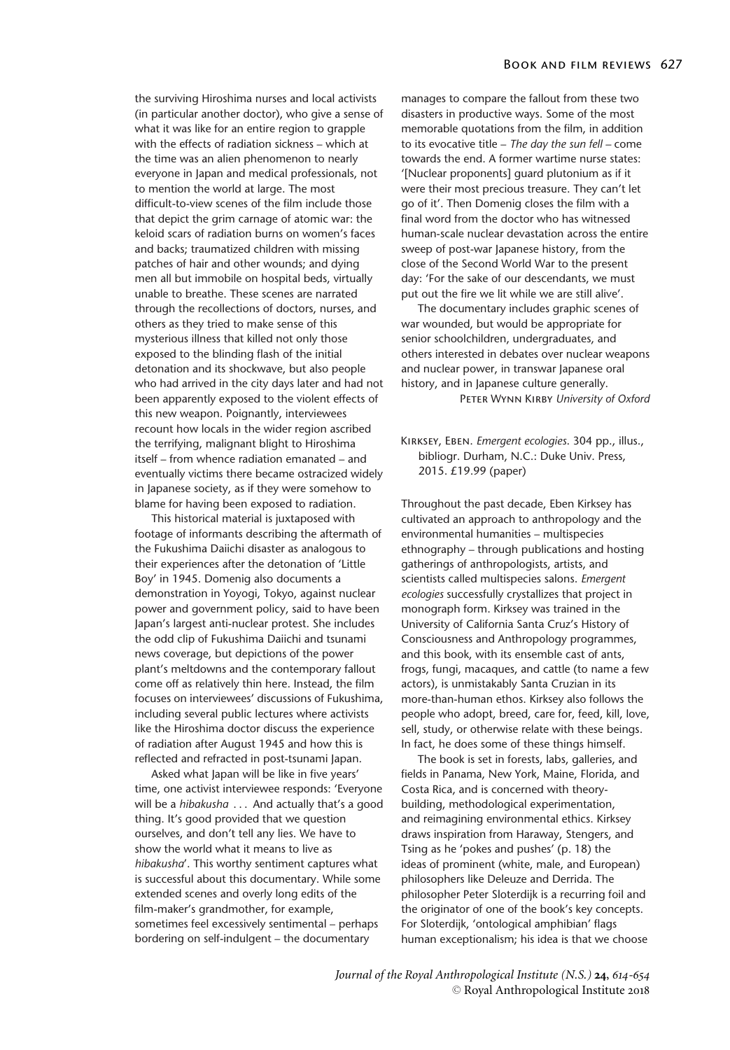the surviving Hiroshima nurses and local activists (in particular another doctor), who give a sense of what it was like for an entire region to grapple with the effects of radiation sickness – which at the time was an alien phenomenon to nearly everyone in Japan and medical professionals, not to mention the world at large. The most difficult-to-view scenes of the film include those that depict the grim carnage of atomic war: the keloid scars of radiation burns on women's faces and backs; traumatized children with missing patches of hair and other wounds; and dying men all but immobile on hospital beds, virtually unable to breathe. These scenes are narrated through the recollections of doctors, nurses, and others as they tried to make sense of this mysterious illness that killed not only those exposed to the blinding flash of the initial detonation and its shockwave, but also people who had arrived in the city days later and had not been apparently exposed to the violent effects of this new weapon. Poignantly, interviewees recount how locals in the wider region ascribed the terrifying, malignant blight to Hiroshima itself – from whence radiation emanated – and eventually victims there became ostracized widely in Japanese society, as if they were somehow to blame for having been exposed to radiation.

This historical material is juxtaposed with footage of informants describing the aftermath of the Fukushima Daiichi disaster as analogous to their experiences after the detonation of 'Little Boy' in 1945. Domenig also documents a demonstration in Yoyogi, Tokyo, against nuclear power and government policy, said to have been Japan's largest anti-nuclear protest. She includes the odd clip of Fukushima Daiichi and tsunami news coverage, but depictions of the power plant's meltdowns and the contemporary fallout come off as relatively thin here. Instead, the film focuses on interviewees' discussions of Fukushima, including several public lectures where activists like the Hiroshima doctor discuss the experience of radiation after August 1945 and how this is reflected and refracted in post-tsunami Japan.

Asked what Japan will be like in five years' time, one activist interviewee responds: 'Everyone will be a *hibakusha* . . . And actually that's a good thing. It's good provided that we question ourselves, and don't tell any lies. We have to show the world what it means to live as *hibakusha*'. This worthy sentiment captures what is successful about this documentary. While some extended scenes and overly long edits of the film-maker's grandmother, for example, sometimes feel excessively sentimental – perhaps bordering on self-indulgent – the documentary

manages to compare the fallout from these two disasters in productive ways. Some of the most memorable quotations from the film, in addition to its evocative title – *The day the sun fell –* come towards the end. A former wartime nurse states: '[Nuclear proponents] guard plutonium as if it were their most precious treasure. They can't let go of it'. Then Domenig closes the film with a final word from the doctor who has witnessed human-scale nuclear devastation across the entire sweep of post-war Japanese history, from the close of the Second World War to the present day: 'For the sake of our descendants, we must put out the fire we lit while we are still alive'.

The documentary includes graphic scenes of war wounded, but would be appropriate for senior schoolchildren, undergraduates, and others interested in debates over nuclear weapons and nuclear power, in transwar Japanese oral history, and in Japanese culture generally.

Peter Wynn Kirby *University of Oxford*

Kirksey, Eben. *Emergent ecologies*. 304 pp., illus., bibliogr. Durham, N.C.: Duke Univ. Press, 2015. £19.99 (paper)

Throughout the past decade, Eben Kirksey has cultivated an approach to anthropology and the environmental humanities – multispecies ethnography – through publications and hosting gatherings of anthropologists, artists, and scientists called multispecies salons. *Emergent ecologies* successfully crystallizes that project in monograph form. Kirksey was trained in the University of California Santa Cruz's History of Consciousness and Anthropology programmes, and this book, with its ensemble cast of ants, frogs, fungi, macaques, and cattle (to name a few actors), is unmistakably Santa Cruzian in its more-than-human ethos. Kirksey also follows the people who adopt, breed, care for, feed, kill, love, sell, study, or otherwise relate with these beings. In fact, he does some of these things himself.

The book is set in forests, labs, galleries, and fields in Panama, New York, Maine, Florida, and Costa Rica, and is concerned with theorybuilding, methodological experimentation, and reimagining environmental ethics. Kirksey draws inspiration from Haraway, Stengers, and Tsing as he 'pokes and pushes' (p. 18) the ideas of prominent (white, male, and European) philosophers like Deleuze and Derrida. The philosopher Peter Sloterdijk is a recurring foil and the originator of one of the book's key concepts. For Sloterdijk, 'ontological amphibian' flags human exceptionalism; his idea is that we choose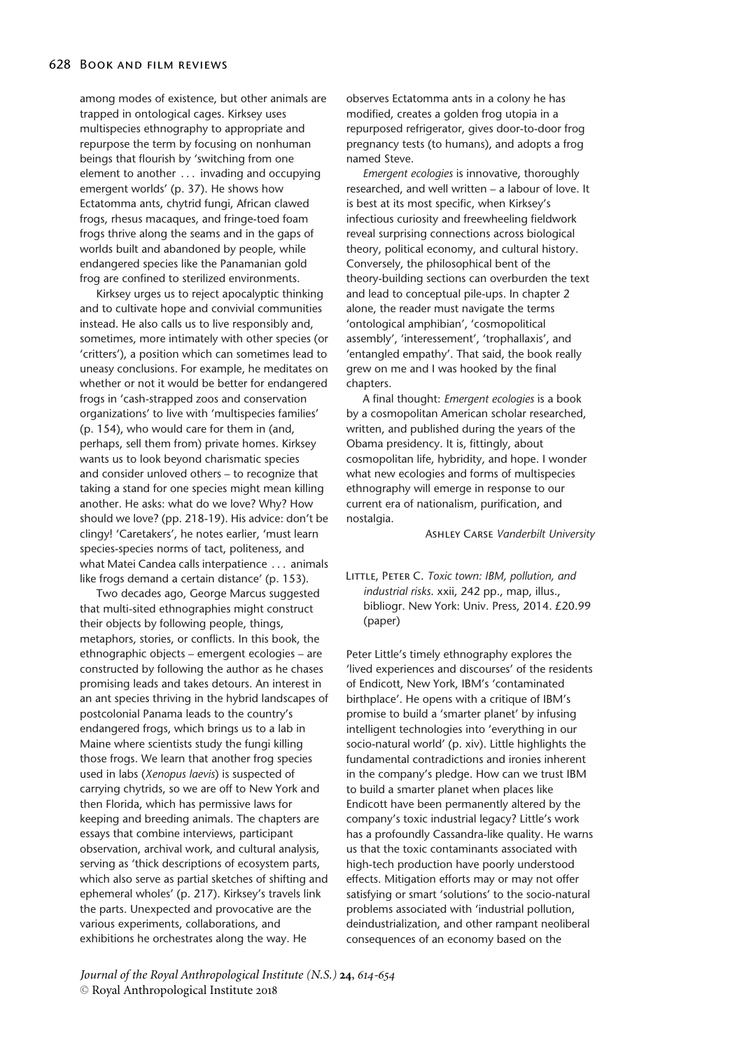among modes of existence, but other animals are trapped in ontological cages. Kirksey uses multispecies ethnography to appropriate and repurpose the term by focusing on nonhuman beings that flourish by 'switching from one element to another . . . invading and occupying emergent worlds' (p. 37). He shows how Ectatomma ants, chytrid fungi, African clawed frogs, rhesus macaques, and fringe-toed foam frogs thrive along the seams and in the gaps of worlds built and abandoned by people, while endangered species like the Panamanian gold frog are confined to sterilized environments.

Kirksey urges us to reject apocalyptic thinking and to cultivate hope and convivial communities instead. He also calls us to live responsibly and, sometimes, more intimately with other species (or 'critters'), a position which can sometimes lead to uneasy conclusions. For example, he meditates on whether or not it would be better for endangered frogs in 'cash-strapped zoos and conservation organizations' to live with 'multispecies families' (p. 154), who would care for them in (and, perhaps, sell them from) private homes. Kirksey wants us to look beyond charismatic species and consider unloved others – to recognize that taking a stand for one species might mean killing another. He asks: what do we love? Why? How should we love? (pp. 218-19). His advice: don't be clingy! 'Caretakers', he notes earlier, 'must learn species-species norms of tact, politeness, and what Matei Candea calls interpatience . . . animals like frogs demand a certain distance' (p. 153).

Two decades ago, George Marcus suggested that multi-sited ethnographies might construct their objects by following people, things, metaphors, stories, or conflicts. In this book, the ethnographic objects – emergent ecologies – are constructed by following the author as he chases promising leads and takes detours. An interest in an ant species thriving in the hybrid landscapes of postcolonial Panama leads to the country's endangered frogs, which brings us to a lab in Maine where scientists study the fungi killing those frogs. We learn that another frog species used in labs (*Xenopus laevis*) is suspected of carrying chytrids, so we are off to New York and then Florida, which has permissive laws for keeping and breeding animals. The chapters are essays that combine interviews, participant observation, archival work, and cultural analysis, serving as 'thick descriptions of ecosystem parts, which also serve as partial sketches of shifting and ephemeral wholes' (p. 217). Kirksey's travels link the parts. Unexpected and provocative are the various experiments, collaborations, and exhibitions he orchestrates along the way. He

observes Ectatomma ants in a colony he has modified, creates a golden frog utopia in a repurposed refrigerator, gives door-to-door frog pregnancy tests (to humans), and adopts a frog named Steve.

*Emergent ecologies* is innovative, thoroughly researched, and well written – a labour of love. It is best at its most specific, when Kirksey's infectious curiosity and freewheeling fieldwork reveal surprising connections across biological theory, political economy, and cultural history. Conversely, the philosophical bent of the theory-building sections can overburden the text and lead to conceptual pile-ups. In chapter 2 alone, the reader must navigate the terms 'ontological amphibian', 'cosmopolitical assembly', 'interessement', 'trophallaxis', and 'entangled empathy'. That said, the book really grew on me and I was hooked by the final chapters.

A final thought: *Emergent ecologies* is a book by a cosmopolitan American scholar researched, written, and published during the years of the Obama presidency. It is, fittingly, about cosmopolitan life, hybridity, and hope. I wonder what new ecologies and forms of multispecies ethnography will emerge in response to our current era of nationalism, purification, and nostalgia.

Ashley Carse *Vanderbilt University*

Little, Peter C. *Toxic town: IBM, pollution, and industrial risks*. xxii, 242 pp., map, illus., bibliogr. New York: Univ. Press, 2014. £20.99 (paper)

Peter Little's timely ethnography explores the 'lived experiences and discourses' of the residents of Endicott, New York, IBM's 'contaminated birthplace'. He opens with a critique of IBM's promise to build a 'smarter planet' by infusing intelligent technologies into 'everything in our socio-natural world' (p. xiv). Little highlights the fundamental contradictions and ironies inherent in the company's pledge. How can we trust IBM to build a smarter planet when places like Endicott have been permanently altered by the company's toxic industrial legacy? Little's work has a profoundly Cassandra-like quality. He warns us that the toxic contaminants associated with high-tech production have poorly understood effects. Mitigation efforts may or may not offer satisfying or smart 'solutions' to the socio-natural problems associated with 'industrial pollution, deindustrialization, and other rampant neoliberal consequences of an economy based on the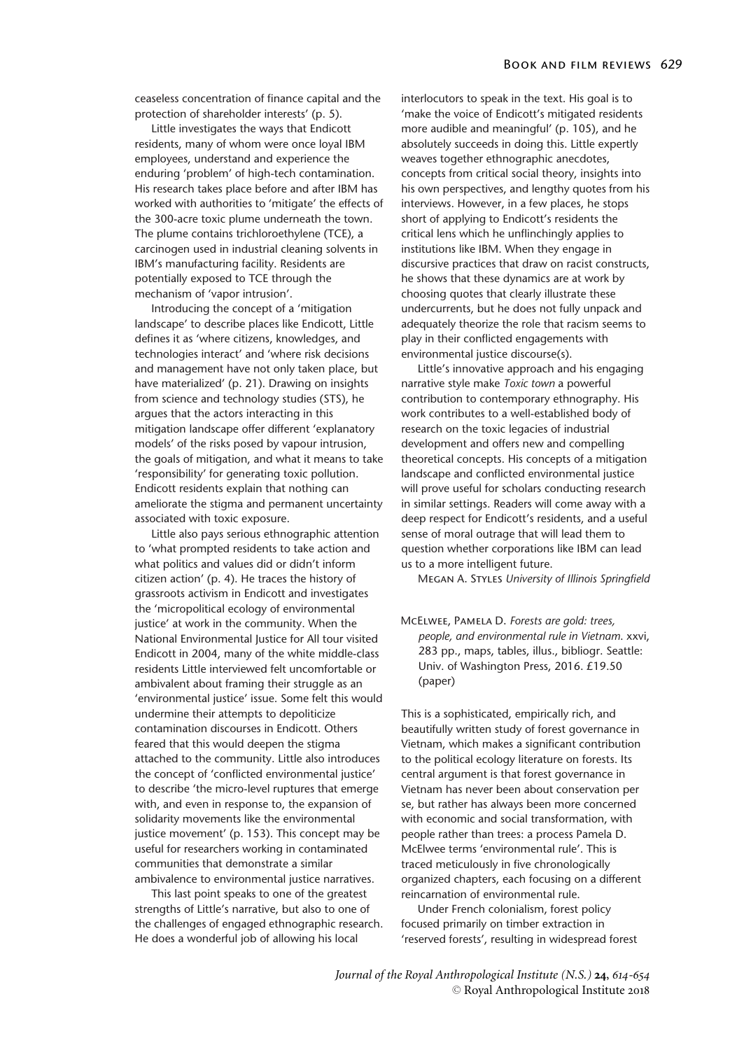ceaseless concentration of finance capital and the protection of shareholder interests' (p. 5).

Little investigates the ways that Endicott residents, many of whom were once loyal IBM employees, understand and experience the enduring 'problem' of high-tech contamination. His research takes place before and after IBM has worked with authorities to 'mitigate' the effects of the 300-acre toxic plume underneath the town. The plume contains trichloroethylene (TCE), a carcinogen used in industrial cleaning solvents in IBM's manufacturing facility. Residents are potentially exposed to TCE through the mechanism of 'vapor intrusion'.

Introducing the concept of a 'mitigation landscape' to describe places like Endicott, Little defines it as 'where citizens, knowledges, and technologies interact' and 'where risk decisions and management have not only taken place, but have materialized' (p. 21). Drawing on insights from science and technology studies (STS), he argues that the actors interacting in this mitigation landscape offer different 'explanatory models' of the risks posed by vapour intrusion, the goals of mitigation, and what it means to take 'responsibility' for generating toxic pollution. Endicott residents explain that nothing can ameliorate the stigma and permanent uncertainty associated with toxic exposure.

Little also pays serious ethnographic attention to 'what prompted residents to take action and what politics and values did or didn't inform citizen action' (p. 4). He traces the history of grassroots activism in Endicott and investigates the 'micropolitical ecology of environmental justice' at work in the community. When the National Environmental Justice for All tour visited Endicott in 2004, many of the white middle-class residents Little interviewed felt uncomfortable or ambivalent about framing their struggle as an 'environmental justice' issue. Some felt this would undermine their attempts to depoliticize contamination discourses in Endicott. Others feared that this would deepen the stigma attached to the community. Little also introduces the concept of 'conflicted environmental justice' to describe 'the micro-level ruptures that emerge with, and even in response to, the expansion of solidarity movements like the environmental justice movement' (p. 153). This concept may be useful for researchers working in contaminated communities that demonstrate a similar ambivalence to environmental justice narratives.

This last point speaks to one of the greatest strengths of Little's narrative, but also to one of the challenges of engaged ethnographic research. He does a wonderful job of allowing his local

interlocutors to speak in the text. His goal is to 'make the voice of Endicott's mitigated residents more audible and meaningful' (p. 105), and he absolutely succeeds in doing this. Little expertly weaves together ethnographic anecdotes, concepts from critical social theory, insights into his own perspectives, and lengthy quotes from his interviews. However, in a few places, he stops short of applying to Endicott's residents the critical lens which he unflinchingly applies to institutions like IBM. When they engage in discursive practices that draw on racist constructs, he shows that these dynamics are at work by choosing quotes that clearly illustrate these undercurrents, but he does not fully unpack and adequately theorize the role that racism seems to play in their conflicted engagements with environmental justice discourse(s).

Little's innovative approach and his engaging narrative style make *Toxic town* a powerful contribution to contemporary ethnography. His work contributes to a well-established body of research on the toxic legacies of industrial development and offers new and compelling theoretical concepts. His concepts of a mitigation landscape and conflicted environmental justice will prove useful for scholars conducting research in similar settings. Readers will come away with a deep respect for Endicott's residents, and a useful sense of moral outrage that will lead them to question whether corporations like IBM can lead us to a more intelligent future.

Megan A. Styles *University of Illinois Springfield*

McElwee, Pamela D. *Forests are gold: trees, people, and environmental rule in Vietnam*. xxvi, 283 pp., maps, tables, illus., bibliogr. Seattle: Univ. of Washington Press, 2016. £19.50 (paper)

This is a sophisticated, empirically rich, and beautifully written study of forest governance in Vietnam, which makes a significant contribution to the political ecology literature on forests. Its central argument is that forest governance in Vietnam has never been about conservation per se, but rather has always been more concerned with economic and social transformation, with people rather than trees: a process Pamela D. McElwee terms 'environmental rule'. This is traced meticulously in five chronologically organized chapters, each focusing on a different reincarnation of environmental rule.

Under French colonialism, forest policy focused primarily on timber extraction in 'reserved forests', resulting in widespread forest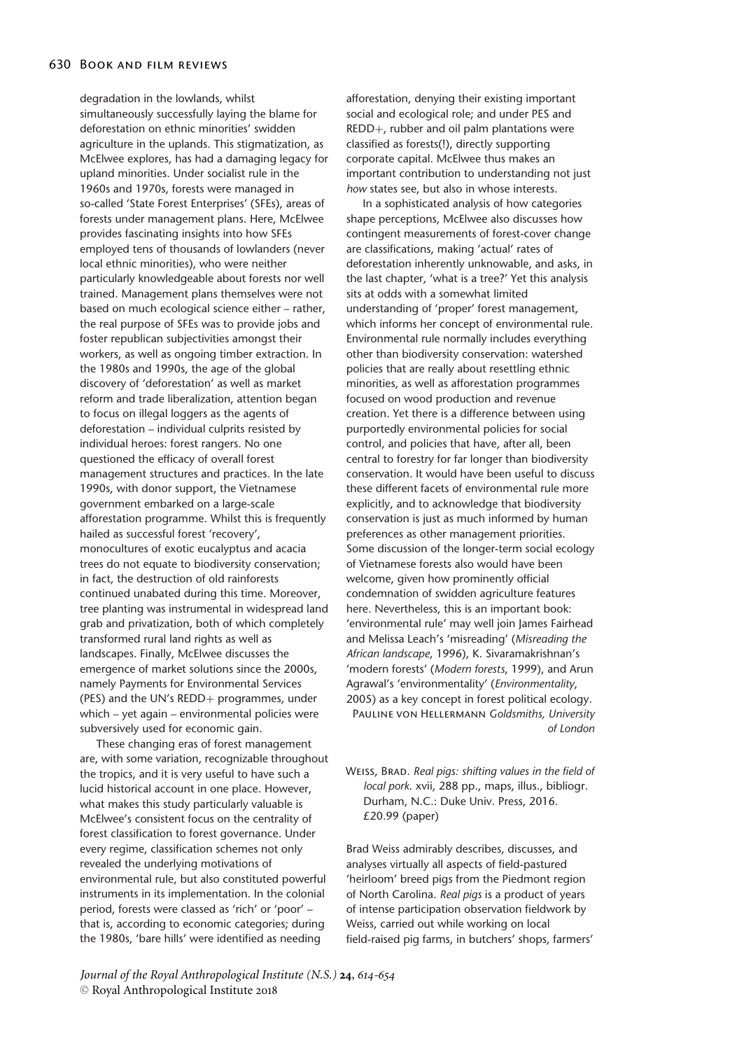degradation in the lowlands, whilst simultaneously successfully laying the blame for deforestation on ethnic minorities' swidden agriculture in the uplands. This stigmatization, as McElwee explores, has had a damaging legacy for upland minorities. Under socialist rule in the 1960s and 1970s, forests were managed in so-called 'State Forest Enterprises' (SFEs), areas of forests under management plans. Here, McElwee provides fascinating insights into how SFEs employed tens of thousands of lowlanders (never local ethnic minorities), who were neither particularly knowledgeable about forests nor well trained. Management plans themselves were not based on much ecological science either – rather, the real purpose of SFEs was to provide jobs and foster republican subjectivities amongst their workers, as well as ongoing timber extraction. In the 1980s and 1990s, the age of the global discovery of 'deforestation' as well as market reform and trade liberalization, attention began to focus on illegal loggers as the agents of deforestation – individual culprits resisted by individual heroes: forest rangers. No one questioned the efficacy of overall forest management structures and practices. In the late 1990s, with donor support, the Vietnamese government embarked on a large-scale afforestation programme. Whilst this is frequently hailed as successful forest 'recovery', monocultures of exotic eucalyptus and acacia trees do not equate to biodiversity conservation; in fact, the destruction of old rainforests continued unabated during this time. Moreover, tree planting was instrumental in widespread land grab and privatization, both of which completely transformed rural land rights as well as landscapes. Finally, McElwee discusses the emergence of market solutions since the 2000s, namely Payments for Environmental Services (PES) and the UN's REDD+ programmes, under which – yet again – environmental policies were subversively used for economic gain.

These changing eras of forest management are, with some variation, recognizable throughout the tropics, and it is very useful to have such a lucid historical account in one place. However, what makes this study particularly valuable is McElwee's consistent focus on the centrality of forest classification to forest governance. Under every regime, classification schemes not only revealed the underlying motivations of environmental rule, but also constituted powerful instruments in its implementation. In the colonial period, forests were classed as 'rich' or 'poor' – that is, according to economic categories; during the 1980s, 'bare hills' were identified as needing

afforestation, denying their existing important social and ecological role; and under PES and REDD+, rubber and oil palm plantations were classified as forests(!), directly supporting corporate capital. McElwee thus makes an important contribution to understanding not just *how* states see, but also in whose interests.

In a sophisticated analysis of how categories shape perceptions, McElwee also discusses how contingent measurements of forest-cover change are classifications, making 'actual' rates of deforestation inherently unknowable, and asks, in the last chapter, 'what is a tree?' Yet this analysis sits at odds with a somewhat limited understanding of 'proper' forest management, which informs her concept of environmental rule. Environmental rule normally includes everything other than biodiversity conservation: watershed policies that are really about resettling ethnic minorities, as well as afforestation programmes focused on wood production and revenue creation. Yet there is a difference between using purportedly environmental policies for social control, and policies that have, after all, been central to forestry for far longer than biodiversity conservation. It would have been useful to discuss these different facets of environmental rule more explicitly, and to acknowledge that biodiversity conservation is just as much informed by human preferences as other management priorities. Some discussion of the longer-term social ecology of Vietnamese forests also would have been welcome, given how prominently official condemnation of swidden agriculture features here. Nevertheless, this is an important book: 'environmental rule' may well join James Fairhead and Melissa Leach's 'misreading' (*Misreading the African landscape*, 1996), K. Sivaramakrishnan's 'modern forests' (*Modern forests*, 1999), and Arun Agrawal's 'environmentality' (*Environmentality*, 2005) as a key concept in forest political ecology. Pauline von Hellermann *Goldsmiths, University of London*

Weiss, Brad. *Real pigs: shifting values in the field of local pork*. xvii, 288 pp., maps, illus., bibliogr. Durham, N.C.: Duke Univ. Press, 2016. £20.99 (paper)

Brad Weiss admirably describes, discusses, and analyses virtually all aspects of field-pastured 'heirloom' breed pigs from the Piedmont region of North Carolina. *Real pigs* is a product of years of intense participation observation fieldwork by Weiss, carried out while working on local field-raised pig farms, in butchers' shops, farmers'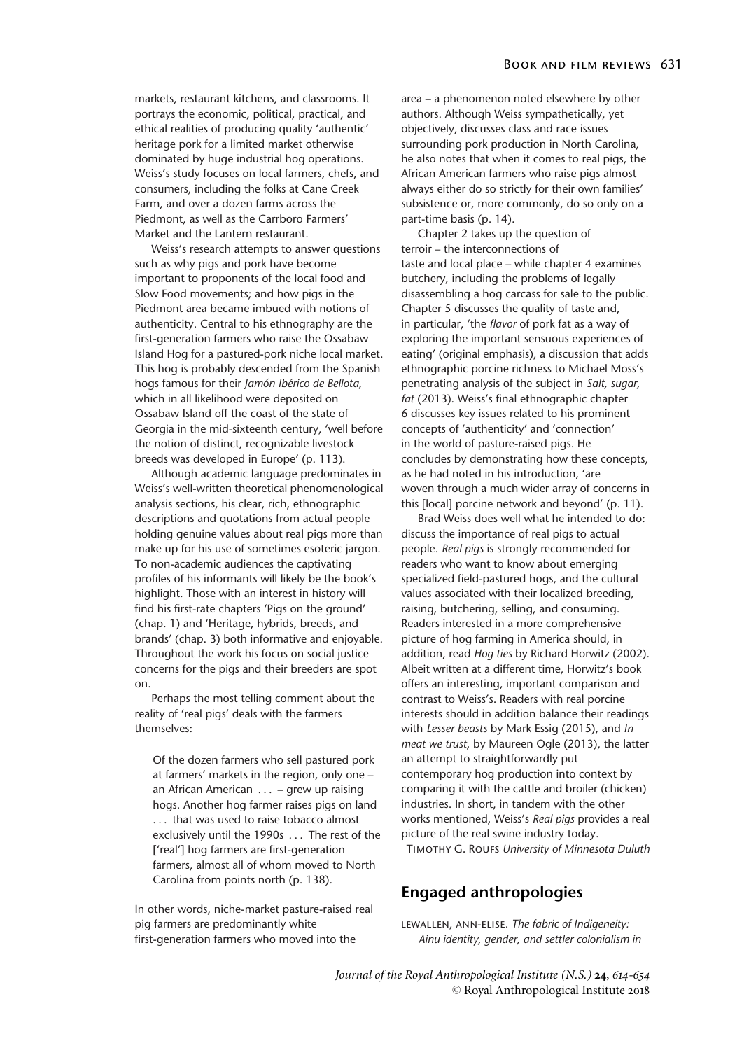markets, restaurant kitchens, and classrooms. It portrays the economic, political, practical, and ethical realities of producing quality 'authentic' heritage pork for a limited market otherwise dominated by huge industrial hog operations. Weiss's study focuses on local farmers, chefs, and consumers, including the folks at Cane Creek Farm, and over a dozen farms across the Piedmont, as well as the Carrboro Farmers' Market and the Lantern restaurant.

Weiss's research attempts to answer questions such as why pigs and pork have become important to proponents of the local food and Slow Food movements; and how pigs in the Piedmont area became imbued with notions of authenticity. Central to his ethnography are the first-generation farmers who raise the Ossabaw Island Hog for a pastured-pork niche local market. This hog is probably descended from the Spanish hogs famous for their *Jamon Ib ´ erico de Bellota ´* , which in all likelihood were deposited on Ossabaw Island off the coast of the state of Georgia in the mid-sixteenth century, 'well before the notion of distinct, recognizable livestock breeds was developed in Europe' (p. 113).

Although academic language predominates in Weiss's well-written theoretical phenomenological analysis sections, his clear, rich, ethnographic descriptions and quotations from actual people holding genuine values about real pigs more than make up for his use of sometimes esoteric jargon. To non-academic audiences the captivating profiles of his informants will likely be the book's highlight. Those with an interest in history will find his first-rate chapters 'Pigs on the ground' (chap. 1) and 'Heritage, hybrids, breeds, and brands' (chap. 3) both informative and enjoyable. Throughout the work his focus on social justice concerns for the pigs and their breeders are spot on.

Perhaps the most telling comment about the reality of 'real pigs' deals with the farmers themselves:

Of the dozen farmers who sell pastured pork at farmers' markets in the region, only one – an African American . . . – grew up raising hogs. Another hog farmer raises pigs on land ... that was used to raise tobacco almost exclusively until the 1990s . . . The rest of the ['real'] hog farmers are first-generation farmers, almost all of whom moved to North Carolina from points north (p. 138).

In other words, niche-market pasture-raised real pig farmers are predominantly white first-generation farmers who moved into the

area – a phenomenon noted elsewhere by other authors. Although Weiss sympathetically, yet objectively, discusses class and race issues surrounding pork production in North Carolina, he also notes that when it comes to real pigs, the African American farmers who raise pigs almost always either do so strictly for their own families' subsistence or, more commonly, do so only on a part-time basis (p. 14).

Chapter 2 takes up the question of terroir – the interconnections of taste and local place – while chapter 4 examines butchery, including the problems of legally disassembling a hog carcass for sale to the public. Chapter 5 discusses the quality of taste and, in particular, 'the *flavor* of pork fat as a way of exploring the important sensuous experiences of eating' (original emphasis), a discussion that adds ethnographic porcine richness to Michael Moss's penetrating analysis of the subject in *Salt, sugar, fat* (2013). Weiss's final ethnographic chapter 6 discusses key issues related to his prominent concepts of 'authenticity' and 'connection' in the world of pasture-raised pigs. He concludes by demonstrating how these concepts, as he had noted in his introduction, 'are woven through a much wider array of concerns in this [local] porcine network and beyond' (p. 11).

Brad Weiss does well what he intended to do: discuss the importance of real pigs to actual people. *Real pigs* is strongly recommended for readers who want to know about emerging specialized field-pastured hogs, and the cultural values associated with their localized breeding, raising, butchering, selling, and consuming. Readers interested in a more comprehensive picture of hog farming in America should, in addition, read *Hog ties* by Richard Horwitz (2002). Albeit written at a different time, Horwitz's book offers an interesting, important comparison and contrast to Weiss's. Readers with real porcine interests should in addition balance their readings with *Lesser beasts* by Mark Essig (2015), and *In meat we trust*, by Maureen Ogle (2013), the latter an attempt to straightforwardly put contemporary hog production into context by comparing it with the cattle and broiler (chicken) industries. In short, in tandem with the other works mentioned, Weiss's *Real pigs* provides a real picture of the real swine industry today. Timothy G. Roufs *University of Minnesota Duluth*

## **Engaged anthropologies**

lewallen, ann-elise. *The fabric of Indigeneity: Ainu identity, gender, and settler colonialism in*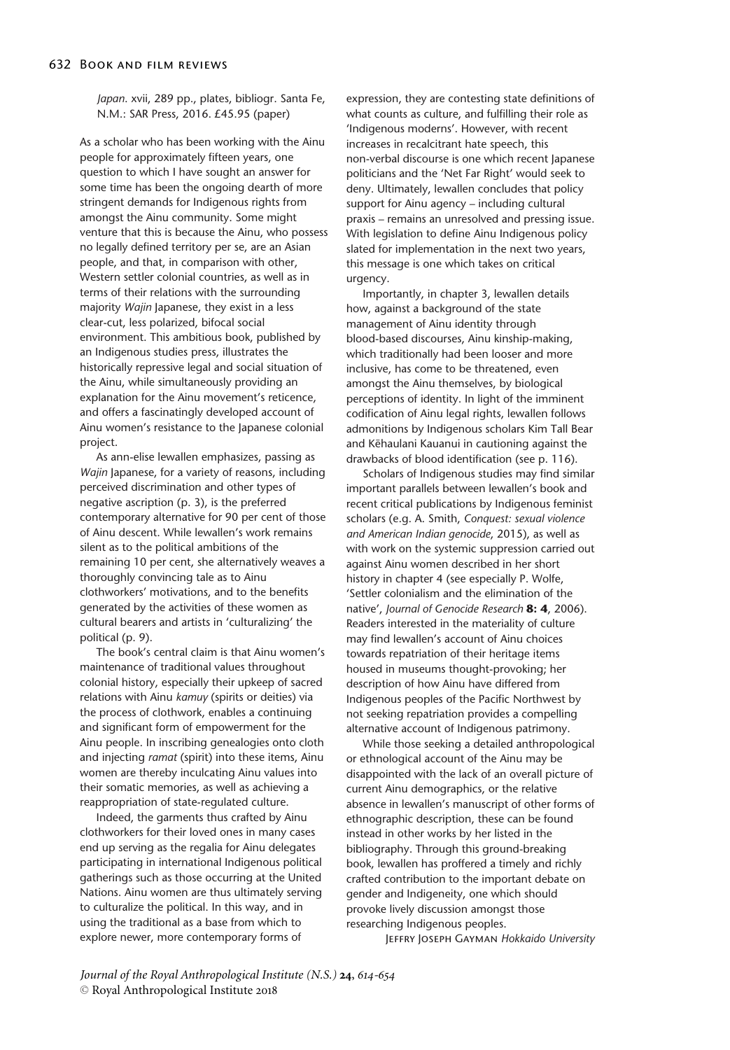*Japan*. xvii, 289 pp., plates, bibliogr. Santa Fe, N.M.: SAR Press, 2016. £45.95 (paper)

As a scholar who has been working with the Ainu people for approximately fifteen years, one question to which I have sought an answer for some time has been the ongoing dearth of more stringent demands for Indigenous rights from amongst the Ainu community. Some might venture that this is because the Ainu, who possess no legally defined territory per se, are an Asian people, and that, in comparison with other, Western settler colonial countries, as well as in terms of their relations with the surrounding majority *Wajin* Japanese, they exist in a less clear-cut, less polarized, bifocal social environment. This ambitious book, published by an Indigenous studies press, illustrates the historically repressive legal and social situation of the Ainu, while simultaneously providing an explanation for the Ainu movement's reticence, and offers a fascinatingly developed account of Ainu women's resistance to the Japanese colonial project.

As ann-elise lewallen emphasizes, passing as *Wajin* Japanese, for a variety of reasons, including perceived discrimination and other types of negative ascription (p. 3), is the preferred contemporary alternative for 90 per cent of those of Ainu descent. While lewallen's work remains silent as to the political ambitions of the remaining 10 per cent, she alternatively weaves a thoroughly convincing tale as to Ainu clothworkers' motivations, and to the benefits generated by the activities of these women as cultural bearers and artists in 'culturalizing' the political (p. 9).

The book's central claim is that Ainu women's maintenance of traditional values throughout colonial history, especially their upkeep of sacred relations with Ainu *kamuy* (spirits or deities) via the process of clothwork, enables a continuing and significant form of empowerment for the Ainu people. In inscribing genealogies onto cloth and injecting *ramat* (spirit) into these items, Ainu women are thereby inculcating Ainu values into their somatic memories, as well as achieving a reappropriation of state-regulated culture.

Indeed, the garments thus crafted by Ainu clothworkers for their loved ones in many cases end up serving as the regalia for Ainu delegates participating in international Indigenous political gatherings such as those occurring at the United Nations. Ainu women are thus ultimately serving to culturalize the political. In this way, and in using the traditional as a base from which to explore newer, more contemporary forms of

expression, they are contesting state definitions of what counts as culture, and fulfilling their role as 'Indigenous moderns'. However, with recent increases in recalcitrant hate speech, this non-verbal discourse is one which recent Japanese politicians and the 'Net Far Right' would seek to deny. Ultimately, lewallen concludes that policy support for Ainu agency – including cultural praxis – remains an unresolved and pressing issue. With legislation to define Ainu Indigenous policy slated for implementation in the next two years, this message is one which takes on critical urgency.

Importantly, in chapter 3, lewallen details how, against a background of the state management of Ainu identity through blood-based discourses, Ainu kinship-making, which traditionally had been looser and more inclusive, has come to be threatened, even amongst the Ainu themselves, by biological perceptions of identity. In light of the imminent codification of Ainu legal rights, lewallen follows admonitions by Indigenous scholars Kim Tall Bear and Kehaulani Kauanui in cautioning against the ¯ drawbacks of blood identification (see p. 116).

Scholars of Indigenous studies may find similar important parallels between lewallen's book and recent critical publications by Indigenous feminist scholars (e.g. A. Smith, *Conquest: sexual violence and American Indian genocide*, 2015), as well as with work on the systemic suppression carried out against Ainu women described in her short history in chapter 4 (see especially P. Wolfe, 'Settler colonialism and the elimination of the native', *Journal of Genocide Research* **8: 4**, 2006). Readers interested in the materiality of culture may find lewallen's account of Ainu choices towards repatriation of their heritage items housed in museums thought-provoking; her description of how Ainu have differed from Indigenous peoples of the Pacific Northwest by not seeking repatriation provides a compelling alternative account of Indigenous patrimony.

While those seeking a detailed anthropological or ethnological account of the Ainu may be disappointed with the lack of an overall picture of current Ainu demographics, or the relative absence in lewallen's manuscript of other forms of ethnographic description, these can be found instead in other works by her listed in the bibliography. Through this ground-breaking book, lewallen has proffered a timely and richly crafted contribution to the important debate on gender and Indigeneity, one which should provoke lively discussion amongst those researching Indigenous peoples.

Jeffry Joseph Gayman *Hokkaido University*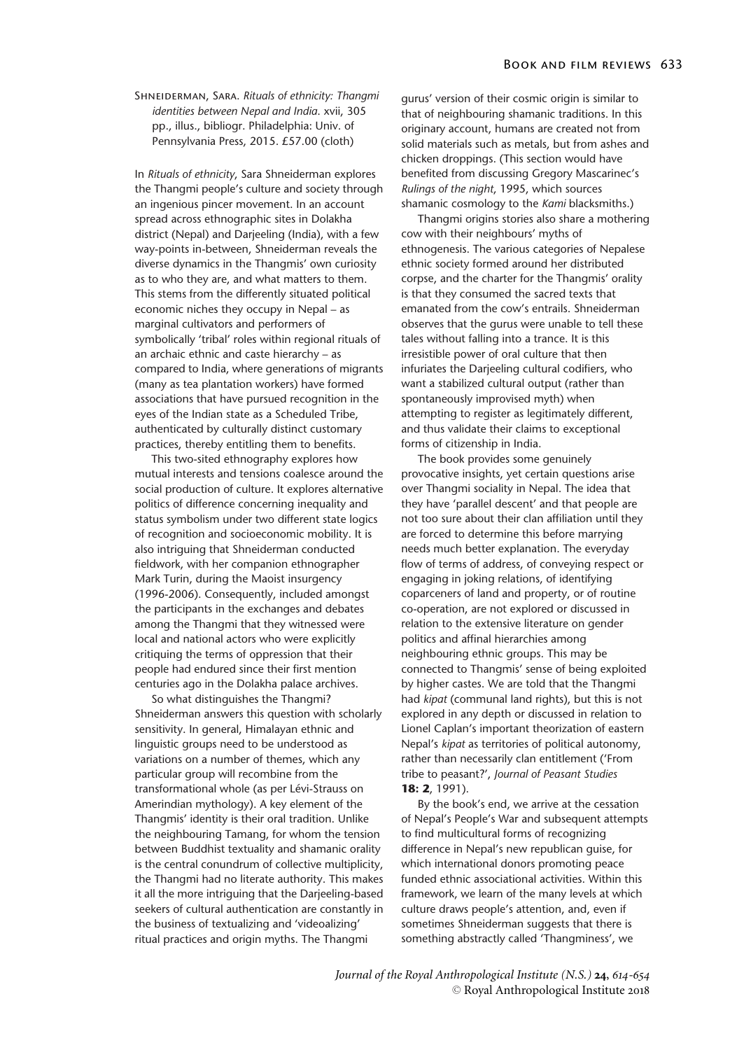Shneiderman, Sara. *Rituals of ethnicity: Thangmi identities between Nepal and India*. xvii, 305 pp., illus., bibliogr. Philadelphia: Univ. of Pennsylvania Press, 2015. £57.00 (cloth)

In *Rituals of ethnicity*, Sara Shneiderman explores the Thangmi people's culture and society through an ingenious pincer movement. In an account spread across ethnographic sites in Dolakha district (Nepal) and Darjeeling (India), with a few way-points in-between, Shneiderman reveals the diverse dynamics in the Thangmis' own curiosity as to who they are, and what matters to them. This stems from the differently situated political economic niches they occupy in Nepal – as marginal cultivators and performers of symbolically 'tribal' roles within regional rituals of an archaic ethnic and caste hierarchy – as compared to India, where generations of migrants (many as tea plantation workers) have formed associations that have pursued recognition in the eyes of the Indian state as a Scheduled Tribe, authenticated by culturally distinct customary practices, thereby entitling them to benefits.

This two-sited ethnography explores how mutual interests and tensions coalesce around the social production of culture. It explores alternative politics of difference concerning inequality and status symbolism under two different state logics of recognition and socioeconomic mobility. It is also intriguing that Shneiderman conducted fieldwork, with her companion ethnographer Mark Turin, during the Maoist insurgency (1996-2006). Consequently, included amongst the participants in the exchanges and debates among the Thangmi that they witnessed were local and national actors who were explicitly critiquing the terms of oppression that their people had endured since their first mention centuries ago in the Dolakha palace archives.

So what distinguishes the Thangmi? Shneiderman answers this question with scholarly sensitivity. In general, Himalayan ethnic and linguistic groups need to be understood as variations on a number of themes, which any particular group will recombine from the transformational whole (as per Lévi-Strauss on Amerindian mythology). A key element of the Thangmis' identity is their oral tradition. Unlike the neighbouring Tamang, for whom the tension between Buddhist textuality and shamanic orality is the central conundrum of collective multiplicity, the Thangmi had no literate authority. This makes it all the more intriguing that the Darjeeling-based seekers of cultural authentication are constantly in the business of textualizing and 'videoalizing' ritual practices and origin myths. The Thangmi

gurus' version of their cosmic origin is similar to that of neighbouring shamanic traditions. In this originary account, humans are created not from solid materials such as metals, but from ashes and chicken droppings. (This section would have benefited from discussing Gregory Mascarinec's *Rulings of the night*, 1995, which sources shamanic cosmology to the *Kami* blacksmiths.)

Thangmi origins stories also share a mothering cow with their neighbours' myths of ethnogenesis. The various categories of Nepalese ethnic society formed around her distributed corpse, and the charter for the Thangmis' orality is that they consumed the sacred texts that emanated from the cow's entrails. Shneiderman observes that the gurus were unable to tell these tales without falling into a trance. It is this irresistible power of oral culture that then infuriates the Darjeeling cultural codifiers, who want a stabilized cultural output (rather than spontaneously improvised myth) when attempting to register as legitimately different, and thus validate their claims to exceptional forms of citizenship in India.

The book provides some genuinely provocative insights, yet certain questions arise over Thangmi sociality in Nepal. The idea that they have 'parallel descent' and that people are not too sure about their clan affiliation until they are forced to determine this before marrying needs much better explanation. The everyday flow of terms of address, of conveying respect or engaging in joking relations, of identifying coparceners of land and property, or of routine co-operation, are not explored or discussed in relation to the extensive literature on gender politics and affinal hierarchies among neighbouring ethnic groups. This may be connected to Thangmis' sense of being exploited by higher castes. We are told that the Thangmi had *kipat* (communal land rights), but this is not explored in any depth or discussed in relation to Lionel Caplan's important theorization of eastern Nepal's *kipat* as territories of political autonomy, rather than necessarily clan entitlement ('From tribe to peasant?', *Journal of Peasant Studies* **18: 2**, 1991).

By the book's end, we arrive at the cessation of Nepal's People's War and subsequent attempts to find multicultural forms of recognizing difference in Nepal's new republican guise, for which international donors promoting peace funded ethnic associational activities. Within this framework, we learn of the many levels at which culture draws people's attention, and, even if sometimes Shneiderman suggests that there is something abstractly called 'Thangminess', we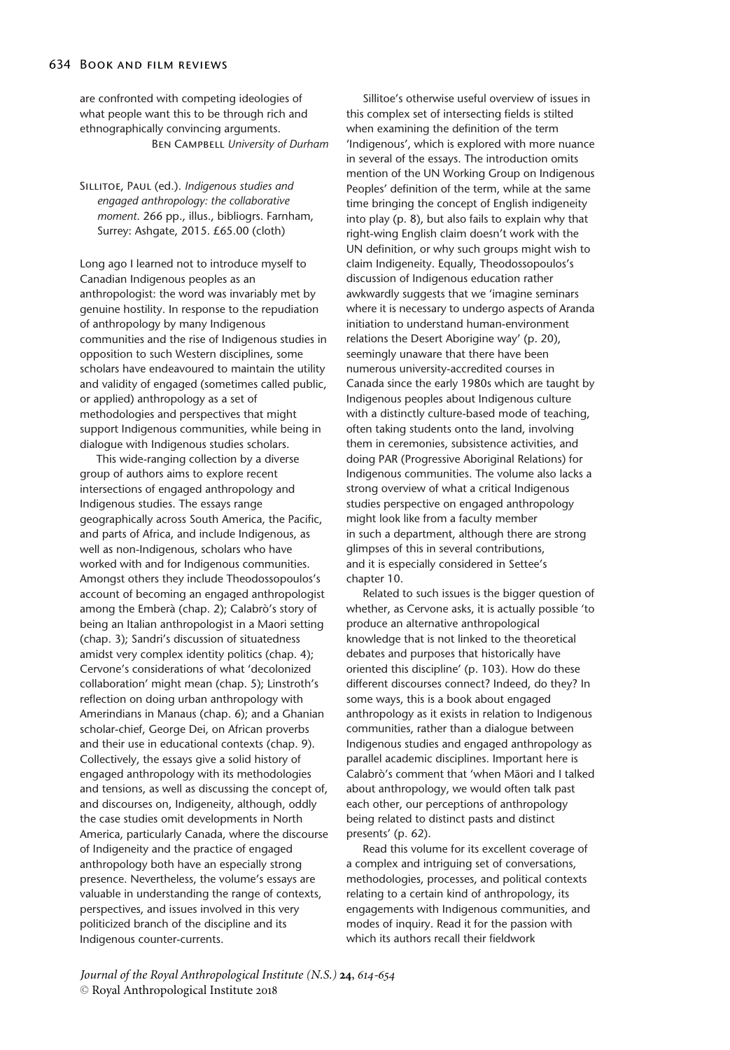are confronted with competing ideologies of what people want this to be through rich and ethnographically convincing arguments. Ben Campbell *University of Durham*

Sillitoe, Paul (ed.). *Indigenous studies and engaged anthropology: the collaborative moment*. 266 pp., illus., bibliogrs. Farnham, Surrey: Ashgate, 2015. £65.00 (cloth)

Long ago I learned not to introduce myself to Canadian Indigenous peoples as an anthropologist: the word was invariably met by genuine hostility. In response to the repudiation of anthropology by many Indigenous communities and the rise of Indigenous studies in opposition to such Western disciplines, some scholars have endeavoured to maintain the utility and validity of engaged (sometimes called public, or applied) anthropology as a set of methodologies and perspectives that might support Indigenous communities, while being in dialogue with Indigenous studies scholars.

This wide-ranging collection by a diverse group of authors aims to explore recent intersections of engaged anthropology and Indigenous studies. The essays range geographically across South America, the Pacific, and parts of Africa, and include Indigenous, as well as non-Indigenous, scholars who have worked with and for Indigenous communities. Amongst others they include Theodossopoulos's account of becoming an engaged anthropologist among the Emberà (chap. 2); Calabrò's story of being an Italian anthropologist in a Maori setting (chap. 3); Sandri's discussion of situatedness amidst very complex identity politics (chap. 4); Cervone's considerations of what 'decolonized collaboration' might mean (chap. 5); Linstroth's reflection on doing urban anthropology with Amerindians in Manaus (chap. 6); and a Ghanian scholar-chief, George Dei, on African proverbs and their use in educational contexts (chap. 9). Collectively, the essays give a solid history of engaged anthropology with its methodologies and tensions, as well as discussing the concept of, and discourses on, Indigeneity, although, oddly the case studies omit developments in North America, particularly Canada, where the discourse of Indigeneity and the practice of engaged anthropology both have an especially strong presence. Nevertheless, the volume's essays are valuable in understanding the range of contexts, perspectives, and issues involved in this very politicized branch of the discipline and its Indigenous counter-currents.

Sillitoe's otherwise useful overview of issues in this complex set of intersecting fields is stilted when examining the definition of the term 'Indigenous', which is explored with more nuance in several of the essays. The introduction omits mention of the UN Working Group on Indigenous Peoples' definition of the term, while at the same time bringing the concept of English indigeneity into play (p. 8), but also fails to explain why that right-wing English claim doesn't work with the UN definition, or why such groups might wish to claim Indigeneity. Equally, Theodossopoulos's discussion of Indigenous education rather awkwardly suggests that we 'imagine seminars where it is necessary to undergo aspects of Aranda initiation to understand human-environment relations the Desert Aborigine way' (p. 20), seemingly unaware that there have been numerous university-accredited courses in Canada since the early 1980s which are taught by Indigenous peoples about Indigenous culture with a distinctly culture-based mode of teaching, often taking students onto the land, involving them in ceremonies, subsistence activities, and doing PAR (Progressive Aboriginal Relations) for Indigenous communities. The volume also lacks a strong overview of what a critical Indigenous studies perspective on engaged anthropology might look like from a faculty member in such a department, although there are strong glimpses of this in several contributions, and it is especially considered in Settee's chapter 10.

Related to such issues is the bigger question of whether, as Cervone asks, it is actually possible 'to produce an alternative anthropological knowledge that is not linked to the theoretical debates and purposes that historically have oriented this discipline' (p. 103). How do these different discourses connect? Indeed, do they? In some ways, this is a book about engaged anthropology as it exists in relation to Indigenous communities, rather than a dialogue between Indigenous studies and engaged anthropology as parallel academic disciplines. Important here is Calabrò's comment that 'when Māori and I talked about anthropology, we would often talk past each other, our perceptions of anthropology being related to distinct pasts and distinct presents' (p. 62).

Read this volume for its excellent coverage of a complex and intriguing set of conversations, methodologies, processes, and political contexts relating to a certain kind of anthropology, its engagements with Indigenous communities, and modes of inquiry. Read it for the passion with which its authors recall their fieldwork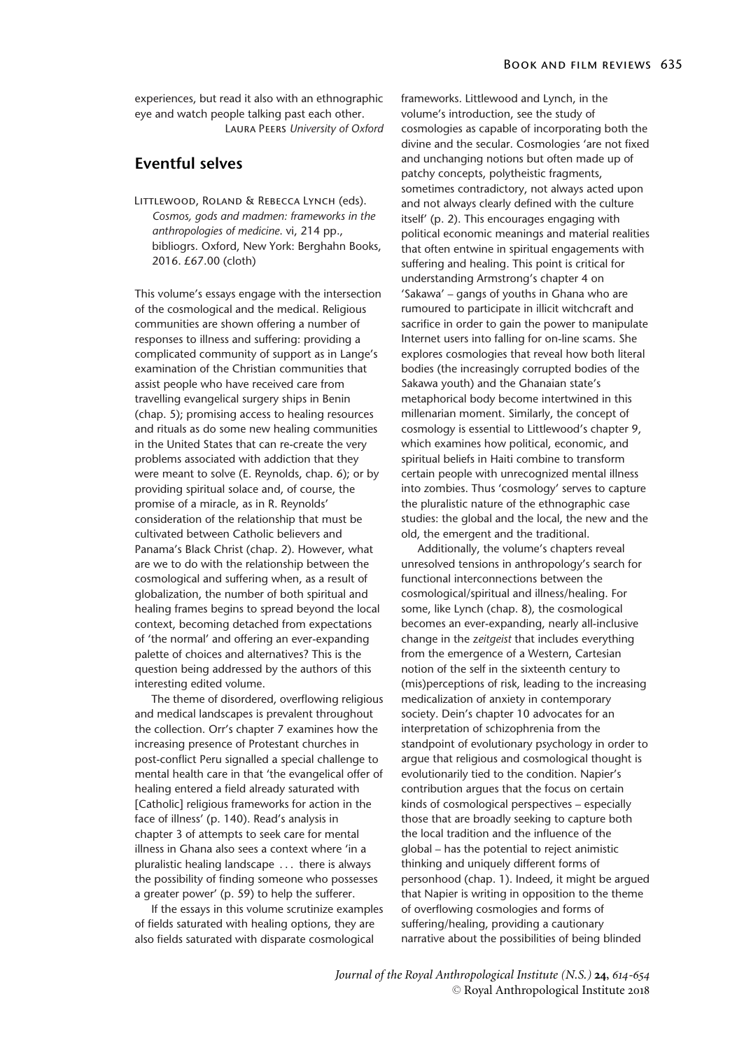experiences, but read it also with an ethnographic eye and watch people talking past each other. Laura Peers *University of Oxford*

## **Eventful selves**

Littlewood, Roland & Rebecca Lynch (eds). *Cosmos, gods and madmen: frameworks in the anthropologies of medicine*. vi, 214 pp., bibliogrs. Oxford, New York: Berghahn Books, 2016. £67.00 (cloth)

This volume's essays engage with the intersection of the cosmological and the medical. Religious communities are shown offering a number of responses to illness and suffering: providing a complicated community of support as in Lange's examination of the Christian communities that assist people who have received care from travelling evangelical surgery ships in Benin (chap. 5); promising access to healing resources and rituals as do some new healing communities in the United States that can re-create the very problems associated with addiction that they were meant to solve (E. Reynolds, chap. 6); or by providing spiritual solace and, of course, the promise of a miracle, as in R. Reynolds' consideration of the relationship that must be cultivated between Catholic believers and Panama's Black Christ (chap. 2). However, what are we to do with the relationship between the cosmological and suffering when, as a result of globalization, the number of both spiritual and healing frames begins to spread beyond the local context, becoming detached from expectations of 'the normal' and offering an ever-expanding palette of choices and alternatives? This is the question being addressed by the authors of this interesting edited volume.

The theme of disordered, overflowing religious and medical landscapes is prevalent throughout the collection. Orr's chapter 7 examines how the increasing presence of Protestant churches in post-conflict Peru signalled a special challenge to mental health care in that 'the evangelical offer of healing entered a field already saturated with [Catholic] religious frameworks for action in the face of illness' (p. 140). Read's analysis in chapter 3 of attempts to seek care for mental illness in Ghana also sees a context where 'in a pluralistic healing landscape . . . there is always the possibility of finding someone who possesses a greater power' (p. 59) to help the sufferer.

If the essays in this volume scrutinize examples of fields saturated with healing options, they are also fields saturated with disparate cosmological

frameworks. Littlewood and Lynch, in the volume's introduction, see the study of cosmologies as capable of incorporating both the divine and the secular. Cosmologies 'are not fixed and unchanging notions but often made up of patchy concepts, polytheistic fragments, sometimes contradictory, not always acted upon and not always clearly defined with the culture itself' (p. 2). This encourages engaging with political economic meanings and material realities that often entwine in spiritual engagements with suffering and healing. This point is critical for understanding Armstrong's chapter 4 on 'Sakawa' – gangs of youths in Ghana who are rumoured to participate in illicit witchcraft and sacrifice in order to gain the power to manipulate Internet users into falling for on-line scams. She explores cosmologies that reveal how both literal bodies (the increasingly corrupted bodies of the Sakawa youth) and the Ghanaian state's metaphorical body become intertwined in this millenarian moment. Similarly, the concept of cosmology is essential to Littlewood's chapter 9, which examines how political, economic, and spiritual beliefs in Haiti combine to transform certain people with unrecognized mental illness into zombies. Thus 'cosmology' serves to capture the pluralistic nature of the ethnographic case studies: the global and the local, the new and the old, the emergent and the traditional.

Additionally, the volume's chapters reveal unresolved tensions in anthropology's search for functional interconnections between the cosmological/spiritual and illness/healing. For some, like Lynch (chap. 8), the cosmological becomes an ever-expanding, nearly all-inclusive change in the z*eitgeist* that includes everything from the emergence of a Western, Cartesian notion of the self in the sixteenth century to (mis)perceptions of risk, leading to the increasing medicalization of anxiety in contemporary society. Dein's chapter 10 advocates for an interpretation of schizophrenia from the standpoint of evolutionary psychology in order to argue that religious and cosmological thought is evolutionarily tied to the condition. Napier's contribution argues that the focus on certain kinds of cosmological perspectives – especially those that are broadly seeking to capture both the local tradition and the influence of the global – has the potential to reject animistic thinking and uniquely different forms of personhood (chap. 1). Indeed, it might be argued that Napier is writing in opposition to the theme of overflowing cosmologies and forms of suffering/healing, providing a cautionary narrative about the possibilities of being blinded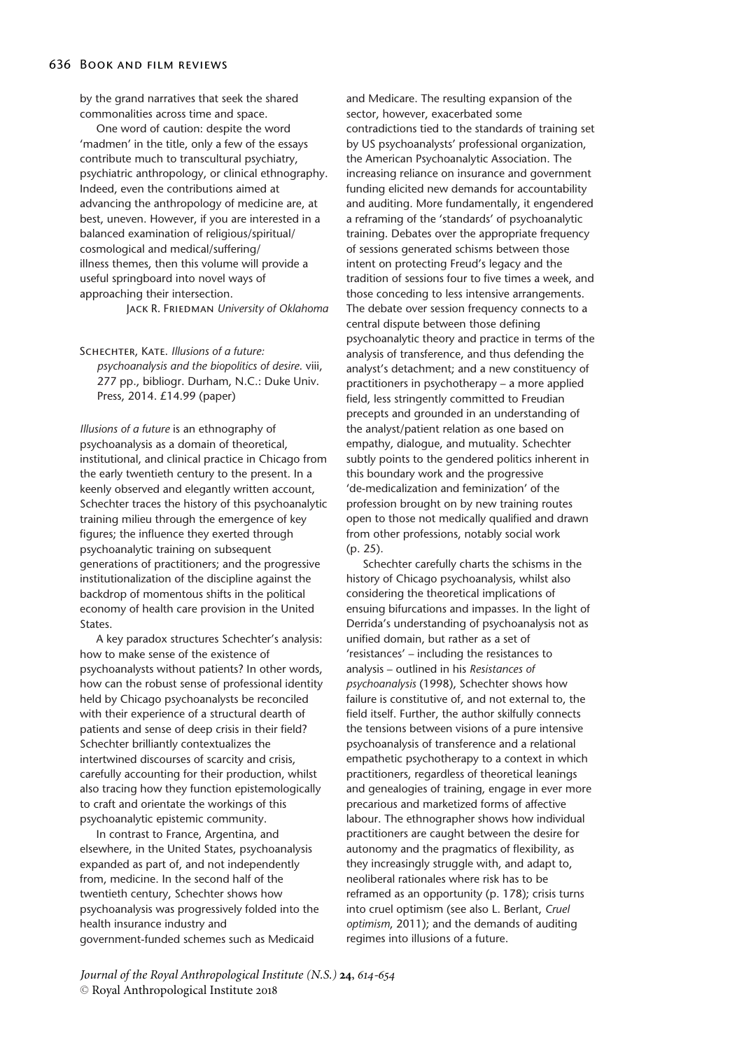by the grand narratives that seek the shared commonalities across time and space.

One word of caution: despite the word 'madmen' in the title, only a few of the essays contribute much to transcultural psychiatry, psychiatric anthropology, or clinical ethnography. Indeed, even the contributions aimed at advancing the anthropology of medicine are, at best, uneven. However, if you are interested in a balanced examination of religious/spiritual/ cosmological and medical/suffering/ illness themes, then this volume will provide a useful springboard into novel ways of approaching their intersection.

Jack R. Friedman *University of Oklahoma*

Schechter, Kate. *Illusions of a future: psychoanalysis and the biopolitics of desire*. viii, 277 pp., bibliogr. Durham, N.C.: Duke Univ. Press, 2014. £14.99 (paper)

*Illusions of a future* is an ethnography of psychoanalysis as a domain of theoretical, institutional, and clinical practice in Chicago from the early twentieth century to the present. In a keenly observed and elegantly written account, Schechter traces the history of this psychoanalytic training milieu through the emergence of key figures; the influence they exerted through psychoanalytic training on subsequent generations of practitioners; and the progressive institutionalization of the discipline against the backdrop of momentous shifts in the political economy of health care provision in the United States.

A key paradox structures Schechter's analysis: how to make sense of the existence of psychoanalysts without patients? In other words, how can the robust sense of professional identity held by Chicago psychoanalysts be reconciled with their experience of a structural dearth of patients and sense of deep crisis in their field? Schechter brilliantly contextualizes the intertwined discourses of scarcity and crisis, carefully accounting for their production, whilst also tracing how they function epistemologically to craft and orientate the workings of this psychoanalytic epistemic community.

In contrast to France, Argentina, and elsewhere, in the United States, psychoanalysis expanded as part of, and not independently from, medicine. In the second half of the twentieth century, Schechter shows how psychoanalysis was progressively folded into the health insurance industry and government-funded schemes such as Medicaid

and Medicare. The resulting expansion of the sector, however, exacerbated some contradictions tied to the standards of training set by US psychoanalysts' professional organization, the American Psychoanalytic Association. The increasing reliance on insurance and government funding elicited new demands for accountability and auditing. More fundamentally, it engendered a reframing of the 'standards' of psychoanalytic training. Debates over the appropriate frequency of sessions generated schisms between those intent on protecting Freud's legacy and the tradition of sessions four to five times a week, and those conceding to less intensive arrangements. The debate over session frequency connects to a central dispute between those defining psychoanalytic theory and practice in terms of the analysis of transference, and thus defending the analyst's detachment; and a new constituency of practitioners in psychotherapy – a more applied field, less stringently committed to Freudian precepts and grounded in an understanding of the analyst/patient relation as one based on empathy, dialogue, and mutuality. Schechter subtly points to the gendered politics inherent in this boundary work and the progressive 'de-medicalization and feminization' of the profession brought on by new training routes open to those not medically qualified and drawn from other professions, notably social work (p. 25).

Schechter carefully charts the schisms in the history of Chicago psychoanalysis, whilst also considering the theoretical implications of ensuing bifurcations and impasses. In the light of Derrida's understanding of psychoanalysis not as unified domain, but rather as a set of 'resistances' – including the resistances to analysis – outlined in his *Resistances of psychoanalysis* (1998), Schechter shows how failure is constitutive of, and not external to, the field itself. Further, the author skilfully connects the tensions between visions of a pure intensive psychoanalysis of transference and a relational empathetic psychotherapy to a context in which practitioners, regardless of theoretical leanings and genealogies of training, engage in ever more precarious and marketized forms of affective labour. The ethnographer shows how individual practitioners are caught between the desire for autonomy and the pragmatics of flexibility, as they increasingly struggle with, and adapt to, neoliberal rationales where risk has to be reframed as an opportunity (p. 178); crisis turns into cruel optimism (see also L. Berlant, *Cruel optimism*, 2011); and the demands of auditing regimes into illusions of a future.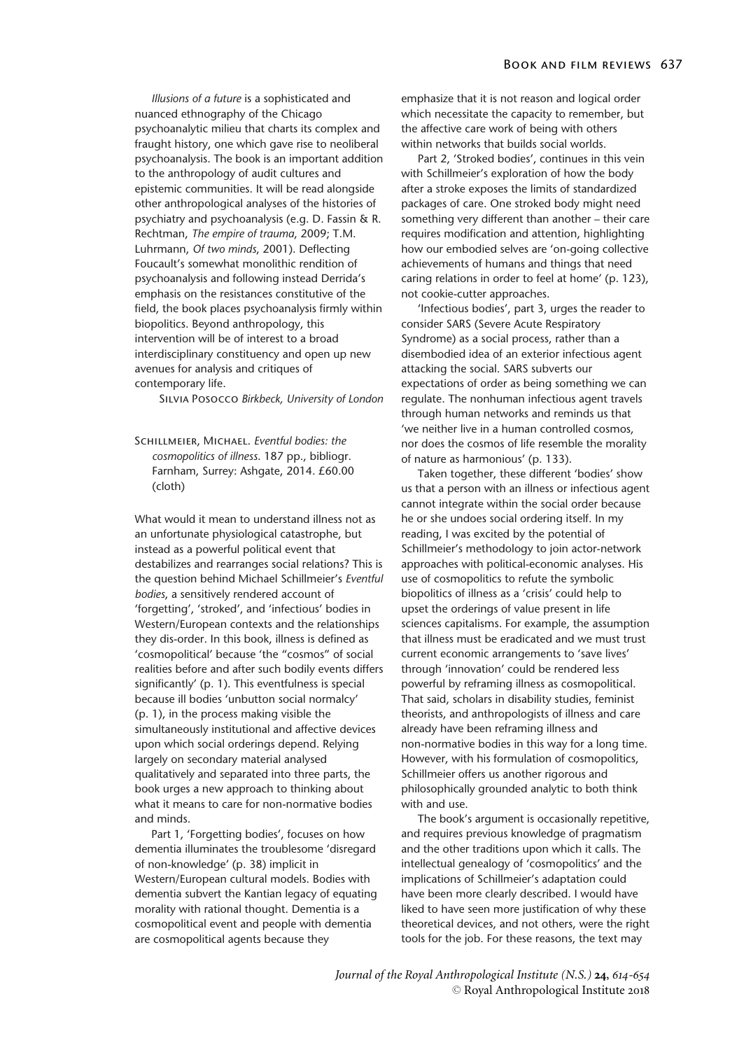*Illusions of a future* is a sophisticated and nuanced ethnography of the Chicago psychoanalytic milieu that charts its complex and fraught history, one which gave rise to neoliberal psychoanalysis. The book is an important addition to the anthropology of audit cultures and epistemic communities. It will be read alongside other anthropological analyses of the histories of psychiatry and psychoanalysis (e.g. D. Fassin & R. Rechtman, *The empire of trauma*, 2009; T.M. Luhrmann, *Of two minds*, 2001). Deflecting Foucault's somewhat monolithic rendition of psychoanalysis and following instead Derrida's emphasis on the resistances constitutive of the field, the book places psychoanalysis firmly within biopolitics. Beyond anthropology, this intervention will be of interest to a broad interdisciplinary constituency and open up new avenues for analysis and critiques of contemporary life.

Silvia Posocco *Birkbeck, University of London*

Schillmeier, Michael. *Eventful bodies: the cosmopolitics of illness*. 187 pp., bibliogr. Farnham, Surrey: Ashgate, 2014. £60.00 (cloth)

What would it mean to understand illness not as an unfortunate physiological catastrophe, but instead as a powerful political event that destabilizes and rearranges social relations? This is the question behind Michael Schillmeier's *Eventful bodies*, a sensitively rendered account of 'forgetting', 'stroked', and 'infectious' bodies in Western/European contexts and the relationships they dis-order. In this book, illness is defined as 'cosmopolitical' because 'the "cosmos" of social realities before and after such bodily events differs significantly' (p. 1). This eventfulness is special because ill bodies 'unbutton social normalcy' (p. 1), in the process making visible the simultaneously institutional and affective devices upon which social orderings depend. Relying largely on secondary material analysed qualitatively and separated into three parts, the book urges a new approach to thinking about what it means to care for non-normative bodies and minds.

Part 1, 'Forgetting bodies', focuses on how dementia illuminates the troublesome 'disregard of non-knowledge' (p. 38) implicit in Western/European cultural models. Bodies with dementia subvert the Kantian legacy of equating morality with rational thought. Dementia is a cosmopolitical event and people with dementia are cosmopolitical agents because they

emphasize that it is not reason and logical order which necessitate the capacity to remember, but the affective care work of being with others within networks that builds social worlds.

Part 2, 'Stroked bodies', continues in this vein with Schillmeier's exploration of how the body after a stroke exposes the limits of standardized packages of care. One stroked body might need something very different than another – their care requires modification and attention, highlighting how our embodied selves are 'on-going collective achievements of humans and things that need caring relations in order to feel at home' (p. 123), not cookie-cutter approaches.

'Infectious bodies', part 3, urges the reader to consider SARS (Severe Acute Respiratory Syndrome) as a social process, rather than a disembodied idea of an exterior infectious agent attacking the social. SARS subverts our expectations of order as being something we can regulate. The nonhuman infectious agent travels through human networks and reminds us that 'we neither live in a human controlled cosmos, nor does the cosmos of life resemble the morality of nature as harmonious' (p. 133).

Taken together, these different 'bodies' show us that a person with an illness or infectious agent cannot integrate within the social order because he or she undoes social ordering itself. In my reading, I was excited by the potential of Schillmeier's methodology to join actor-network approaches with political-economic analyses. His use of cosmopolitics to refute the symbolic biopolitics of illness as a 'crisis' could help to upset the orderings of value present in life sciences capitalisms. For example, the assumption that illness must be eradicated and we must trust current economic arrangements to 'save lives' through 'innovation' could be rendered less powerful by reframing illness as cosmopolitical. That said, scholars in disability studies, feminist theorists, and anthropologists of illness and care already have been reframing illness and non-normative bodies in this way for a long time. However, with his formulation of cosmopolitics, Schillmeier offers us another rigorous and philosophically grounded analytic to both think with and use.

The book's argument is occasionally repetitive, and requires previous knowledge of pragmatism and the other traditions upon which it calls. The intellectual genealogy of 'cosmopolitics' and the implications of Schillmeier's adaptation could have been more clearly described. I would have liked to have seen more justification of why these theoretical devices, and not others, were the right tools for the job. For these reasons, the text may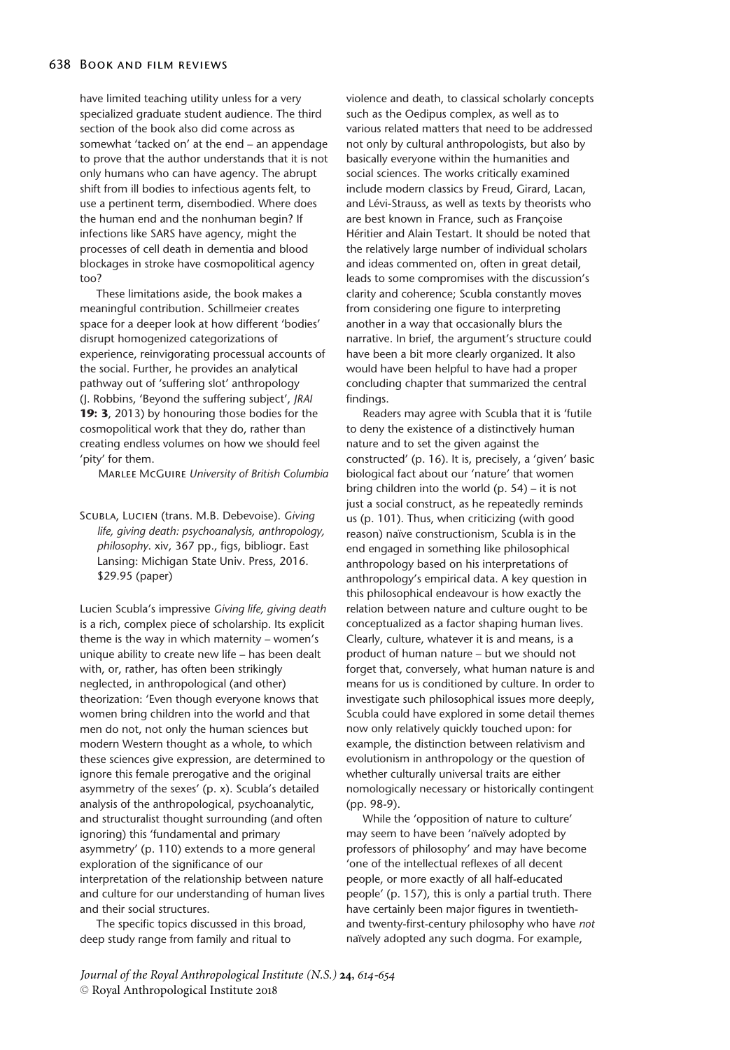have limited teaching utility unless for a very specialized graduate student audience. The third section of the book also did come across as somewhat 'tacked on' at the end – an appendage to prove that the author understands that it is not only humans who can have agency. The abrupt shift from ill bodies to infectious agents felt, to use a pertinent term, disembodied. Where does the human end and the nonhuman begin? If infections like SARS have agency, might the processes of cell death in dementia and blood blockages in stroke have cosmopolitical agency  $\frac{1}{2}$ 

These limitations aside, the book makes a meaningful contribution. Schillmeier creates space for a deeper look at how different 'bodies' disrupt homogenized categorizations of experience, reinvigorating processual accounts of the social. Further, he provides an analytical pathway out of 'suffering slot' anthropology (J. Robbins, 'Beyond the suffering subject', *JRAI* **19: 3**, 2013) by honouring those bodies for the cosmopolitical work that they do, rather than creating endless volumes on how we should feel 'pity' for them.

Marlee McGuire *University of British Columbia*

Scubla, Lucien (trans. M.B. Debevoise). *Giving life, giving death: psychoanalysis, anthropology, philosophy*. xiv, 367 pp., figs, bibliogr. East Lansing: Michigan State Univ. Press, 2016. \$29.95 (paper)

Lucien Scubla's impressive *Giving life, giving death* is a rich, complex piece of scholarship. Its explicit theme is the way in which maternity – women's unique ability to create new life – has been dealt with, or, rather, has often been strikingly neglected, in anthropological (and other) theorization: 'Even though everyone knows that women bring children into the world and that men do not, not only the human sciences but modern Western thought as a whole, to which these sciences give expression, are determined to ignore this female prerogative and the original asymmetry of the sexes' (p. x). Scubla's detailed analysis of the anthropological, psychoanalytic, and structuralist thought surrounding (and often ignoring) this 'fundamental and primary asymmetry' (p. 110) extends to a more general exploration of the significance of our interpretation of the relationship between nature and culture for our understanding of human lives and their social structures.

The specific topics discussed in this broad, deep study range from family and ritual to

violence and death, to classical scholarly concepts such as the Oedipus complex, as well as to various related matters that need to be addressed not only by cultural anthropologists, but also by basically everyone within the humanities and social sciences. The works critically examined include modern classics by Freud, Girard, Lacan, and Lévi-Strauss, as well as texts by theorists who are best known in France, such as Francoise Héritier and Alain Testart. It should be noted that the relatively large number of individual scholars and ideas commented on, often in great detail, leads to some compromises with the discussion's clarity and coherence; Scubla constantly moves from considering one figure to interpreting another in a way that occasionally blurs the narrative. In brief, the argument's structure could have been a bit more clearly organized. It also would have been helpful to have had a proper concluding chapter that summarized the central findings.

Readers may agree with Scubla that it is 'futile to deny the existence of a distinctively human nature and to set the given against the constructed' (p. 16). It is, precisely, a 'given' basic biological fact about our 'nature' that women bring children into the world (p. 54) – it is not just a social construct, as he repeatedly reminds us (p. 101). Thus, when criticizing (with good reason) naïve constructionism, Scubla is in the end engaged in something like philosophical anthropology based on his interpretations of anthropology's empirical data. A key question in this philosophical endeavour is how exactly the relation between nature and culture ought to be conceptualized as a factor shaping human lives. Clearly, culture, whatever it is and means, is a product of human nature – but we should not forget that, conversely, what human nature is and means for us is conditioned by culture. In order to investigate such philosophical issues more deeply, Scubla could have explored in some detail themes now only relatively quickly touched upon: for example, the distinction between relativism and evolutionism in anthropology or the question of whether culturally universal traits are either nomologically necessary or historically contingent (pp. 98-9).

While the 'opposition of nature to culture' may seem to have been 'naïvely adopted by professors of philosophy' and may have become 'one of the intellectual reflexes of all decent people, or more exactly of all half-educated people' (p. 157), this is only a partial truth. There have certainly been major figures in twentiethand twenty-first-century philosophy who have *not* naïvely adopted any such dogma. For example,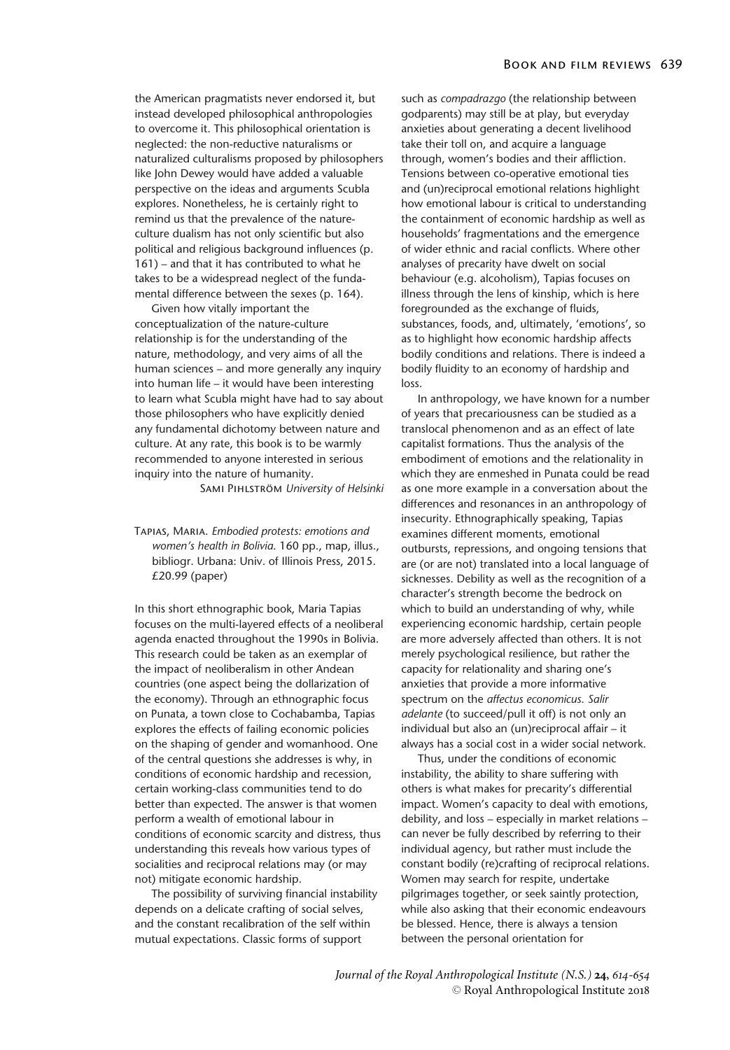the American pragmatists never endorsed it, but instead developed philosophical anthropologies to overcome it. This philosophical orientation is neglected: the non-reductive naturalisms or naturalized culturalisms proposed by philosophers like John Dewey would have added a valuable perspective on the ideas and arguments Scubla explores. Nonetheless, he is certainly right to remind us that the prevalence of the natureculture dualism has not only scientific but also political and religious background influences (p. 161) – and that it has contributed to what he takes to be a widespread neglect of the fundamental difference between the sexes (p. 164).

Given how vitally important the conceptualization of the nature-culture relationship is for the understanding of the nature, methodology, and very aims of all the human sciences – and more generally any inquiry into human life – it would have been interesting to learn what Scubla might have had to say about those philosophers who have explicitly denied any fundamental dichotomy between nature and culture. At any rate, this book is to be warmly recommended to anyone interested in serious inquiry into the nature of humanity.

Sami Pihlstrom¨ *University of Helsinki*

Tapias, Maria. *Embodied protests: emotions and women's health in Bolivia*. 160 pp., map, illus., bibliogr. Urbana: Univ. of Illinois Press, 2015. £20.99 (paper)

In this short ethnographic book, Maria Tapias focuses on the multi-layered effects of a neoliberal agenda enacted throughout the 1990s in Bolivia. This research could be taken as an exemplar of the impact of neoliberalism in other Andean countries (one aspect being the dollarization of the economy). Through an ethnographic focus on Punata, a town close to Cochabamba, Tapias explores the effects of failing economic policies on the shaping of gender and womanhood. One of the central questions she addresses is why, in conditions of economic hardship and recession, certain working-class communities tend to do better than expected. The answer is that women perform a wealth of emotional labour in conditions of economic scarcity and distress, thus understanding this reveals how various types of socialities and reciprocal relations may (or may not) mitigate economic hardship.

The possibility of surviving financial instability depends on a delicate crafting of social selves, and the constant recalibration of the self within mutual expectations. Classic forms of support

such as *compadrazgo* (the relationship between godparents) may still be at play, but everyday anxieties about generating a decent livelihood take their toll on, and acquire a language through, women's bodies and their affliction. Tensions between co-operative emotional ties and (un)reciprocal emotional relations highlight how emotional labour is critical to understanding the containment of economic hardship as well as households' fragmentations and the emergence of wider ethnic and racial conflicts. Where other analyses of precarity have dwelt on social behaviour (e.g. alcoholism), Tapias focuses on illness through the lens of kinship, which is here foregrounded as the exchange of fluids, substances, foods, and, ultimately, 'emotions', so as to highlight how economic hardship affects bodily conditions and relations. There is indeed a bodily fluidity to an economy of hardship and loss.

In anthropology, we have known for a number of years that precariousness can be studied as a translocal phenomenon and as an effect of late capitalist formations. Thus the analysis of the embodiment of emotions and the relationality in which they are enmeshed in Punata could be read as one more example in a conversation about the differences and resonances in an anthropology of insecurity. Ethnographically speaking, Tapias examines different moments, emotional outbursts, repressions, and ongoing tensions that are (or are not) translated into a local language of sicknesses. Debility as well as the recognition of a character's strength become the bedrock on which to build an understanding of why, while experiencing economic hardship, certain people are more adversely affected than others. It is not merely psychological resilience, but rather the capacity for relationality and sharing one's anxieties that provide a more informative spectrum on the *affectus economicus*. *Salir adelante* (to succeed/pull it off) is not only an individual but also an (un)reciprocal affair – it always has a social cost in a wider social network.

Thus, under the conditions of economic instability, the ability to share suffering with others is what makes for precarity's differential impact. Women's capacity to deal with emotions, debility, and loss – especially in market relations – can never be fully described by referring to their individual agency, but rather must include the constant bodily (re)crafting of reciprocal relations. Women may search for respite, undertake pilgrimages together, or seek saintly protection, while also asking that their economic endeavours be blessed. Hence, there is always a tension between the personal orientation for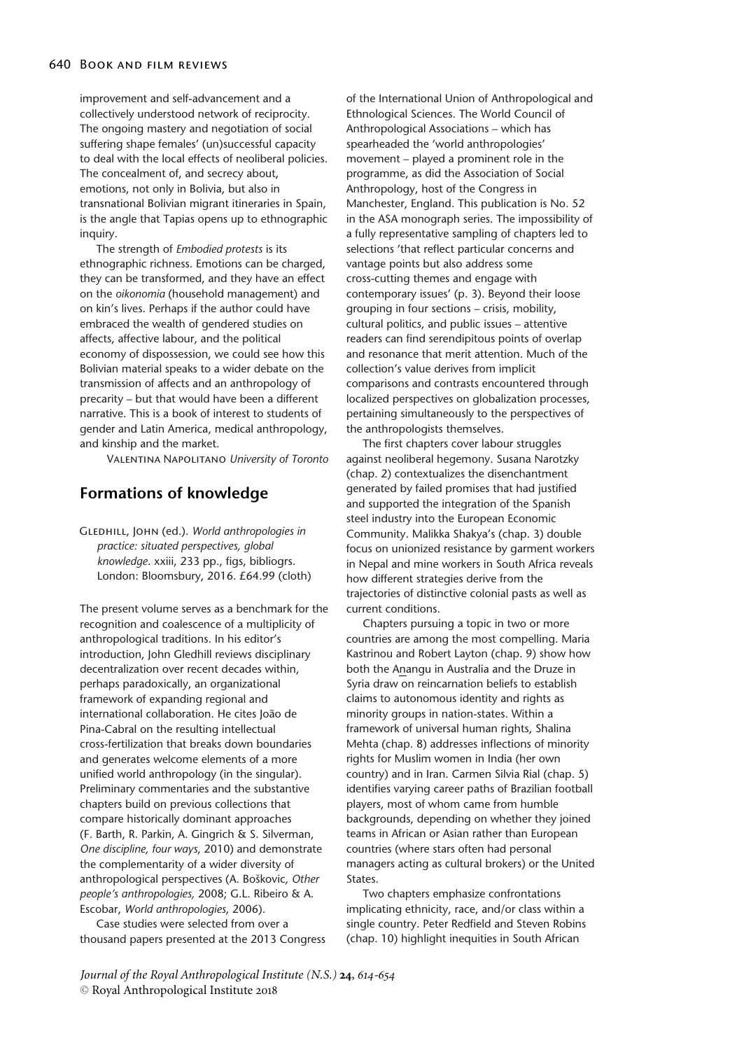improvement and self-advancement and a collectively understood network of reciprocity. The ongoing mastery and negotiation of social suffering shape females' (un)successful capacity to deal with the local effects of neoliberal policies. The concealment of, and secrecy about, emotions, not only in Bolivia, but also in transnational Bolivian migrant itineraries in Spain, is the angle that Tapias opens up to ethnographic inquiry.

The strength of *Embodied protests* is its ethnographic richness. Emotions can be charged, they can be transformed, and they have an effect on the *oikonomia* (household management) and on kin's lives. Perhaps if the author could have embraced the wealth of gendered studies on affects, affective labour, and the political economy of dispossession, we could see how this Bolivian material speaks to a wider debate on the transmission of affects and an anthropology of precarity – but that would have been a different narrative. This is a book of interest to students of gender and Latin America, medical anthropology, and kinship and the market.

Valentina Napolitano *University of Toronto*

#### **Formations of knowledge**

Gledhill, John (ed.). *World anthropologies in practice: situated perspectives, global knowledge*. xxiii, 233 pp., figs, bibliogrs. London: Bloomsbury, 2016. £64.99 (cloth)

The present volume serves as a benchmark for the recognition and coalescence of a multiplicity of anthropological traditions. In his editor's introduction, John Gledhill reviews disciplinary decentralization over recent decades within, perhaps paradoxically, an organizational framework of expanding regional and international collaboration. He cites João de Pina-Cabral on the resulting intellectual cross-fertilization that breaks down boundaries and generates welcome elements of a more unified world anthropology (in the singular). Preliminary commentaries and the substantive chapters build on previous collections that compare historically dominant approaches (F. Barth, R. Parkin, A. Gingrich & S. Silverman, *One discipline, four ways*, 2010) and demonstrate the complementarity of a wider diversity of anthropological perspectives (A. Boˇskovic*, Other people's anthropologies,* 2008; G.L. Ribeiro & A. Escobar, *World anthropologies*, 2006).

Case studies were selected from over a thousand papers presented at the 2013 Congress of the International Union of Anthropological and Ethnological Sciences. The World Council of Anthropological Associations – which has spearheaded the 'world anthropologies' movement – played a prominent role in the programme, as did the Association of Social Anthropology, host of the Congress in Manchester, England. This publication is No. 52 in the ASA monograph series. The impossibility of a fully representative sampling of chapters led to selections 'that reflect particular concerns and vantage points but also address some cross-cutting themes and engage with contemporary issues' (p. 3). Beyond their loose grouping in four sections – crisis, mobility, cultural politics, and public issues – attentive readers can find serendipitous points of overlap and resonance that merit attention. Much of the collection's value derives from implicit comparisons and contrasts encountered through localized perspectives on globalization processes, pertaining simultaneously to the perspectives of the anthropologists themselves.

The first chapters cover labour struggles against neoliberal hegemony. Susana Narotzky (chap. 2) contextualizes the disenchantment generated by failed promises that had justified and supported the integration of the Spanish steel industry into the European Economic Community. Malikka Shakya's (chap. 3) double focus on unionized resistance by garment workers in Nepal and mine workers in South Africa reveals how different strategies derive from the trajectories of distinctive colonial pasts as well as current conditions.

Chapters pursuing a topic in two or more countries are among the most compelling. Maria Kastrinou and Robert Layton (chap. 9) show how both the Anangu in Australia and the Druze in Syria draw on reincarnation beliefs to establish claims to autonomous identity and rights as minority groups in nation-states. Within a framework of universal human rights, Shalina Mehta (chap. 8) addresses inflections of minority rights for Muslim women in India (her own country) and in Iran. Carmen Silvia Rial (chap. 5) identifies varying career paths of Brazilian football players, most of whom came from humble backgrounds, depending on whether they joined teams in African or Asian rather than European countries (where stars often had personal managers acting as cultural brokers) or the United States.

Two chapters emphasize confrontations implicating ethnicity, race, and/or class within a single country. Peter Redfield and Steven Robins (chap. 10) highlight inequities in South African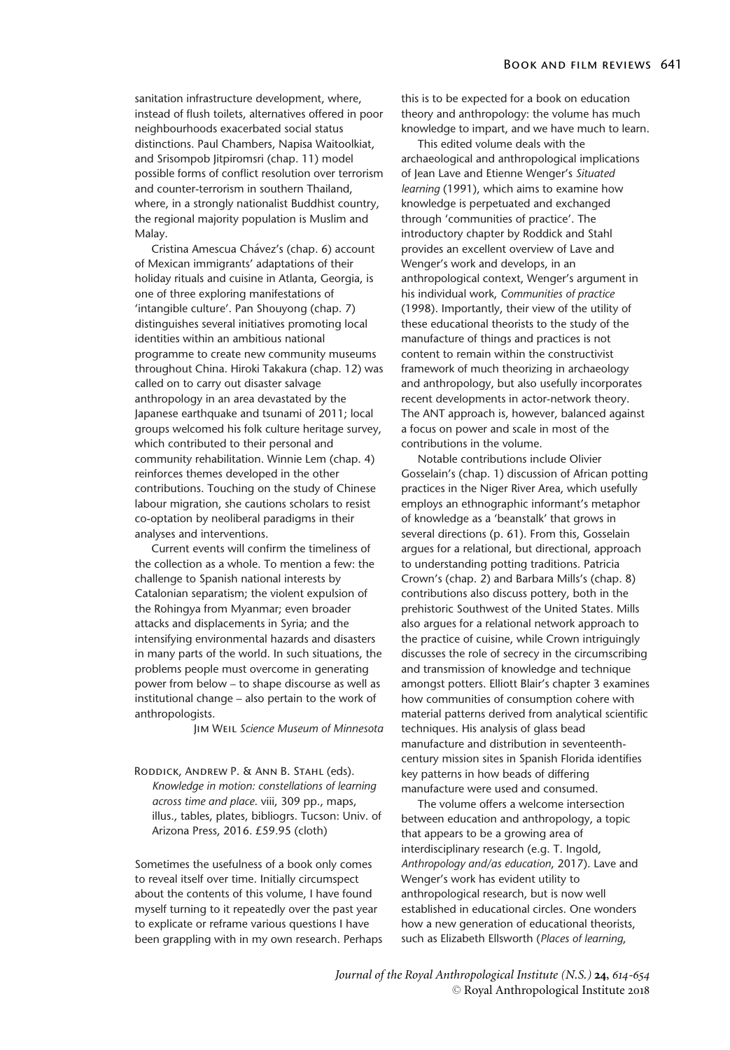sanitation infrastructure development, where, instead of flush toilets, alternatives offered in poor neighbourhoods exacerbated social status distinctions. Paul Chambers, Napisa Waitoolkiat, and Srisompob Jitpiromsri (chap. 11) model possible forms of conflict resolution over terrorism and counter-terrorism in southern Thailand, where, in a strongly nationalist Buddhist country, the regional majority population is Muslim and Malay.

Cristina Amescua Chávez's (chap. 6) account of Mexican immigrants' adaptations of their holiday rituals and cuisine in Atlanta, Georgia, is one of three exploring manifestations of 'intangible culture'. Pan Shouyong (chap. 7) distinguishes several initiatives promoting local identities within an ambitious national programme to create new community museums throughout China. Hiroki Takakura (chap. 12) was called on to carry out disaster salvage anthropology in an area devastated by the Japanese earthquake and tsunami of 2011; local groups welcomed his folk culture heritage survey, which contributed to their personal and community rehabilitation. Winnie Lem (chap. 4) reinforces themes developed in the other contributions. Touching on the study of Chinese labour migration, she cautions scholars to resist co-optation by neoliberal paradigms in their analyses and interventions.

Current events will confirm the timeliness of the collection as a whole. To mention a few: the challenge to Spanish national interests by Catalonian separatism; the violent expulsion of the Rohingya from Myanmar; even broader attacks and displacements in Syria; and the intensifying environmental hazards and disasters in many parts of the world. In such situations, the problems people must overcome in generating power from below – to shape discourse as well as institutional change – also pertain to the work of anthropologists.

Jim Weil *Science Museum of Minnesota*

Roddick, Andrew P. & Ann B. Stahl (eds). *Knowledge in motion: constellations of learning across time and place*. viii, 309 pp., maps, illus., tables, plates, bibliogrs. Tucson: Univ. of Arizona Press, 2016. £59.95 (cloth)

Sometimes the usefulness of a book only comes to reveal itself over time. Initially circumspect about the contents of this volume, I have found myself turning to it repeatedly over the past year to explicate or reframe various questions I have been grappling with in my own research. Perhaps this is to be expected for a book on education theory and anthropology: the volume has much knowledge to impart, and we have much to learn.

This edited volume deals with the archaeological and anthropological implications of Jean Lave and Etienne Wenger's *Situated learning* (1991), which aims to examine how knowledge is perpetuated and exchanged through 'communities of practice'. The introductory chapter by Roddick and Stahl provides an excellent overview of Lave and Wenger's work and develops, in an anthropological context, Wenger's argument in his individual work, *Communities of practice* (1998). Importantly, their view of the utility of these educational theorists to the study of the manufacture of things and practices is not content to remain within the constructivist framework of much theorizing in archaeology and anthropology, but also usefully incorporates recent developments in actor-network theory. The ANT approach is, however, balanced against a focus on power and scale in most of the contributions in the volume.

Notable contributions include Olivier Gosselain's (chap. 1) discussion of African potting practices in the Niger River Area, which usefully employs an ethnographic informant's metaphor of knowledge as a 'beanstalk' that grows in several directions (p. 61). From this, Gosselain argues for a relational, but directional, approach to understanding potting traditions. Patricia Crown's (chap. 2) and Barbara Mills's (chap. 8) contributions also discuss pottery, both in the prehistoric Southwest of the United States. Mills also argues for a relational network approach to the practice of cuisine, while Crown intriguingly discusses the role of secrecy in the circumscribing and transmission of knowledge and technique amongst potters. Elliott Blair's chapter 3 examines how communities of consumption cohere with material patterns derived from analytical scientific techniques. His analysis of glass bead manufacture and distribution in seventeenthcentury mission sites in Spanish Florida identifies key patterns in how beads of differing manufacture were used and consumed.

The volume offers a welcome intersection between education and anthropology, a topic that appears to be a growing area of interdisciplinary research (e.g. T. Ingold, *Anthropology and/as education*, 2017). Lave and Wenger's work has evident utility to anthropological research, but is now well established in educational circles. One wonders how a new generation of educational theorists, such as Elizabeth Ellsworth (*Places of learning*,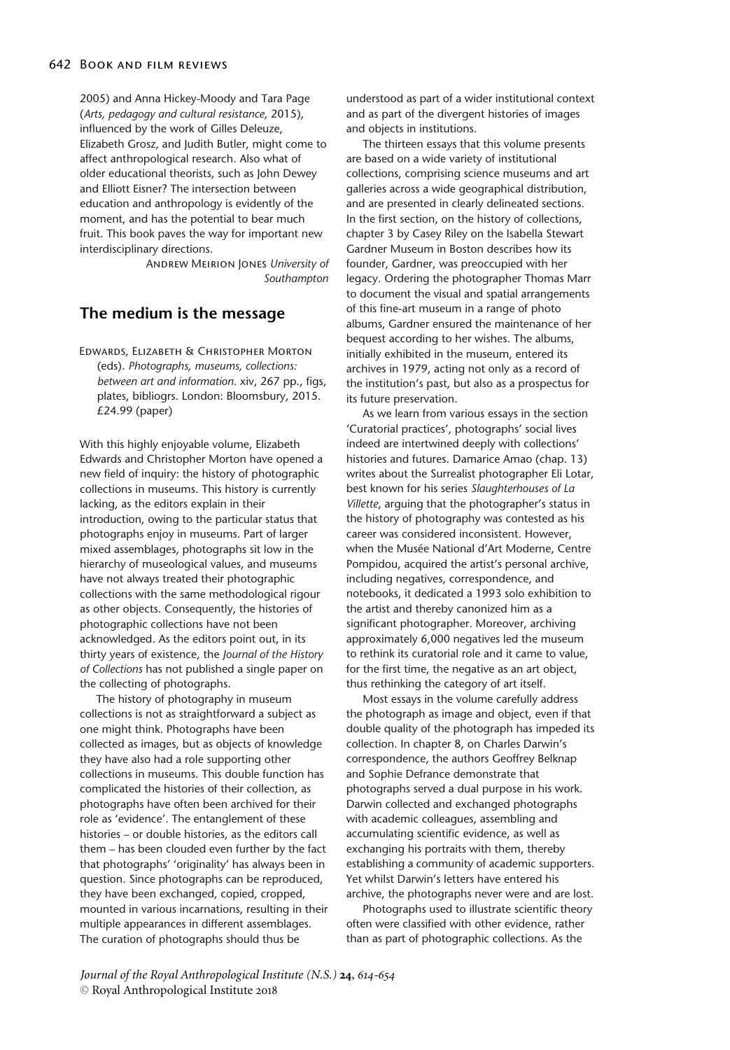#### 642 Book and film reviews

2005) and Anna Hickey-Moody and Tara Page (*Arts, pedagogy and cultural resistance*, 2015), influenced by the work of Gilles Deleuze, Elizabeth Grosz, and Judith Butler, might come to affect anthropological research. Also what of older educational theorists, such as John Dewey and Elliott Eisner? The intersection between education and anthropology is evidently of the moment, and has the potential to bear much fruit. This book paves the way for important new interdisciplinary directions.

> Andrew Meirion Jones *University of Southampton*

#### **The medium is the message**

Edwards, Elizabeth & Christopher Morton (eds). *Photographs, museums, collections: between art and information*. xiv, 267 pp., figs, plates, bibliogrs. London: Bloomsbury, 2015. £24.99 (paper)

With this highly enjoyable volume, Elizabeth Edwards and Christopher Morton have opened a new field of inquiry: the history of photographic collections in museums. This history is currently lacking, as the editors explain in their introduction, owing to the particular status that photographs enjoy in museums. Part of larger mixed assemblages, photographs sit low in the hierarchy of museological values, and museums have not always treated their photographic collections with the same methodological rigour as other objects. Consequently, the histories of photographic collections have not been acknowledged. As the editors point out, in its thirty years of existence, the *Journal of the History of Collections* has not published a single paper on the collecting of photographs.

The history of photography in museum collections is not as straightforward a subject as one might think. Photographs have been collected as images, but as objects of knowledge they have also had a role supporting other collections in museums. This double function has complicated the histories of their collection, as photographs have often been archived for their role as 'evidence'. The entanglement of these histories – or double histories, as the editors call them – has been clouded even further by the fact that photographs' 'originality' has always been in question. Since photographs can be reproduced, they have been exchanged, copied, cropped, mounted in various incarnations, resulting in their multiple appearances in different assemblages. The curation of photographs should thus be

understood as part of a wider institutional context and as part of the divergent histories of images and objects in institutions.

The thirteen essays that this volume presents are based on a wide variety of institutional collections, comprising science museums and art galleries across a wide geographical distribution, and are presented in clearly delineated sections. In the first section, on the history of collections, chapter 3 by Casey Riley on the Isabella Stewart Gardner Museum in Boston describes how its founder, Gardner, was preoccupied with her legacy. Ordering the photographer Thomas Marr to document the visual and spatial arrangements of this fine-art museum in a range of photo albums, Gardner ensured the maintenance of her bequest according to her wishes. The albums, initially exhibited in the museum, entered its archives in 1979, acting not only as a record of the institution's past, but also as a prospectus for its future preservation.

As we learn from various essays in the section 'Curatorial practices', photographs' social lives indeed are intertwined deeply with collections' histories and futures. Damarice Amao (chap. 13) writes about the Surrealist photographer Eli Lotar, best known for his series *Slaughterhouses of La Villette*, arguing that the photographer's status in the history of photography was contested as his career was considered inconsistent. However, when the Musée National d'Art Moderne, Centre Pompidou, acquired the artist's personal archive, including negatives, correspondence, and notebooks, it dedicated a 1993 solo exhibition to the artist and thereby canonized him as a significant photographer. Moreover, archiving approximately 6,000 negatives led the museum to rethink its curatorial role and it came to value, for the first time, the negative as an art object, thus rethinking the category of art itself.

Most essays in the volume carefully address the photograph as image and object, even if that double quality of the photograph has impeded its collection. In chapter 8, on Charles Darwin's correspondence, the authors Geoffrey Belknap and Sophie Defrance demonstrate that photographs served a dual purpose in his work. Darwin collected and exchanged photographs with academic colleagues, assembling and accumulating scientific evidence, as well as exchanging his portraits with them, thereby establishing a community of academic supporters. Yet whilst Darwin's letters have entered his archive, the photographs never were and are lost.

Photographs used to illustrate scientific theory often were classified with other evidence, rather than as part of photographic collections. As the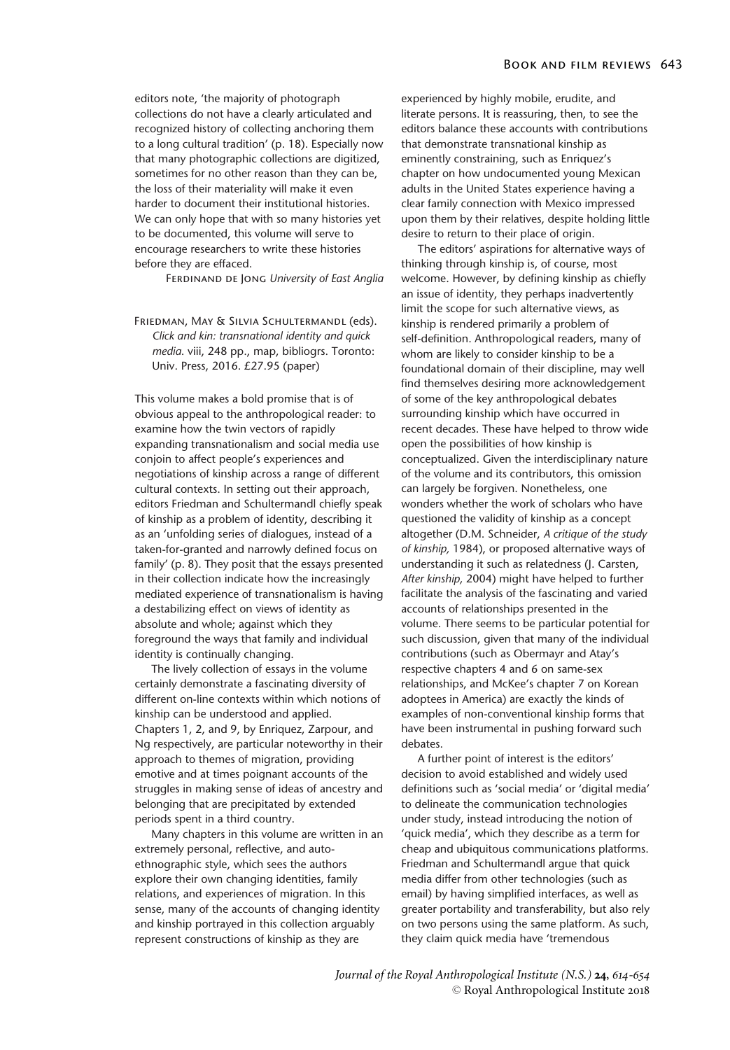editors note, 'the majority of photograph collections do not have a clearly articulated and recognized history of collecting anchoring them to a long cultural tradition' (p. 18). Especially now that many photographic collections are digitized, sometimes for no other reason than they can be, the loss of their materiality will make it even harder to document their institutional histories. We can only hope that with so many histories yet to be documented, this volume will serve to encourage researchers to write these histories before they are effaced.

Ferdinand de Jong *University of East Anglia*

Friedman, May & Silvia Schultermandl (eds). *Click and kin: transnational identity and quick media*. viii, 248 pp., map, bibliogrs. Toronto: Univ. Press, 2016. £27.95 (paper)

This volume makes a bold promise that is of obvious appeal to the anthropological reader: to examine how the twin vectors of rapidly expanding transnationalism and social media use conjoin to affect people's experiences and negotiations of kinship across a range of different cultural contexts. In setting out their approach, editors Friedman and Schultermandl chiefly speak of kinship as a problem of identity, describing it as an 'unfolding series of dialogues, instead of a taken-for-granted and narrowly defined focus on family' (p. 8). They posit that the essays presented in their collection indicate how the increasingly mediated experience of transnationalism is having a destabilizing effect on views of identity as absolute and whole; against which they foreground the ways that family and individual identity is continually changing.

The lively collection of essays in the volume certainly demonstrate a fascinating diversity of different on-line contexts within which notions of kinship can be understood and applied. Chapters 1, 2, and 9, by Enriquez, Zarpour, and Ng respectively, are particular noteworthy in their approach to themes of migration, providing emotive and at times poignant accounts of the struggles in making sense of ideas of ancestry and belonging that are precipitated by extended periods spent in a third country.

Many chapters in this volume are written in an extremely personal, reflective, and autoethnographic style, which sees the authors explore their own changing identities, family relations, and experiences of migration. In this sense, many of the accounts of changing identity and kinship portrayed in this collection arguably represent constructions of kinship as they are

experienced by highly mobile, erudite, and literate persons. It is reassuring, then, to see the editors balance these accounts with contributions that demonstrate transnational kinship as eminently constraining, such as Enriquez's chapter on how undocumented young Mexican adults in the United States experience having a clear family connection with Mexico impressed upon them by their relatives, despite holding little desire to return to their place of origin.

The editors' aspirations for alternative ways of thinking through kinship is, of course, most welcome. However, by defining kinship as chiefly an issue of identity, they perhaps inadvertently limit the scope for such alternative views, as kinship is rendered primarily a problem of self-definition. Anthropological readers, many of whom are likely to consider kinship to be a foundational domain of their discipline, may well find themselves desiring more acknowledgement of some of the key anthropological debates surrounding kinship which have occurred in recent decades. These have helped to throw wide open the possibilities of how kinship is conceptualized. Given the interdisciplinary nature of the volume and its contributors, this omission can largely be forgiven. Nonetheless, one wonders whether the work of scholars who have questioned the validity of kinship as a concept altogether (D.M. Schneider, *A critique of the study of kinship,* 1984), or proposed alternative ways of understanding it such as relatedness (J. Carsten, *After kinship,* 2004) might have helped to further facilitate the analysis of the fascinating and varied accounts of relationships presented in the volume. There seems to be particular potential for such discussion, given that many of the individual contributions (such as Obermayr and Atay's respective chapters 4 and 6 on same-sex relationships, and McKee's chapter 7 on Korean adoptees in America) are exactly the kinds of examples of non-conventional kinship forms that have been instrumental in pushing forward such debates.

A further point of interest is the editors' decision to avoid established and widely used definitions such as 'social media' or 'digital media' to delineate the communication technologies under study, instead introducing the notion of 'quick media', which they describe as a term for cheap and ubiquitous communications platforms. Friedman and Schultermandl argue that quick media differ from other technologies (such as email) by having simplified interfaces, as well as greater portability and transferability, but also rely on two persons using the same platform. As such, they claim quick media have 'tremendous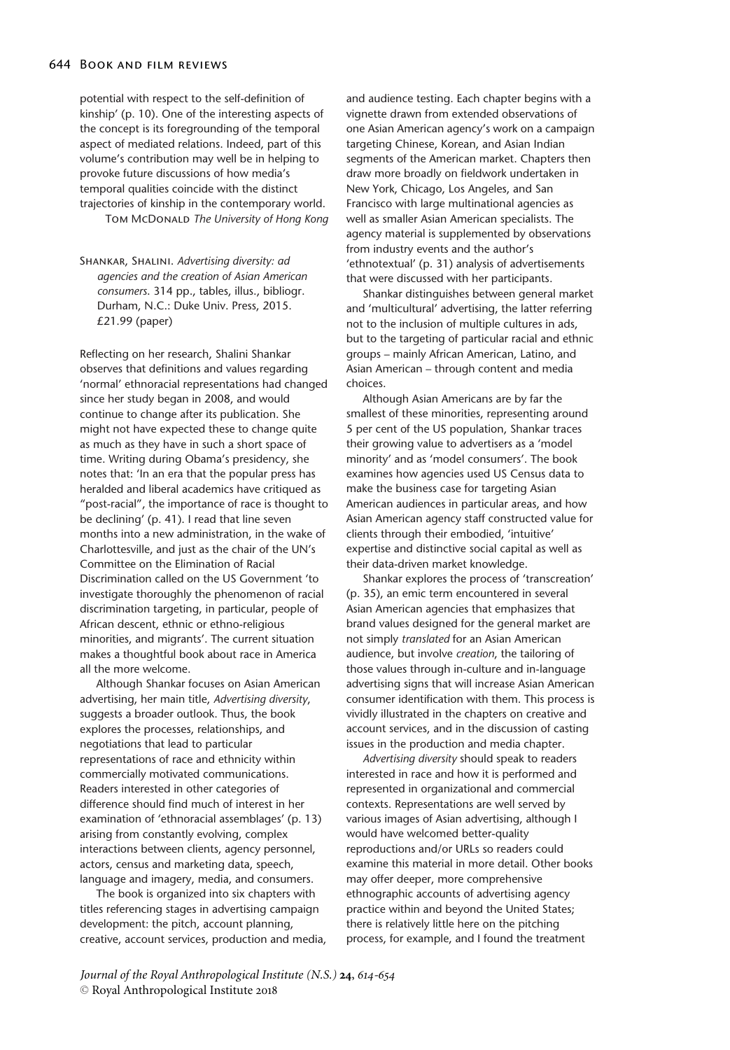#### 644 Book and film reviews

potential with respect to the self-definition of kinship' (p. 10). One of the interesting aspects of the concept is its foregrounding of the temporal aspect of mediated relations. Indeed, part of this volume's contribution may well be in helping to provoke future discussions of how media's temporal qualities coincide with the distinct trajectories of kinship in the contemporary world. Tom McDonald *The University of Hong Kong*

Shankar, Shalini. *Advertising diversity: ad agencies and the creation of Asian American consumers*. 314 pp., tables, illus., bibliogr. Durham, N.C.: Duke Univ. Press, 2015. £21.99 (paper)

Reflecting on her research, Shalini Shankar observes that definitions and values regarding 'normal' ethnoracial representations had changed since her study began in 2008, and would continue to change after its publication. She might not have expected these to change quite as much as they have in such a short space of time. Writing during Obama's presidency, she notes that: 'In an era that the popular press has heralded and liberal academics have critiqued as "post-racial", the importance of race is thought to be declining' (p. 41). I read that line seven months into a new administration, in the wake of Charlottesville, and just as the chair of the UN's Committee on the Elimination of Racial Discrimination called on the US Government 'to investigate thoroughly the phenomenon of racial discrimination targeting, in particular, people of African descent, ethnic or ethno-religious minorities, and migrants'. The current situation makes a thoughtful book about race in America all the more welcome.

Although Shankar focuses on Asian American advertising, her main title, *Advertising diversity*, suggests a broader outlook. Thus, the book explores the processes, relationships, and negotiations that lead to particular representations of race and ethnicity within commercially motivated communications. Readers interested in other categories of difference should find much of interest in her examination of 'ethnoracial assemblages' (p. 13) arising from constantly evolving, complex interactions between clients, agency personnel, actors, census and marketing data, speech, language and imagery, media, and consumers.

The book is organized into six chapters with titles referencing stages in advertising campaign development: the pitch, account planning, creative, account services, production and media, and audience testing. Each chapter begins with a vignette drawn from extended observations of one Asian American agency's work on a campaign targeting Chinese, Korean, and Asian Indian segments of the American market. Chapters then draw more broadly on fieldwork undertaken in New York, Chicago, Los Angeles, and San Francisco with large multinational agencies as well as smaller Asian American specialists. The agency material is supplemented by observations from industry events and the author's 'ethnotextual' (p. 31) analysis of advertisements that were discussed with her participants.

Shankar distinguishes between general market and 'multicultural' advertising, the latter referring not to the inclusion of multiple cultures in ads, but to the targeting of particular racial and ethnic groups – mainly African American, Latino, and Asian American – through content and media choices.

Although Asian Americans are by far the smallest of these minorities, representing around 5 per cent of the US population, Shankar traces their growing value to advertisers as a 'model minority' and as 'model consumers'. The book examines how agencies used US Census data to make the business case for targeting Asian American audiences in particular areas, and how Asian American agency staff constructed value for clients through their embodied, 'intuitive' expertise and distinctive social capital as well as their data-driven market knowledge.

Shankar explores the process of 'transcreation' (p. 35), an emic term encountered in several Asian American agencies that emphasizes that brand values designed for the general market are not simply *translated* for an Asian American audience, but involve *creation*, the tailoring of those values through in-culture and in-language advertising signs that will increase Asian American consumer identification with them. This process is vividly illustrated in the chapters on creative and account services, and in the discussion of casting issues in the production and media chapter.

*Advertising diversity* should speak to readers interested in race and how it is performed and represented in organizational and commercial contexts. Representations are well served by various images of Asian advertising, although I would have welcomed better-quality reproductions and/or URLs so readers could examine this material in more detail. Other books may offer deeper, more comprehensive ethnographic accounts of advertising agency practice within and beyond the United States; there is relatively little here on the pitching process, for example, and I found the treatment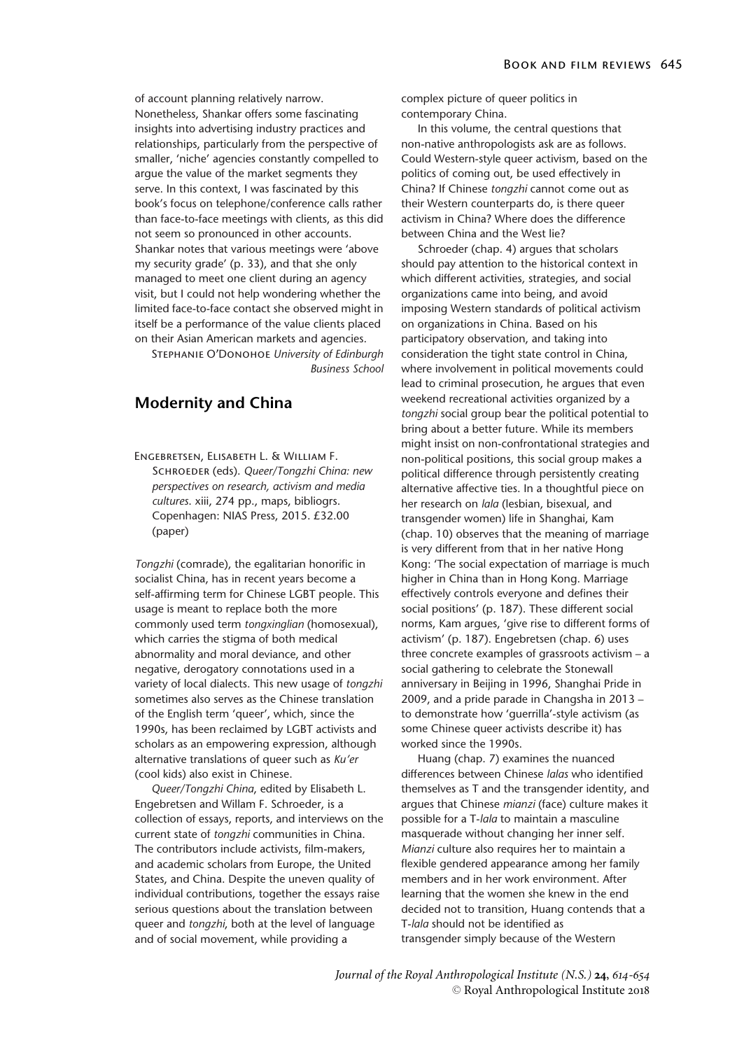of account planning relatively narrow. Nonetheless, Shankar offers some fascinating insights into advertising industry practices and relationships, particularly from the perspective of smaller, 'niche' agencies constantly compelled to argue the value of the market segments they serve. In this context, I was fascinated by this book's focus on telephone/conference calls rather than face-to-face meetings with clients, as this did not seem so pronounced in other accounts. Shankar notes that various meetings were 'above my security grade' (p. 33), and that she only managed to meet one client during an agency visit, but I could not help wondering whether the limited face-to-face contact she observed might in itself be a performance of the value clients placed on their Asian American markets and agencies.

Stephanie O'Donohoe *University of Edinburgh Business School*

## **Modernity and China**

Engebretsen, Elisabeth L. & William F. Schroeder (eds). *Queer/Tongzhi China: new perspectives on research, activism and media cultures*. xiii, 274 pp., maps, bibliogrs. Copenhagen: NIAS Press, 2015. £32.00 (paper)

*Tongzhi* (comrade), the egalitarian honorific in socialist China, has in recent years become a self-affirming term for Chinese LGBT people. This usage is meant to replace both the more commonly used term *tongxinglian* (homosexual), which carries the stigma of both medical abnormality and moral deviance, and other negative, derogatory connotations used in a variety of local dialects. This new usage of *tongzhi* sometimes also serves as the Chinese translation of the English term 'queer', which, since the 1990s, has been reclaimed by LGBT activists and scholars as an empowering expression, although alternative translations of queer such as *Ku'er* (cool kids) also exist in Chinese.

*Queer/Tongzhi China*, edited by Elisabeth L. Engebretsen and Willam F. Schroeder, is a collection of essays, reports, and interviews on the current state of *tongzhi* communities in China. The contributors include activists, film-makers, and academic scholars from Europe, the United States, and China. Despite the uneven quality of individual contributions, together the essays raise serious questions about the translation between queer and *tongzhi*, both at the level of language and of social movement, while providing a

complex picture of queer politics in contemporary China.

In this volume, the central questions that non-native anthropologists ask are as follows. Could Western-style queer activism, based on the politics of coming out, be used effectively in China? If Chinese *tongzhi* cannot come out as their Western counterparts do, is there queer activism in China? Where does the difference between China and the West lie?

Schroeder (chap. 4) argues that scholars should pay attention to the historical context in which different activities, strategies, and social organizations came into being, and avoid imposing Western standards of political activism on organizations in China. Based on his participatory observation, and taking into consideration the tight state control in China, where involvement in political movements could lead to criminal prosecution, he argues that even weekend recreational activities organized by a *tongzhi* social group bear the political potential to bring about a better future. While its members might insist on non-confrontational strategies and non-political positions, this social group makes a political difference through persistently creating alternative affective ties. In a thoughtful piece on her research on *lala* (lesbian, bisexual, and transgender women) life in Shanghai, Kam (chap. 10) observes that the meaning of marriage is very different from that in her native Hong Kong: 'The social expectation of marriage is much higher in China than in Hong Kong. Marriage effectively controls everyone and defines their social positions' (p. 187). These different social norms, Kam argues, 'give rise to different forms of activism' (p. 187). Engebretsen (chap. 6) uses three concrete examples of grassroots activism – a social gathering to celebrate the Stonewall anniversary in Beijing in 1996, Shanghai Pride in 2009, and a pride parade in Changsha in 2013 – to demonstrate how 'guerrilla'-style activism (as some Chinese queer activists describe it) has worked since the 1990s.

Huang (chap. 7) examines the nuanced differences between Chinese *lalas* who identified themselves as T and the transgender identity, and argues that Chinese *mianzi* (face) culture makes it possible for a T-*lala* to maintain a masculine masquerade without changing her inner self. *Mianzi* culture also requires her to maintain a flexible gendered appearance among her family members and in her work environment. After learning that the women she knew in the end decided not to transition, Huang contends that a T-*lala* should not be identified as transgender simply because of the Western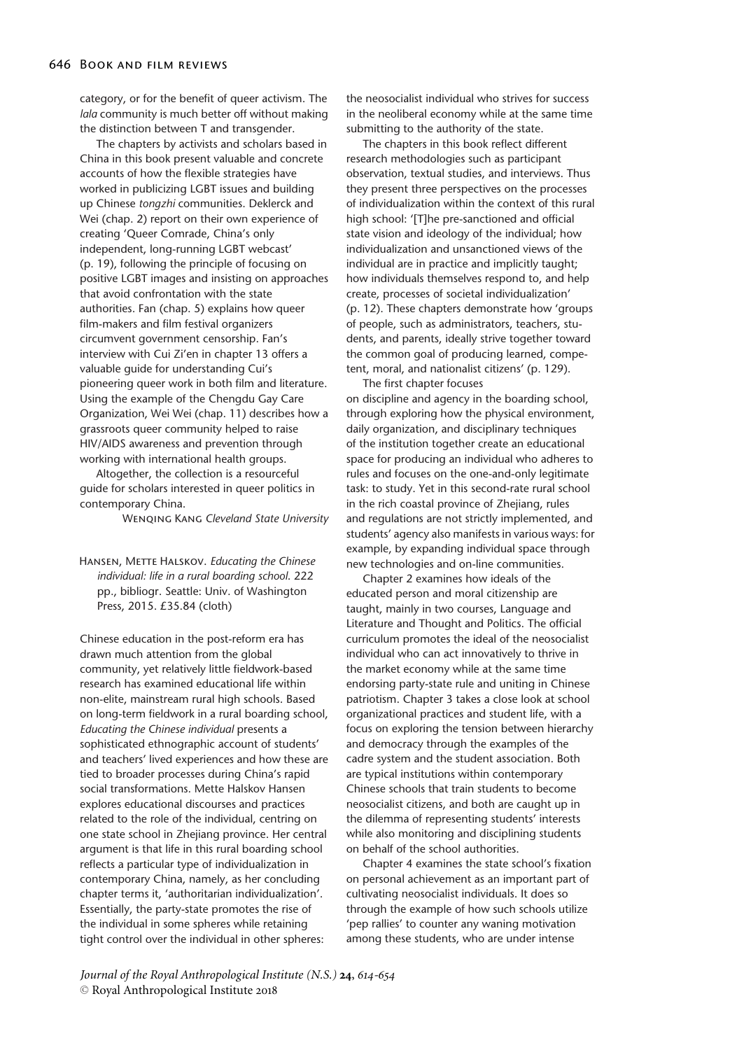category, or for the benefit of queer activism. The *lala* community is much better off without making the distinction between T and transgender.

The chapters by activists and scholars based in China in this book present valuable and concrete accounts of how the flexible strategies have worked in publicizing LGBT issues and building up Chinese *tongzhi* communities. Deklerck and Wei (chap. 2) report on their own experience of creating 'Queer Comrade, China's only independent, long-running LGBT webcast' (p. 19), following the principle of focusing on positive LGBT images and insisting on approaches that avoid confrontation with the state authorities. Fan (chap. 5) explains how queer film-makers and film festival organizers circumvent government censorship. Fan's interview with Cui Zi'en in chapter 13 offers a valuable guide for understanding Cui's pioneering queer work in both film and literature. Using the example of the Chengdu Gay Care Organization, Wei Wei (chap. 11) describes how a grassroots queer community helped to raise HIV/AIDS awareness and prevention through working with international health groups.

Altogether, the collection is a resourceful guide for scholars interested in queer politics in contemporary China.

Wenqing Kang *Cleveland State University*

Hansen, Mette Halskov. *Educating the Chinese individual: life in a rural boarding school*. 222 pp., bibliogr. Seattle: Univ. of Washington Press, 2015. £35.84 (cloth)

Chinese education in the post-reform era has drawn much attention from the global community, yet relatively little fieldwork-based research has examined educational life within non-elite, mainstream rural high schools. Based on long-term fieldwork in a rural boarding school, *Educating the Chinese individual* presents a sophisticated ethnographic account of students' and teachers' lived experiences and how these are tied to broader processes during China's rapid social transformations. Mette Halskov Hansen explores educational discourses and practices related to the role of the individual, centring on one state school in Zhejiang province. Her central argument is that life in this rural boarding school reflects a particular type of individualization in contemporary China, namely, as her concluding chapter terms it, 'authoritarian individualization'. Essentially, the party-state promotes the rise of the individual in some spheres while retaining tight control over the individual in other spheres:

the neosocialist individual who strives for success in the neoliberal economy while at the same time submitting to the authority of the state.

The chapters in this book reflect different research methodologies such as participant observation, textual studies, and interviews. Thus they present three perspectives on the processes of individualization within the context of this rural high school: '[T]he pre-sanctioned and official state vision and ideology of the individual; how individualization and unsanctioned views of the individual are in practice and implicitly taught; how individuals themselves respond to, and help create, processes of societal individualization' (p. 12). These chapters demonstrate how 'groups of people, such as administrators, teachers, students, and parents, ideally strive together toward the common goal of producing learned, competent, moral, and nationalist citizens' (p. 129).

The first chapter focuses on discipline and agency in the boarding school, through exploring how the physical environment, daily organization, and disciplinary techniques of the institution together create an educational space for producing an individual who adheres to rules and focuses on the one-and-only legitimate task: to study. Yet in this second-rate rural school in the rich coastal province of Zhejiang, rules and regulations are not strictly implemented, and students' agency also manifests in various ways: for example, by expanding individual space through new technologies and on-line communities.

Chapter 2 examines how ideals of the educated person and moral citizenship are taught, mainly in two courses, Language and Literature and Thought and Politics. The official curriculum promotes the ideal of the neosocialist individual who can act innovatively to thrive in the market economy while at the same time endorsing party-state rule and uniting in Chinese patriotism. Chapter 3 takes a close look at school organizational practices and student life, with a focus on exploring the tension between hierarchy and democracy through the examples of the cadre system and the student association. Both are typical institutions within contemporary Chinese schools that train students to become neosocialist citizens, and both are caught up in the dilemma of representing students' interests while also monitoring and disciplining students on behalf of the school authorities.

Chapter 4 examines the state school's fixation on personal achievement as an important part of cultivating neosocialist individuals. It does so through the example of how such schools utilize 'pep rallies' to counter any waning motivation among these students, who are under intense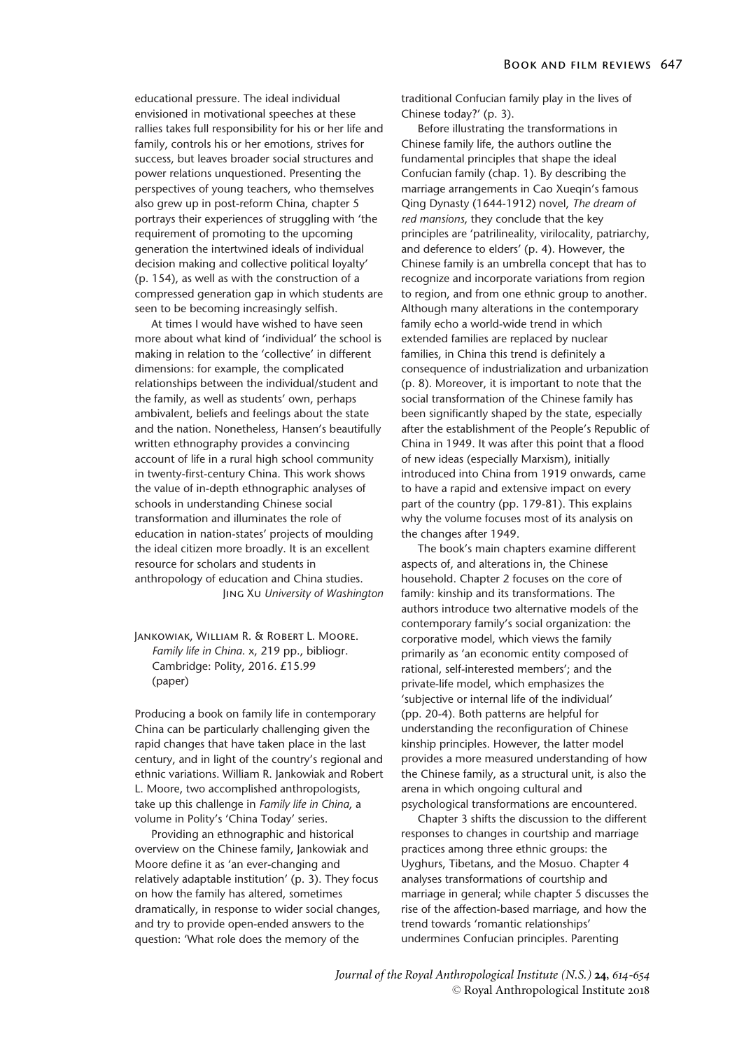educational pressure. The ideal individual envisioned in motivational speeches at these rallies takes full responsibility for his or her life and family, controls his or her emotions, strives for success, but leaves broader social structures and power relations unquestioned. Presenting the perspectives of young teachers, who themselves also grew up in post-reform China, chapter 5 portrays their experiences of struggling with 'the requirement of promoting to the upcoming generation the intertwined ideals of individual decision making and collective political loyalty' (p. 154), as well as with the construction of a compressed generation gap in which students are seen to be becoming increasingly selfish.

At times I would have wished to have seen more about what kind of 'individual' the school is making in relation to the 'collective' in different dimensions: for example, the complicated relationships between the individual/student and the family, as well as students' own, perhaps ambivalent, beliefs and feelings about the state and the nation. Nonetheless, Hansen's beautifully written ethnography provides a convincing account of life in a rural high school community in twenty-first-century China. This work shows the value of in-depth ethnographic analyses of schools in understanding Chinese social transformation and illuminates the role of education in nation-states' projects of moulding the ideal citizen more broadly. It is an excellent resource for scholars and students in anthropology of education and China studies. Jing Xu *University of Washington*

#### Jankowiak, William R. & Robert L. Moore. *Family life in China*. x, 219 pp., bibliogr. Cambridge: Polity, 2016. £15.99 (paper)

Producing a book on family life in contemporary China can be particularly challenging given the rapid changes that have taken place in the last century, and in light of the country's regional and ethnic variations. William R. Jankowiak and Robert L. Moore, two accomplished anthropologists, take up this challenge in *Family life in China*, a volume in Polity's 'China Today' series.

Providing an ethnographic and historical overview on the Chinese family, Jankowiak and Moore define it as 'an ever-changing and relatively adaptable institution' (p. 3). They focus on how the family has altered, sometimes dramatically, in response to wider social changes, and try to provide open-ended answers to the question: 'What role does the memory of the

traditional Confucian family play in the lives of Chinese today?' (p. 3).

Before illustrating the transformations in Chinese family life, the authors outline the fundamental principles that shape the ideal Confucian family (chap. 1). By describing the marriage arrangements in Cao Xueqin's famous Qing Dynasty (1644-1912) novel, *The dream of red mansions*, they conclude that the key principles are 'patrilineality, virilocality, patriarchy, and deference to elders' (p. 4). However, the Chinese family is an umbrella concept that has to recognize and incorporate variations from region to region, and from one ethnic group to another. Although many alterations in the contemporary family echo a world-wide trend in which extended families are replaced by nuclear families, in China this trend is definitely a consequence of industrialization and urbanization (p. 8). Moreover, it is important to note that the social transformation of the Chinese family has been significantly shaped by the state, especially after the establishment of the People's Republic of China in 1949. It was after this point that a flood of new ideas (especially Marxism), initially introduced into China from 1919 onwards, came to have a rapid and extensive impact on every part of the country (pp. 179-81). This explains why the volume focuses most of its analysis on the changes after 1949.

The book's main chapters examine different aspects of, and alterations in, the Chinese household. Chapter 2 focuses on the core of family: kinship and its transformations. The authors introduce two alternative models of the contemporary family's social organization: the corporative model, which views the family primarily as 'an economic entity composed of rational, self-interested members'; and the private-life model, which emphasizes the 'subjective or internal life of the individual' (pp. 20-4). Both patterns are helpful for understanding the reconfiguration of Chinese kinship principles. However, the latter model provides a more measured understanding of how the Chinese family, as a structural unit, is also the arena in which ongoing cultural and psychological transformations are encountered.

Chapter 3 shifts the discussion to the different responses to changes in courtship and marriage practices among three ethnic groups: the Uyghurs, Tibetans, and the Mosuo. Chapter 4 analyses transformations of courtship and marriage in general; while chapter 5 discusses the rise of the affection-based marriage, and how the trend towards 'romantic relationships' undermines Confucian principles. Parenting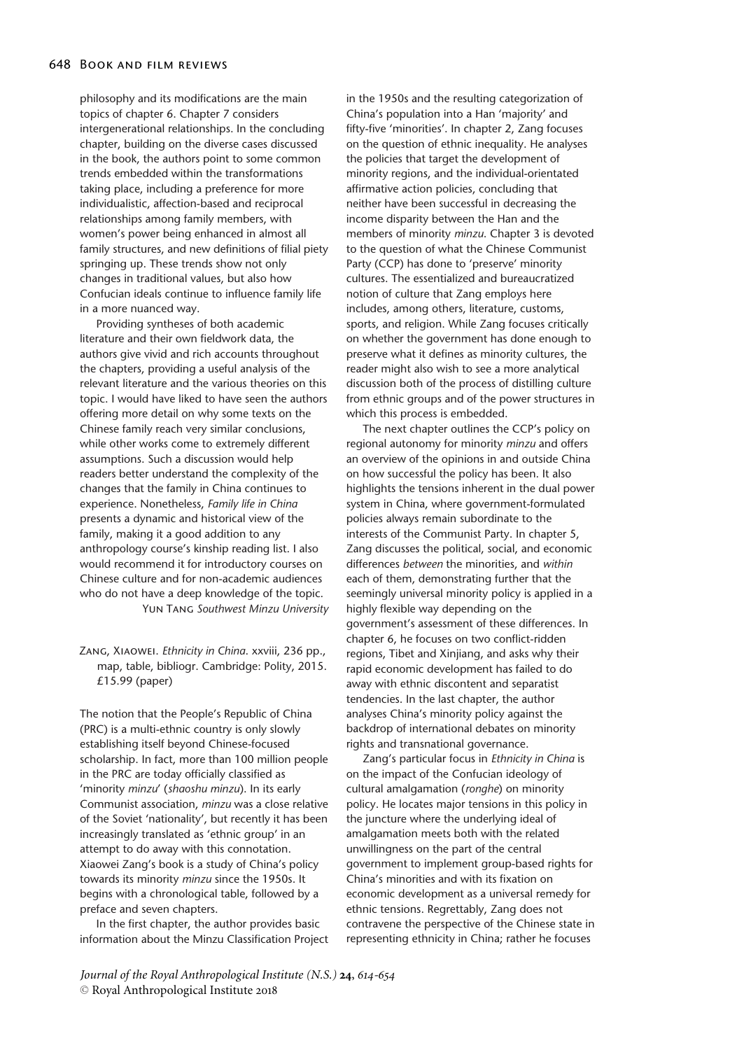philosophy and its modifications are the main topics of chapter 6. Chapter 7 considers intergenerational relationships. In the concluding chapter, building on the diverse cases discussed in the book, the authors point to some common trends embedded within the transformations taking place, including a preference for more individualistic, affection-based and reciprocal relationships among family members, with women's power being enhanced in almost all family structures, and new definitions of filial piety springing up. These trends show not only changes in traditional values, but also how Confucian ideals continue to influence family life in a more nuanced way.

Providing syntheses of both academic literature and their own fieldwork data, the authors give vivid and rich accounts throughout the chapters, providing a useful analysis of the relevant literature and the various theories on this topic. I would have liked to have seen the authors offering more detail on why some texts on the Chinese family reach very similar conclusions, while other works come to extremely different assumptions. Such a discussion would help readers better understand the complexity of the changes that the family in China continues to experience. Nonetheless, *Family life in China* presents a dynamic and historical view of the family, making it a good addition to any anthropology course's kinship reading list. I also would recommend it for introductory courses on Chinese culture and for non-academic audiences who do not have a deep knowledge of the topic. Yun Tang *Southwest Minzu University*

Zang, Xiaowei. *Ethnicity in China*. xxviii, 236 pp., map, table, bibliogr. Cambridge: Polity, 2015. £15.99 (paper)

The notion that the People's Republic of China (PRC) is a multi-ethnic country is only slowly establishing itself beyond Chinese-focused scholarship. In fact, more than 100 million people in the PRC are today officially classified as 'minority *minzu*' (*shaoshu minzu*). In its early Communist association, *minzu* was a close relative of the Soviet 'nationality', but recently it has been increasingly translated as 'ethnic group' in an attempt to do away with this connotation. Xiaowei Zang's book is a study of China's policy towards its minority *minzu* since the 1950s. It begins with a chronological table, followed by a preface and seven chapters.

In the first chapter, the author provides basic information about the Minzu Classification Project in the 1950s and the resulting categorization of China's population into a Han 'majority' and fifty-five 'minorities'. In chapter 2, Zang focuses on the question of ethnic inequality. He analyses the policies that target the development of minority regions, and the individual-orientated affirmative action policies, concluding that neither have been successful in decreasing the income disparity between the Han and the members of minority *minzu*. Chapter 3 is devoted to the question of what the Chinese Communist Party (CCP) has done to 'preserve' minority cultures. The essentialized and bureaucratized notion of culture that Zang employs here includes, among others, literature, customs, sports, and religion. While Zang focuses critically on whether the government has done enough to preserve what it defines as minority cultures, the reader might also wish to see a more analytical discussion both of the process of distilling culture from ethnic groups and of the power structures in which this process is embedded.

The next chapter outlines the CCP's policy on regional autonomy for minority *minzu* and offers an overview of the opinions in and outside China on how successful the policy has been. It also highlights the tensions inherent in the dual power system in China, where government-formulated policies always remain subordinate to the interests of the Communist Party. In chapter 5, Zang discusses the political, social, and economic differences *between* the minorities, and *within* each of them, demonstrating further that the seemingly universal minority policy is applied in a highly flexible way depending on the government's assessment of these differences. In chapter 6, he focuses on two conflict-ridden regions, Tibet and Xinjiang, and asks why their rapid economic development has failed to do away with ethnic discontent and separatist tendencies. In the last chapter, the author analyses China's minority policy against the backdrop of international debates on minority rights and transnational governance.

Zang's particular focus in *Ethnicity in China* is on the impact of the Confucian ideology of cultural amalgamation (*ronghe*) on minority policy. He locates major tensions in this policy in the juncture where the underlying ideal of amalgamation meets both with the related unwillingness on the part of the central government to implement group-based rights for China's minorities and with its fixation on economic development as a universal remedy for ethnic tensions. Regrettably, Zang does not contravene the perspective of the Chinese state in representing ethnicity in China; rather he focuses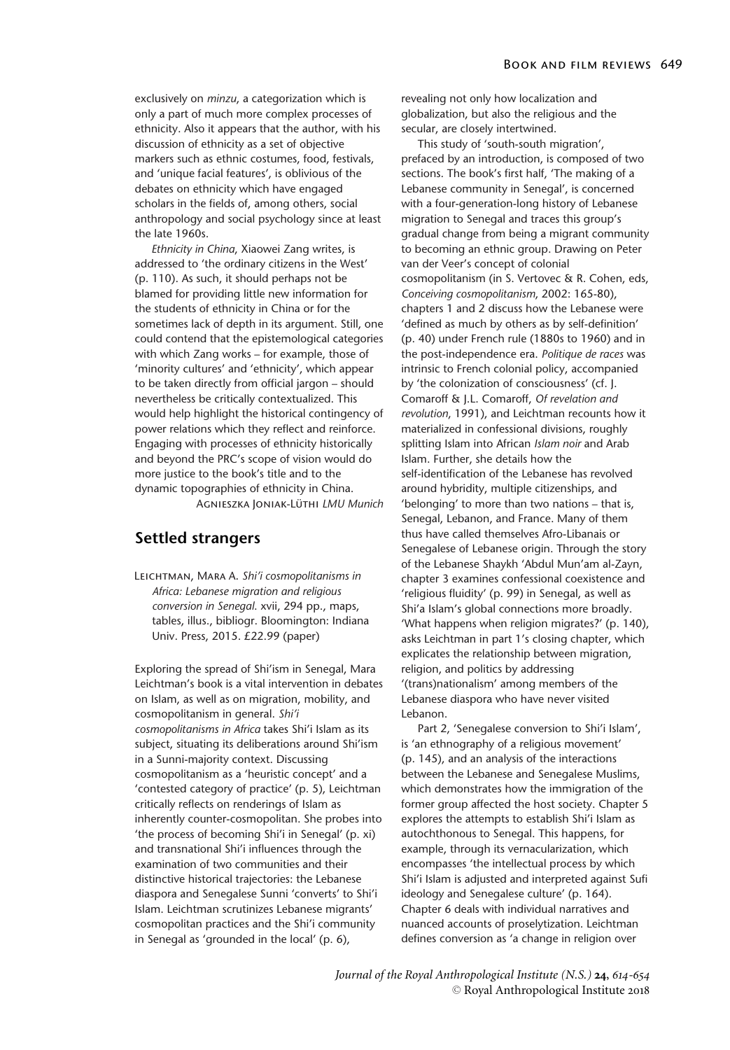exclusively on *minzu*, a categorization which is only a part of much more complex processes of ethnicity. Also it appears that the author, with his discussion of ethnicity as a set of objective markers such as ethnic costumes, food, festivals, and 'unique facial features', is oblivious of the debates on ethnicity which have engaged scholars in the fields of, among others, social anthropology and social psychology since at least the late 1960s.

*Ethnicity in China*, Xiaowei Zang writes, is addressed to 'the ordinary citizens in the West' (p. 110). As such, it should perhaps not be blamed for providing little new information for the students of ethnicity in China or for the sometimes lack of depth in its argument. Still, one could contend that the epistemological categories with which Zang works – for example, those of 'minority cultures' and 'ethnicity', which appear to be taken directly from official jargon – should nevertheless be critically contextualized. This would help highlight the historical contingency of power relations which they reflect and reinforce. Engaging with processes of ethnicity historically and beyond the PRC's scope of vision would do more justice to the book's title and to the dynamic topographies of ethnicity in China.

**AGNIESZKA JONIAK-LÜTHI LMU Munich** 

## **Settled strangers**

Leichtman, Mara A. *Shi'i cosmopolitanisms in Africa: Lebanese migration and religious conversion in Senegal*. xvii, 294 pp., maps, tables, illus., bibliogr. Bloomington: Indiana Univ. Press, 2015. £22.99 (paper)

Exploring the spread of Shi'ism in Senegal, Mara Leichtman's book is a vital intervention in debates on Islam, as well as on migration, mobility, and cosmopolitanism in general. *Shi'i cosmopolitanisms in Africa* takes Shi'i Islam as its subject, situating its deliberations around Shi'ism in a Sunni-majority context. Discussing cosmopolitanism as a 'heuristic concept' and a 'contested category of practice' (p. 5), Leichtman critically reflects on renderings of Islam as inherently counter-cosmopolitan. She probes into 'the process of becoming Shi'i in Senegal' (p. xi) and transnational Shi'i influences through the examination of two communities and their distinctive historical trajectories: the Lebanese diaspora and Senegalese Sunni 'converts' to Shi'i Islam. Leichtman scrutinizes Lebanese migrants' cosmopolitan practices and the Shi'i community in Senegal as 'grounded in the local' (p. 6),

revealing not only how localization and globalization, but also the religious and the secular, are closely intertwined.

This study of 'south-south migration', prefaced by an introduction, is composed of two sections. The book's first half, 'The making of a Lebanese community in Senegal', is concerned with a four-generation-long history of Lebanese migration to Senegal and traces this group's gradual change from being a migrant community to becoming an ethnic group. Drawing on Peter van der Veer's concept of colonial cosmopolitanism (in S. Vertovec & R. Cohen, eds, *Conceiving cosmopolitanism*, 2002: 165-80), chapters 1 and 2 discuss how the Lebanese were 'defined as much by others as by self-definition' (p. 40) under French rule (1880s to 1960) and in the post-independence era. *Politique de races* was intrinsic to French colonial policy, accompanied by 'the colonization of consciousness' (cf. J. Comaroff & J.L. Comaroff, *Of revelation and revolution*, 1991), and Leichtman recounts how it materialized in confessional divisions, roughly splitting Islam into African *Islam noir* and Arab Islam. Further, she details how the self-identification of the Lebanese has revolved around hybridity, multiple citizenships, and 'belonging' to more than two nations – that is, Senegal, Lebanon, and France. Many of them thus have called themselves Afro-Libanais or Senegalese of Lebanese origin. Through the story of the Lebanese Shaykh 'Abdul Mun'am al-Zayn, chapter 3 examines confessional coexistence and 'religious fluidity' (p. 99) in Senegal, as well as Shi'a Islam's global connections more broadly. 'What happens when religion migrates?' (p. 140), asks Leichtman in part 1's closing chapter, which explicates the relationship between migration, religion, and politics by addressing '(trans)nationalism' among members of the Lebanese diaspora who have never visited Lebanon.

Part 2, 'Senegalese conversion to Shi'i Islam', is 'an ethnography of a religious movement' (p. 145), and an analysis of the interactions between the Lebanese and Senegalese Muslims, which demonstrates how the immigration of the former group affected the host society. Chapter 5 explores the attempts to establish Shi'i Islam as autochthonous to Senegal. This happens, for example, through its vernacularization, which encompasses 'the intellectual process by which Shi'i Islam is adjusted and interpreted against Sufi ideology and Senegalese culture' (p. 164). Chapter 6 deals with individual narratives and nuanced accounts of proselytization. Leichtman defines conversion as 'a change in religion over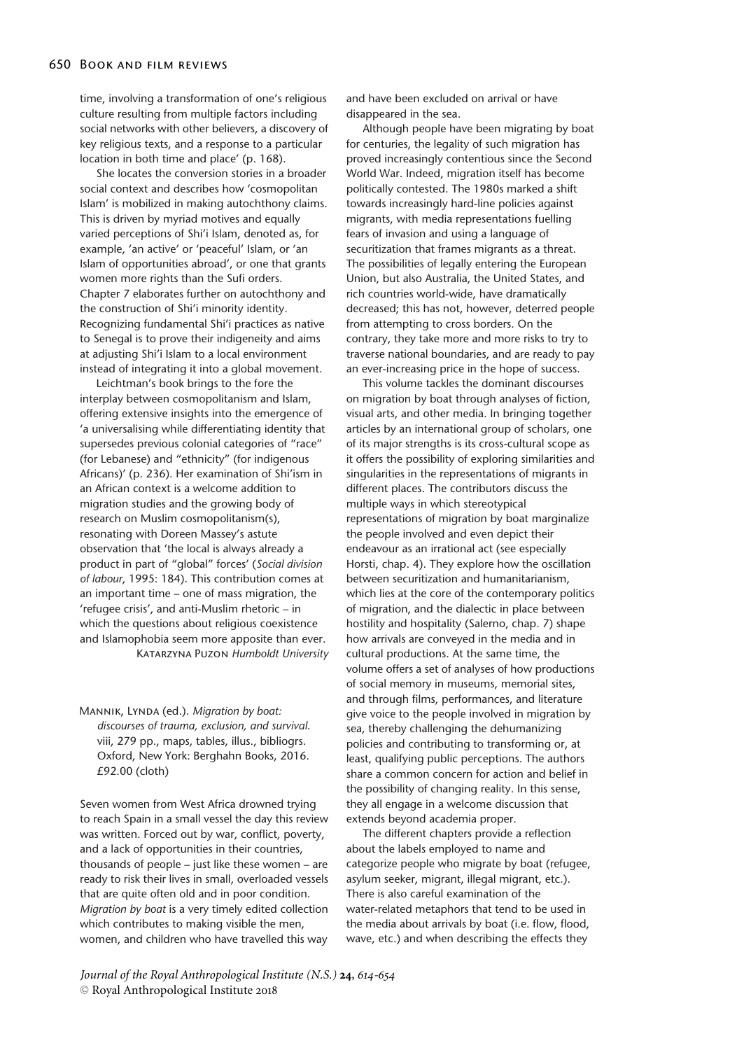time, involving a transformation of one's religious culture resulting from multiple factors including social networks with other believers, a discovery of key religious texts, and a response to a particular location in both time and place' (p. 168).

She locates the conversion stories in a broader social context and describes how 'cosmopolitan Islam' is mobilized in making autochthony claims. This is driven by myriad motives and equally varied perceptions of Shi'i Islam, denoted as, for example, 'an active' or 'peaceful' Islam, or 'an Islam of opportunities abroad', or one that grants women more rights than the Sufi orders. Chapter 7 elaborates further on autochthony and the construction of Shi'i minority identity. Recognizing fundamental Shi'i practices as native to Senegal is to prove their indigeneity and aims at adjusting Shi'i Islam to a local environment instead of integrating it into a global movement.

Leichtman's book brings to the fore the interplay between cosmopolitanism and Islam, offering extensive insights into the emergence of 'a universalising while differentiating identity that supersedes previous colonial categories of "race" (for Lebanese) and "ethnicity" (for indigenous Africans)' (p. 236). Her examination of Shi'ism in an African context is a welcome addition to migration studies and the growing body of research on Muslim cosmopolitanism(s), resonating with Doreen Massey's astute observation that 'the local is always already a product in part of "global" forces' (*Social division of labour*, 1995: 184). This contribution comes at an important time – one of mass migration, the 'refugee crisis', and anti-Muslim rhetoric – in which the questions about religious coexistence and Islamophobia seem more apposite than ever. Katarzyna Puzon *Humboldt University*

Mannik, Lynda (ed.). *Migration by boat: discourses of trauma, exclusion, and survival*. viii, 279 pp., maps, tables, illus., bibliogrs. Oxford, New York: Berghahn Books, 2016. £92.00 (cloth)

Seven women from West Africa drowned trying to reach Spain in a small vessel the day this review was written. Forced out by war, conflict, poverty, and a lack of opportunities in their countries, thousands of people – just like these women – are ready to risk their lives in small, overloaded vessels that are quite often old and in poor condition. *Migration by boat* is a very timely edited collection which contributes to making visible the men, women, and children who have travelled this way

and have been excluded on arrival or have disappeared in the sea.

Although people have been migrating by boat for centuries, the legality of such migration has proved increasingly contentious since the Second World War. Indeed, migration itself has become politically contested. The 1980s marked a shift towards increasingly hard-line policies against migrants, with media representations fuelling fears of invasion and using a language of securitization that frames migrants as a threat. The possibilities of legally entering the European Union, but also Australia, the United States, and rich countries world-wide, have dramatically decreased; this has not, however, deterred people from attempting to cross borders. On the contrary, they take more and more risks to try to traverse national boundaries, and are ready to pay an ever-increasing price in the hope of success.

This volume tackles the dominant discourses on migration by boat through analyses of fiction, visual arts, and other media. In bringing together articles by an international group of scholars, one of its major strengths is its cross-cultural scope as it offers the possibility of exploring similarities and singularities in the representations of migrants in different places. The contributors discuss the multiple ways in which stereotypical representations of migration by boat marginalize the people involved and even depict their endeavour as an irrational act (see especially Horsti, chap. 4). They explore how the oscillation between securitization and humanitarianism, which lies at the core of the contemporary politics of migration, and the dialectic in place between hostility and hospitality (Salerno, chap. 7) shape how arrivals are conveyed in the media and in cultural productions. At the same time, the volume offers a set of analyses of how productions of social memory in museums, memorial sites, and through films, performances, and literature give voice to the people involved in migration by sea, thereby challenging the dehumanizing policies and contributing to transforming or, at least, qualifying public perceptions. The authors share a common concern for action and belief in the possibility of changing reality. In this sense, they all engage in a welcome discussion that extends beyond academia proper.

The different chapters provide a reflection about the labels employed to name and categorize people who migrate by boat (refugee, asylum seeker, migrant, illegal migrant, etc.). There is also careful examination of the water-related metaphors that tend to be used in the media about arrivals by boat (i.e. flow, flood, wave, etc.) and when describing the effects they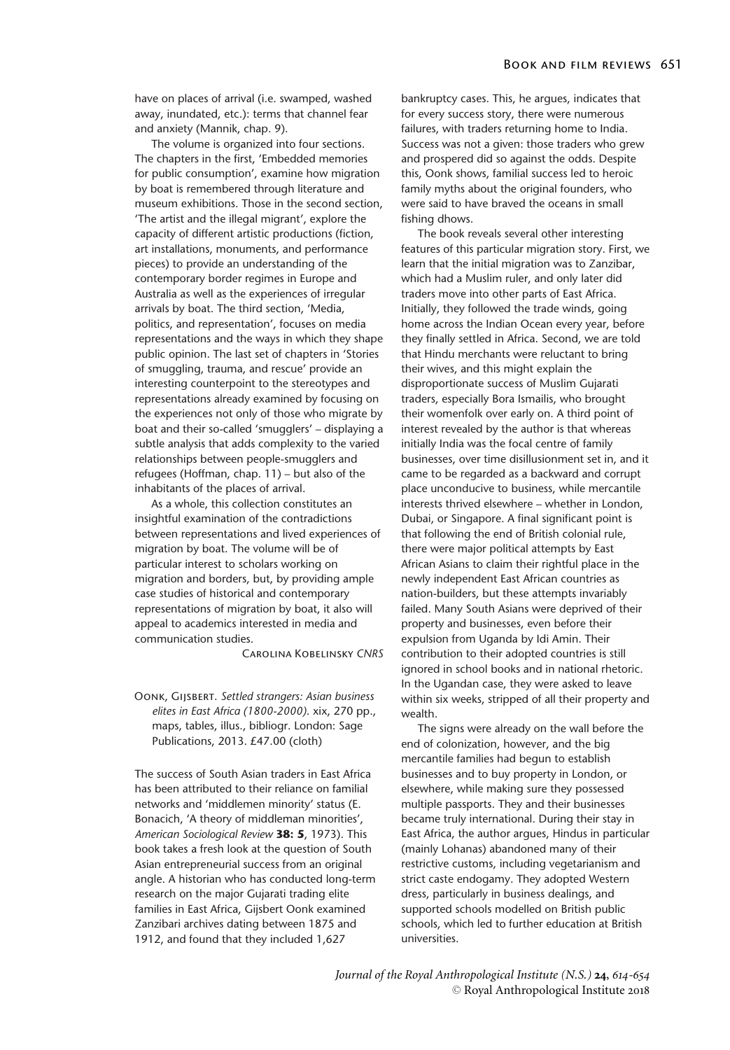have on places of arrival (i.e. swamped, washed away, inundated, etc.): terms that channel fear and anxiety (Mannik, chap. 9).

The volume is organized into four sections. The chapters in the first, 'Embedded memories for public consumption', examine how migration by boat is remembered through literature and museum exhibitions. Those in the second section, 'The artist and the illegal migrant', explore the capacity of different artistic productions (fiction, art installations, monuments, and performance pieces) to provide an understanding of the contemporary border regimes in Europe and Australia as well as the experiences of irregular arrivals by boat. The third section, 'Media, politics, and representation', focuses on media representations and the ways in which they shape public opinion. The last set of chapters in 'Stories of smuggling, trauma, and rescue' provide an interesting counterpoint to the stereotypes and representations already examined by focusing on the experiences not only of those who migrate by boat and their so-called 'smugglers' – displaying a subtle analysis that adds complexity to the varied relationships between people-smugglers and refugees (Hoffman, chap. 11) – but also of the inhabitants of the places of arrival.

As a whole, this collection constitutes an insightful examination of the contradictions between representations and lived experiences of migration by boat. The volume will be of particular interest to scholars working on migration and borders, but, by providing ample case studies of historical and contemporary representations of migration by boat, it also will appeal to academics interested in media and communication studies.

Carolina Kobelinsky *CNRS*

Oonk, Gijsbert. *Settled strangers: Asian business elites in East Africa (1800-2000)*. xix, 270 pp., maps, tables, illus., bibliogr. London: Sage Publications, 2013. £47.00 (cloth)

The success of South Asian traders in East Africa has been attributed to their reliance on familial networks and 'middlemen minority' status (E. Bonacich, 'A theory of middleman minorities', *American Sociological Review* **38: 5**, 1973). This book takes a fresh look at the question of South Asian entrepreneurial success from an original angle. A historian who has conducted long-term research on the major Gujarati trading elite families in East Africa, Gijsbert Oonk examined Zanzibari archives dating between 1875 and 1912, and found that they included 1,627

bankruptcy cases. This, he argues, indicates that for every success story, there were numerous failures, with traders returning home to India. Success was not a given: those traders who grew and prospered did so against the odds. Despite this, Oonk shows, familial success led to heroic family myths about the original founders, who were said to have braved the oceans in small fishing dhows.

The book reveals several other interesting features of this particular migration story. First, we learn that the initial migration was to Zanzibar, which had a Muslim ruler, and only later did traders move into other parts of East Africa. Initially, they followed the trade winds, going home across the Indian Ocean every year, before they finally settled in Africa. Second, we are told that Hindu merchants were reluctant to bring their wives, and this might explain the disproportionate success of Muslim Gujarati traders, especially Bora Ismailis, who brought their womenfolk over early on. A third point of interest revealed by the author is that whereas initially India was the focal centre of family businesses, over time disillusionment set in, and it came to be regarded as a backward and corrupt place unconducive to business, while mercantile interests thrived elsewhere – whether in London, Dubai, or Singapore. A final significant point is that following the end of British colonial rule, there were major political attempts by East African Asians to claim their rightful place in the newly independent East African countries as nation-builders, but these attempts invariably failed. Many South Asians were deprived of their property and businesses, even before their expulsion from Uganda by Idi Amin. Their contribution to their adopted countries is still ignored in school books and in national rhetoric. In the Ugandan case, they were asked to leave within six weeks, stripped of all their property and wealth.

The signs were already on the wall before the end of colonization, however, and the big mercantile families had begun to establish businesses and to buy property in London, or elsewhere, while making sure they possessed multiple passports. They and their businesses became truly international. During their stay in East Africa, the author argues, Hindus in particular (mainly Lohanas) abandoned many of their restrictive customs, including vegetarianism and strict caste endogamy. They adopted Western dress, particularly in business dealings, and supported schools modelled on British public schools, which led to further education at British universities.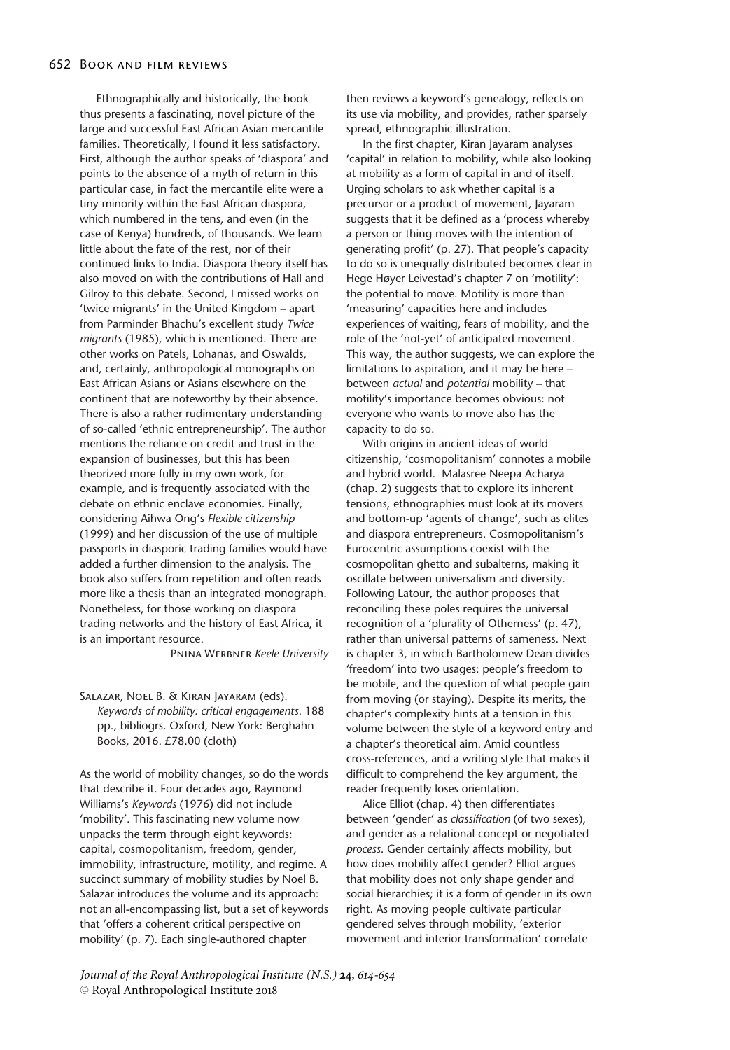Ethnographically and historically, the book thus presents a fascinating, novel picture of the large and successful East African Asian mercantile families. Theoretically, I found it less satisfactory. First, although the author speaks of 'diaspora' and points to the absence of a myth of return in this particular case, in fact the mercantile elite were a tiny minority within the East African diaspora, which numbered in the tens, and even (in the case of Kenya) hundreds, of thousands. We learn little about the fate of the rest, nor of their continued links to India. Diaspora theory itself has also moved on with the contributions of Hall and Gilroy to this debate. Second, I missed works on 'twice migrants' in the United Kingdom – apart from Parminder Bhachu's excellent study *Twice migrants* (1985), which is mentioned. There are other works on Patels, Lohanas, and Oswalds, and, certainly, anthropological monographs on East African Asians or Asians elsewhere on the continent that are noteworthy by their absence. There is also a rather rudimentary understanding of so-called 'ethnic entrepreneurship'. The author mentions the reliance on credit and trust in the expansion of businesses, but this has been theorized more fully in my own work, for example, and is frequently associated with the debate on ethnic enclave economies. Finally, considering Aihwa Ong's *Flexible citizenship* (1999) and her discussion of the use of multiple passports in diasporic trading families would have added a further dimension to the analysis. The book also suffers from repetition and often reads more like a thesis than an integrated monograph. Nonetheless, for those working on diaspora trading networks and the history of East Africa, it is an important resource.

Pnina Werbner *Keele University*

Salazar, Noel B. & Kiran Jayaram (eds). *Keywords of mobility: critical engagements*. 188 pp., bibliogrs. Oxford, New York: Berghahn Books, 2016. £78.00 (cloth)

As the world of mobility changes, so do the words that describe it. Four decades ago, Raymond Williams's *Keywords* (1976) did not include 'mobility'. This fascinating new volume now unpacks the term through eight keywords: capital, cosmopolitanism, freedom, gender, immobility, infrastructure, motility, and regime. A succinct summary of mobility studies by Noel B. Salazar introduces the volume and its approach: not an all-encompassing list, but a set of keywords that 'offers a coherent critical perspective on mobility' (p. 7). Each single-authored chapter

then reviews a keyword's genealogy, reflects on its use via mobility, and provides, rather sparsely spread, ethnographic illustration.

In the first chapter, Kiran Jayaram analyses 'capital' in relation to mobility, while also looking at mobility as a form of capital in and of itself. Urging scholars to ask whether capital is a precursor or a product of movement, Jayaram suggests that it be defined as a 'process whereby a person or thing moves with the intention of generating profit' (p. 27). That people's capacity to do so is unequally distributed becomes clear in Hege Høyer Leivestad's chapter 7 on 'motility': the potential to move. Motility is more than 'measuring' capacities here and includes experiences of waiting, fears of mobility, and the role of the 'not-yet' of anticipated movement. This way, the author suggests, we can explore the limitations to aspiration, and it may be here – between *actual* and *potential* mobility – that motility's importance becomes obvious: not everyone who wants to move also has the capacity to do so.

With origins in ancient ideas of world citizenship, 'cosmopolitanism' connotes a mobile and hybrid world. Malasree Neepa Acharya (chap. 2) suggests that to explore its inherent tensions, ethnographies must look at its movers and bottom-up 'agents of change', such as elites and diaspora entrepreneurs. Cosmopolitanism's Eurocentric assumptions coexist with the cosmopolitan ghetto and subalterns, making it oscillate between universalism and diversity. Following Latour, the author proposes that reconciling these poles requires the universal recognition of a 'plurality of Otherness' (p. 47), rather than universal patterns of sameness. Next is chapter 3, in which Bartholomew Dean divides 'freedom' into two usages: people's freedom to be mobile, and the question of what people gain from moving (or staying). Despite its merits, the chapter's complexity hints at a tension in this volume between the style of a keyword entry and a chapter's theoretical aim. Amid countless cross-references, and a writing style that makes it difficult to comprehend the key argument, the reader frequently loses orientation.

Alice Elliot (chap. 4) then differentiates between 'gender' as *classification* (of two sexes), and gender as a relational concept or negotiated *process*. Gender certainly affects mobility, but how does mobility affect gender? Elliot argues that mobility does not only shape gender and social hierarchies; it is a form of gender in its own right. As moving people cultivate particular gendered selves through mobility, 'exterior movement and interior transformation' correlate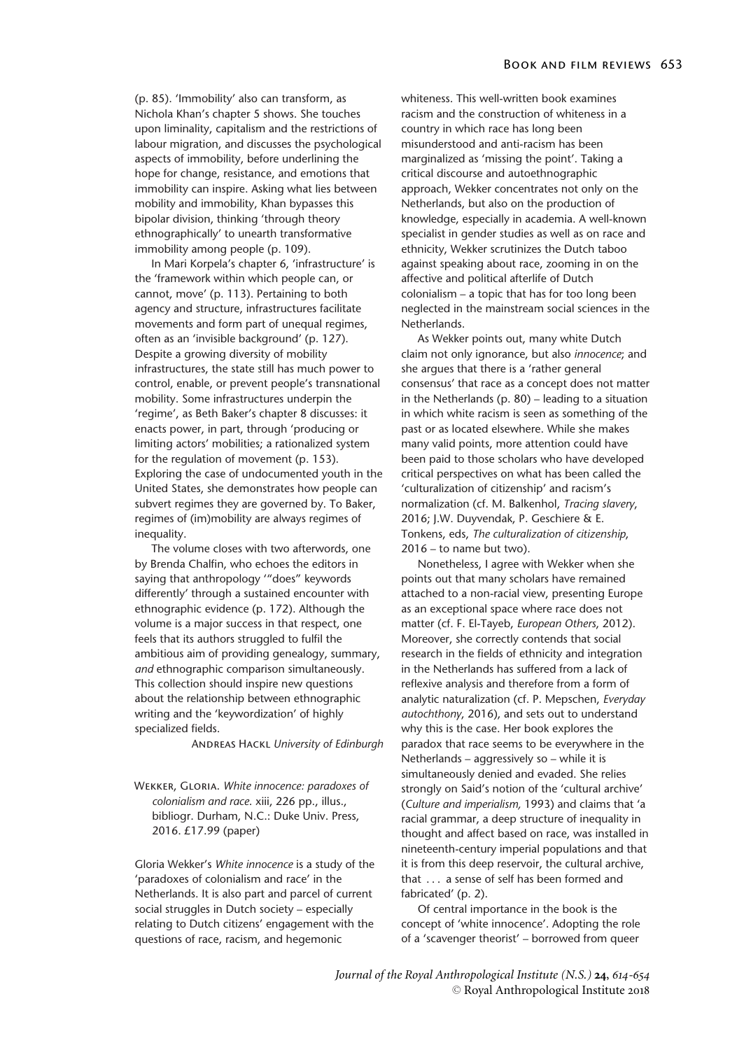(p. 85). 'Immobility' also can transform, as Nichola Khan's chapter 5 shows. She touches upon liminality, capitalism and the restrictions of labour migration, and discusses the psychological aspects of immobility, before underlining the hope for change, resistance, and emotions that immobility can inspire. Asking what lies between mobility and immobility, Khan bypasses this bipolar division, thinking 'through theory ethnographically' to unearth transformative immobility among people (p. 109).

In Mari Korpela's chapter 6, 'infrastructure' is the 'framework within which people can, or cannot, move' (p. 113). Pertaining to both agency and structure, infrastructures facilitate movements and form part of unequal regimes, often as an 'invisible background' (p. 127). Despite a growing diversity of mobility infrastructures, the state still has much power to control, enable, or prevent people's transnational mobility. Some infrastructures underpin the 'regime', as Beth Baker's chapter 8 discusses: it enacts power, in part, through 'producing or limiting actors' mobilities; a rationalized system for the regulation of movement (p. 153). Exploring the case of undocumented youth in the United States, she demonstrates how people can subvert regimes they are governed by. To Baker, regimes of (im)mobility are always regimes of inequality.

The volume closes with two afterwords, one by Brenda Chalfin, who echoes the editors in saying that anthropology '"does" keywords differently' through a sustained encounter with ethnographic evidence (p. 172). Although the volume is a major success in that respect, one feels that its authors struggled to fulfil the ambitious aim of providing genealogy, summary, *and* ethnographic comparison simultaneously. This collection should inspire new questions about the relationship between ethnographic writing and the 'keywordization' of highly specialized fields.

Andreas Hackl *University of Edinburgh*

Wekker, Gloria. *White innocence: paradoxes of colonialism and race*. xiii, 226 pp., illus., bibliogr. Durham, N.C.: Duke Univ. Press, 2016. £17.99 (paper)

Gloria Wekker's *White innocence* is a study of the 'paradoxes of colonialism and race' in the Netherlands. It is also part and parcel of current social struggles in Dutch society – especially relating to Dutch citizens' engagement with the questions of race, racism, and hegemonic

whiteness. This well-written book examines racism and the construction of whiteness in a country in which race has long been misunderstood and anti-racism has been marginalized as 'missing the point'. Taking a critical discourse and autoethnographic approach, Wekker concentrates not only on the Netherlands, but also on the production of knowledge, especially in academia. A well-known specialist in gender studies as well as on race and ethnicity, Wekker scrutinizes the Dutch taboo against speaking about race, zooming in on the affective and political afterlife of Dutch colonialism – a topic that has for too long been neglected in the mainstream social sciences in the Netherlands.

As Wekker points out, many white Dutch claim not only ignorance, but also *innocence*; and she argues that there is a 'rather general consensus' that race as a concept does not matter in the Netherlands (p. 80) – leading to a situation in which white racism is seen as something of the past or as located elsewhere. While she makes many valid points, more attention could have been paid to those scholars who have developed critical perspectives on what has been called the 'culturalization of citizenship' and racism's normalization (cf. M. Balkenhol, *Tracing slavery*, 2016; J.W. Duyvendak, P. Geschiere & E. Tonkens, eds, *The culturalization of citizenship*, 2016 – to name but two).

Nonetheless, I agree with Wekker when she points out that many scholars have remained attached to a non-racial view, presenting Europe as an exceptional space where race does not matter (cf. F. El-Tayeb, *European Others*, 2012). Moreover, she correctly contends that social research in the fields of ethnicity and integration in the Netherlands has suffered from a lack of reflexive analysis and therefore from a form of analytic naturalization (cf. P. Mepschen, *Everyday autochthony*, 2016), and sets out to understand why this is the case. Her book explores the paradox that race seems to be everywhere in the Netherlands – aggressively so – while it is simultaneously denied and evaded. She relies strongly on Said's notion of the 'cultural archive' (*Culture and imperialism,* 1993) and claims that 'a racial grammar, a deep structure of inequality in thought and affect based on race, was installed in nineteenth-century imperial populations and that it is from this deep reservoir, the cultural archive, that . . . a sense of self has been formed and fabricated' (p. 2).

Of central importance in the book is the concept of 'white innocence'. Adopting the role of a 'scavenger theorist' – borrowed from queer